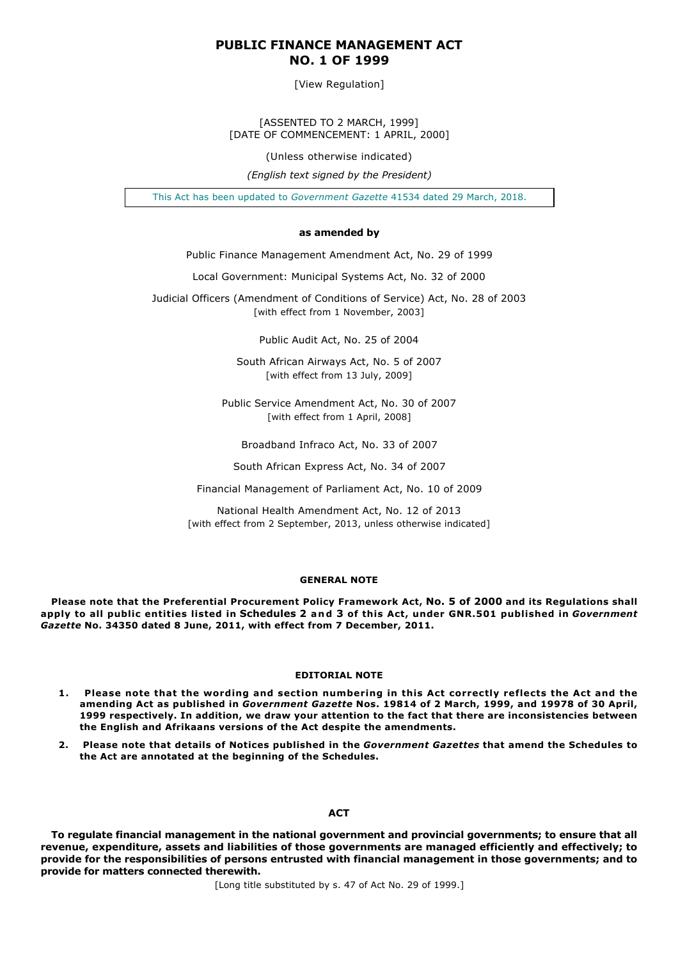# **PUBLIC FINANCE MANAGEMENT ACT NO. 1 OF 1999**

[View Regulation]

[ASSENTED TO 2 MARCH, 1999] [DATE OF COMMENCEMENT: 1 APRIL, 2000]

(Unless otherwise indicated)

*(English text signed by the President)*

This Act has been updated to *Government Gazette* 41534 dated 29 March, 2018.

## **as amended by**

Public Finance Management Amendment Act, No. 29 of 1999

Local Government: Municipal Systems Act, No. 32 of 2000

Judicial Officers (Amendment of Conditions of Service) Act, No. 28 of 2003 [with effect from 1 November, 2003]

Public Audit Act, No. 25 of 2004

South African Airways Act, No. 5 of 2007 [with effect from 13 July, 2009]

Public Service Amendment Act, No. 30 of 2007 [with effect from 1 April, 2008]

Broadband Infraco Act, No. 33 of 2007

South African Express Act, No. 34 of 2007

Financial Management of Parliament Act, No. 10 of 2009

National Health Amendment Act, No. 12 of 2013 [with effect from 2 September, 2013, unless otherwise indicated]

# **GENERAL NOTE**

**Please note that the Preferential Procurement Policy Framework Act, No. 5 of 2000 and its Regulations shall apply to all public entities listed in Schedules 2 and 3 of this Act, under GNR.501 published in** *Government Gazette* **No. 34350 dated 8 June, 2011, with effect from 7 December, 2011.**

## **EDITORIAL NOTE**

- **1. Please note that the wording and section numbering in this Act correctly reflects the Act and the amending Act as published in** *Government Gazette* **Nos. 19814 of 2 March, 1999, and 19978 of 30 April, 1999 respectively. In addition, we draw your attention to the fact that there are inconsistencies between the English and Afrikaans versions of the Act despite the amendments.**
- **2. Please note that details of Notices published in the** *Government Gazettes* **that amend the Schedules to the Act are annotated at the beginning of the Schedules.**

# **ACT**

**To regulate financial management in the national government and provincial governments; to ensure that all revenue, expenditure, assets and liabilities of those governments are managed efficiently and effectively; to provide for the responsibilities of persons entrusted with financial management in those governments; and to provide for matters connected therewith.**

[Long title substituted by s. 47 of Act No. 29 of 1999.]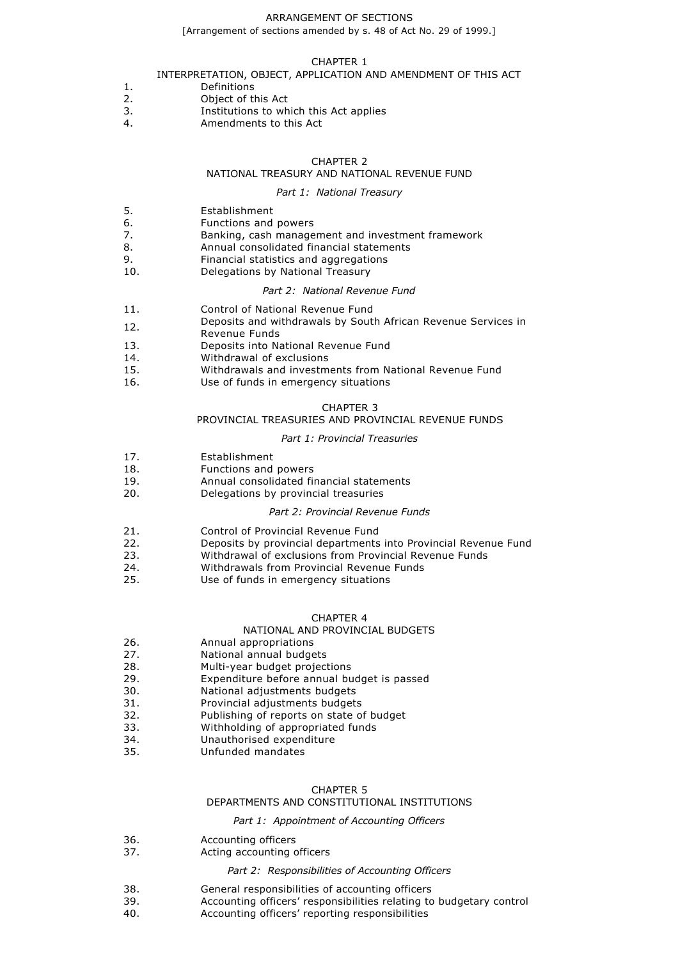### ARRANGEMENT OF SECTIONS

[Arrangement of sections amended by s. 48 of Act No. 29 of 1999.]

### CHAPTER 1

## INTERPRETATION, OBJECT, APPLICATION AND AMENDMENT OF THIS ACT

- 1. Definitions
- 2. Object of this Act
- 3. Institutions to which this Act applies<br>4 Amendments to this Act
- 4. Amendments to this Act

# CHAPTER 2

# NATIONAL TREASURY AND NATIONAL REVENUE FUND

# *Part 1: National Treasury*

- 5. Establishment
- 6. Functions and powers
- 7. Banking, cash management and investment framework
- 8. Annual consolidated financial statements
- 9. Financial statistics and aggregations
- 10. Delegations by National Treasury

## *Part 2: National Revenue Fund*

- 11. Control of National Revenue Fund
- 12. Deposits and withdrawals by South African Revenue Services in
- Revenue Funds
- 13. Deposits into National Revenue Fund
- 14. Withdrawal of exclusions
- 15. Withdrawals and investments from National Revenue Fund
- 16. Use of funds in emergency situations

# CHAPTER 3

## PROVINCIAL TREASURIES AND PROVINCIAL REVENUE FUNDS

## *Part 1: Provincial Treasuries*

- 17. Establishment
- 18. Functions and powers<br>19 **Annual consolidated filt**
- 19. **Annual consolidated financial statements**<br>20. **Delegations by provincial treasuries**
- Delegations by provincial treasuries

## *Part 2: Provincial Revenue Funds*

- 21. Control of Provincial Revenue Fund
- 22. Deposits by provincial departments into Provincial Revenue Fund
- 23. Withdrawal of exclusions from Provincial Revenue Funds<br>24 Withdrawals from Provincial Revenue Funds
- 24. Withdrawals from Provincial Revenue Funds<br>25. Use of funds in emergency situations
- Use of funds in emergency situations

# CHAPTER 4

# NATIONAL AND PROVINCIAL BUDGETS

- 26. Annual appropriations
- 27. National annual budgets
- 28. Multi-year budget projections<br>29. Expenditure before annual bu
- 29. Expenditure before annual budget is passed<br>30. National adjustments budgets
- National adjustments budgets
- 31. Provincial adjustments budgets
- 32. Publishing of reports on state of budget
- 33. Withholding of appropriated funds
- 34. Unauthorised expenditure
- 35. Unfunded mandates

# CHAPTER 5

# DEPARTMENTS AND CONSTITUTIONAL INSTITUTIONS

## *Part 1: Appointment of Accounting Officers*

36. **Accounting officers**<br>37 **Acting accounting c** 

## Acting accounting officers

## *Part 2: Responsibilities of Accounting Officers*

- 38. General responsibilities of accounting officers
- 39. Accounting officers' responsibilities relating to budgetary control
- 40. Accounting officers' reporting responsibilities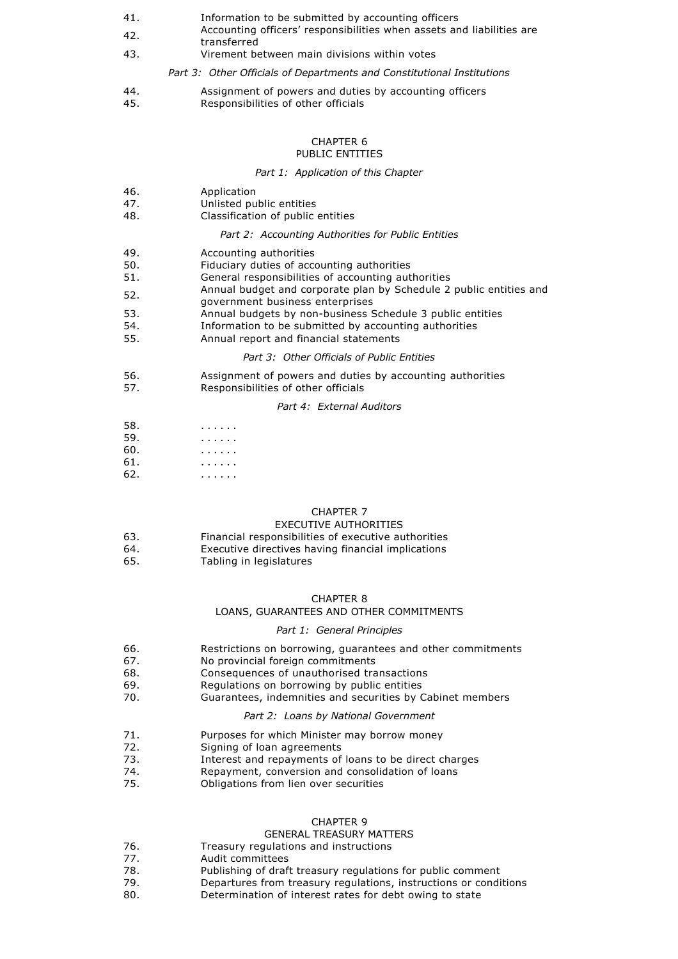- 41. Information to be submitted by accounting officers
- 42. Accounting officers' responsibilities when assets and liabilities are transferred
- 43. Virement between main divisions within votes
	- *Part 3: Other Officials of Departments and Constitutional Institutions*
- 44. Assignment of powers and duties by accounting officers
- 45. Responsibilities of other officials

# CHAPTER 6

# PUBLIC ENTITIES

## *Part 1: Application of this Chapter*

- 46. Application
- 47. Unlisted public entities
- 48. Classification of public entities

# *Part 2: Accounting Authorities for Public Entities*

- 49. Accounting authorities
- 50. Fiduciary duties of accounting authorities
- 51. General responsibilities of accounting authorities
- 52. Annual budget and corporate plan by Schedule 2 public entities and
- government business enterprises
- 53. Annual budgets by non-business Schedule 3 public entities
- 54. Information to be submitted by accounting authorities
- 55. Annual report and financial statements

## *Part 3: Other Officials of Public Entities*

- 56. Assignment of powers and duties by accounting authorities
- 57. Responsibilities of other officials

## *Part 4: External Auditors*

- 58. . . . . . .
- 59. . . . . . .
- 60. . . . . . .
- 61. . . . . . .
- 62. . . . . . .

# CHAPTER 7

# EXECUTIVE AUTHORITIES

- 63. Financial responsibilities of executive authorities
- 64. Executive directives having financial implications<br>65. Tabling in legislatures Tabling in legislatures
- 

## CHAPTER 8

## LOANS, GUARANTEES AND OTHER COMMITMENTS

# *Part 1: General Principles*

- 66. Restrictions on borrowing, guarantees and other commitments
- 67. No provincial foreign commitments
- 68. Consequences of unauthorised transactions
- 69. Regulations on borrowing by public entities
- 70. Guarantees, indemnities and securities by Cabinet members

# *Part 2: Loans by National Government*

- 71. Purposes for which Minister may borrow money
- 72. Signing of loan agreements<br>73 **Interest and renayments of**
- Interest and repayments of loans to be direct charges
- 74. Repayment, conversion and consolidation of loans
- 75. Obligations from lien over securities

## CHAPTER 9

## GENERAL TREASURY MATTERS

- 76. Treasury regulations and instructions
- 77. Audit committees
- 78. Publishing of draft treasury regulations for public comment
- 79. Departures from treasury regulations, instructions or conditions
- 80. Determination of interest rates for debt owing to state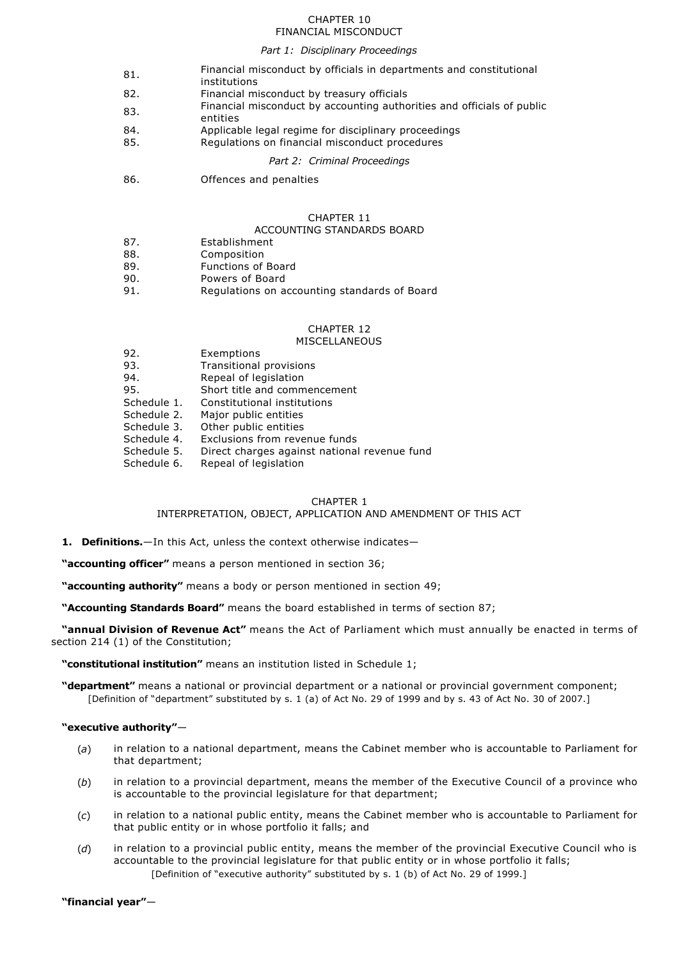## CHAPTER 10 FINANCIAL MISCONDUCT

# *Part 1: Disciplinary Proceedings*

| 81. | Financial misconduct by officials in departments and constitutional<br>institutions |
|-----|-------------------------------------------------------------------------------------|
| 82. | Financial misconduct by treasury officials                                          |
| 83. | Financial misconduct by accounting authorities and officials of public<br>entities  |
| 84. | Applicable legal regime for disciplinary proceedings                                |
| 85. | Regulations on financial misconduct procedures                                      |
|     |                                                                                     |

*Part 2: Criminal Proceedings*

86. Offences and penalties

## CHAPTER 11

## ACCOUNTING STANDARDS BOARD

- 87. Establishment
- 88. Composition
- 89. Functions of Board
- 90. Powers of Board
- 91. Regulations on accounting standards of Board

# CHAPTER 12

## MISCELLANEOUS

| 92.         | Exemptions                                   |
|-------------|----------------------------------------------|
| 93.         | Transitional provisions                      |
| 94.         | Repeal of legislation                        |
| 95.         | Short title and commencement                 |
| Schedule 1. | Constitutional institutions                  |
| Schedule 2. | Major public entities                        |
| Schedule 3. | Other public entities                        |
| Schedule 4. | Exclusions from revenue funds                |
| Schedule 5. | Direct charges against national revenue fund |
| Schedule 6. | Repeal of legislation                        |

## CHAPTER 1

INTERPRETATION, OBJECT, APPLICATION AND AMENDMENT OF THIS ACT

**1. Definitions.**—In this Act, unless the context otherwise indicates—

**"accounting officer"** means a person mentioned in section 36;

**"accounting authority"** means a body or person mentioned in section 49;

**"Accounting Standards Board"** means the board established in terms of section 87;

**"annual Division of Revenue Act"** means the Act of Parliament which must annually be enacted in terms of section 214 (1) of the Constitution;

**"constitutional institution"** means an institution listed in Schedule 1;

**"department"** means a national or provincial department or a national or provincial government component; [Definition of "department" substituted by s. 1 (a) of Act No. 29 of 1999 and by s. 43 of Act No. 30 of 2007.]

## **"executive authority"**—

- (*a*) in relation to a national department, means the Cabinet member who is accountable to Parliament for that department;
- (*b*) in relation to a provincial department, means the member of the Executive Council of a province who is accountable to the provincial legislature for that department;
- (*c*) in relation to a national public entity, means the Cabinet member who is accountable to Parliament for that public entity or in whose portfolio it falls; and
- (*d*) in relation to a provincial public entity, means the member of the provincial Executive Council who is accountable to the provincial legislature for that public entity or in whose portfolio it falls; [Definition of "executive authority" substituted by s. 1 (b) of Act No. 29 of 1999.]

**"financial year"**—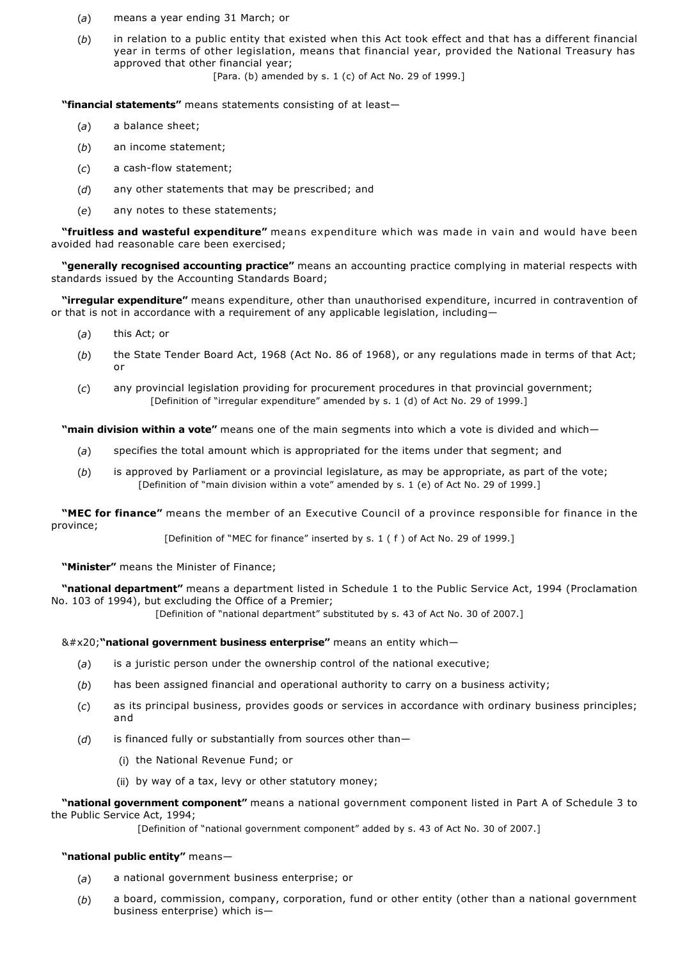- (*a*) means a year ending 31 March; or
- (*b*) in relation to a public entity that existed when this Act took effect and that has a different financial year in terms of other legislation, means that financial year, provided the National Treasury has approved that other financial year; [Para. (b) amended by s. 1 (c) of Act No. 29 of 1999.]

**"financial statements"** means statements consisting of at least—

- (*a*) a balance sheet;
- (*b*) an income statement;
- (c) a cash-flow statement;
- (*d*) any other statements that may be prescribed; and
- (*e*) any notes to these statements;

**"fruitless and wasteful expenditure"** means expenditure which was made in vain and would have been avoided had reasonable care been exercised;

**"generally recognised accounting practice"** means an accounting practice complying in material respects with standards issued by the Accounting Standards Board;

**"irregular expenditure"** means expenditure, other than unauthorised expenditure, incurred in contravention of or that is not in accordance with a requirement of any applicable legislation, including—

- (*a*) this Act; or
- (*b*) the State Tender Board Act, 1968 (Act No. 86 of 1968), or any regulations made in terms of that Act; or
- (*c*) any provincial legislation providing for procurement procedures in that provincial government; [Definition of "irregular expenditure" amended by s. 1 (d) of Act No. 29 of 1999.]

**"main division within a vote"** means one of the main segments into which a vote is divided and which—

- (*a*) specifies the total amount which is appropriated for the items under that segment; and
- (*b*) is approved by Parliament or a provincial legislature, as may be appropriate, as part of the vote; [Definition of "main division within a vote" amended by s. 1 (e) of Act No. 29 of 1999.]

**"MEC for finance"** means the member of an Executive Council of a province responsible for finance in the province;

[Definition of "MEC for finance" inserted by s. 1 ( f ) of Act No. 29 of 1999.]

**"Minister"** means the Minister of Finance;

**"national department"** means a department listed in Schedule 1 to the Public Service Act, 1994 (Proclamation No. 103 of 1994), but excluding the Office of a Premier;

[Definition of "national department" substituted by s. 43 of Act No. 30 of 2007.]

**"national government business enterprise"** means an entity which—

- (*a*) is a juristic person under the ownership control of the national executive;
- (*b*) has been assigned financial and operational authority to carry on a business activity;
- (*c*) as its principal business, provides goods or services in accordance with ordinary business principles; and
- (*d*) is financed fully or substantially from sources other than—
	- (i) the National Revenue Fund; or
	- (ii) by way of a tax, levy or other statutory money;

**"national government component"** means a national government component listed in Part A of Schedule 3 to the Public Service Act, 1994;

[Definition of "national government component" added by s. 43 of Act No. 30 of 2007.]

## **"national public entity"** means—

- (*a*) a national government business enterprise; or
- (*b*) a board, commission, company, corporation, fund or other entity (other than a national government business enterprise) which is—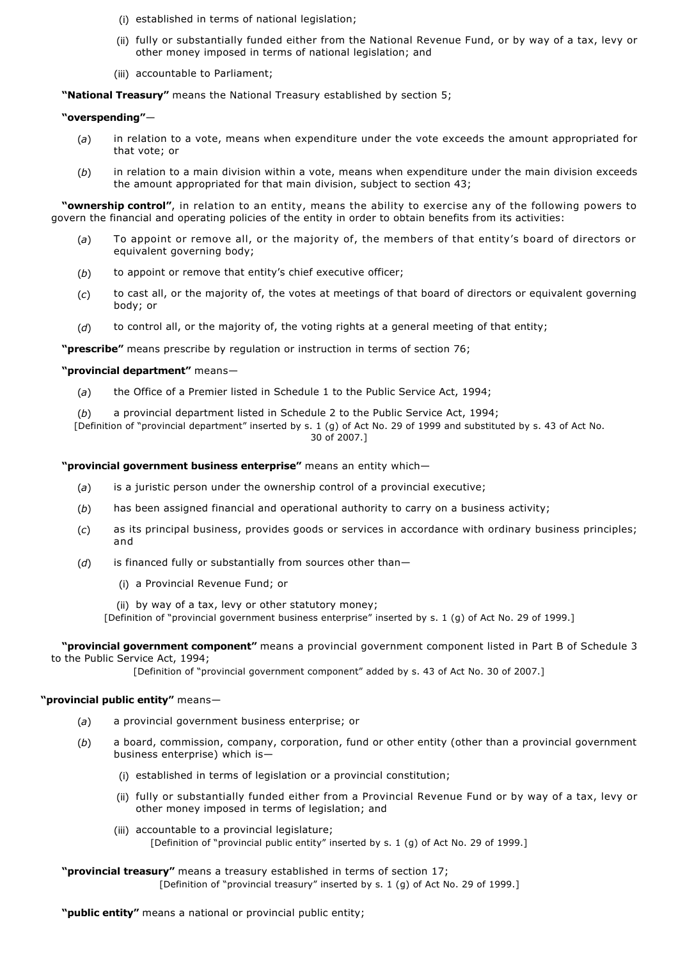- (i) established in terms of national legislation;
- (ii) fully or substantially funded either from the National Revenue Fund, or by way of a tax, levy or other money imposed in terms of national legislation; and
- (iii) accountable to Parliament;

**"National Treasury"** means the National Treasury established by section 5;

## **"overspending"**—

- (*a*) in relation to a vote, means when expenditure under the vote exceeds the amount appropriated for that vote; or
- (*b*) in relation to a main division within a vote, means when expenditure under the main division exceeds the amount appropriated for that main division, subject to section 43;

**"ownership control"**, in relation to an entity, means the ability to exercise any of the following powers to govern the financial and operating policies of the entity in order to obtain benefits from its activities:

- (*a*) To appoint or remove all, or the majority of, the members of that entity's board of directors or equivalent governing body;
- (*b*) to appoint or remove that entity's chief executive officer;
- (*c*) to cast all, or the majority of, the votes at meetings of that board of directors or equivalent governing body; or
- (*d*) to control all, or the majority of, the voting rights at a general meeting of that entity;

**"prescribe"** means prescribe by regulation or instruction in terms of section 76;

## **"provincial department"** means—

- (*a*) the Office of a Premier listed in Schedule 1 to the Public Service Act, 1994;
- (*b*) a provincial department listed in Schedule 2 to the Public Service Act, 1994;

[Definition of "provincial department" inserted by s. 1 (g) of Act No. 29 of 1999 and substituted by s. 43 of Act No. 30 of 2007.]

**"provincial government business enterprise"** means an entity which—

- (*a*) is a juristic person under the ownership control of a provincial executive;
- (*b*) has been assigned financial and operational authority to carry on a business activity;
- (*c*) as its principal business, provides goods or services in accordance with ordinary business principles; and
- (*d*) is financed fully or substantially from sources other than—
	- (i) a Provincial Revenue Fund; or
	- (ii) by way of a tax, levy or other statutory money;

[Definition of "provincial government business enterprise" inserted by s. 1 (g) of Act No. 29 of 1999.]

**"provincial government component"** means a provincial government component listed in Part B of Schedule 3 to the Public Service Act, 1994;

[Definition of "provincial government component" added by s. 43 of Act No. 30 of 2007.]

## **"provincial public entity"** means—

- (*a*) a provincial government business enterprise; or
- (*b*) a board, commission, company, corporation, fund or other entity (other than a provincial government business enterprise) which is—
	- (i) established in terms of legislation or a provincial constitution;
	- (ii) fully or substantially funded either from a Provincial Revenue Fund or by way of a tax, levy or other money imposed in terms of legislation; and
	- (iii) accountable to a provincial legislature; [Definition of "provincial public entity" inserted by s. 1 (g) of Act No. 29 of 1999.]

**"provincial treasury"** means a treasury established in terms of section 17;

[Definition of "provincial treasury" inserted by s. 1 (g) of Act No. 29 of 1999.]

## **"public entity"** means a national or provincial public entity;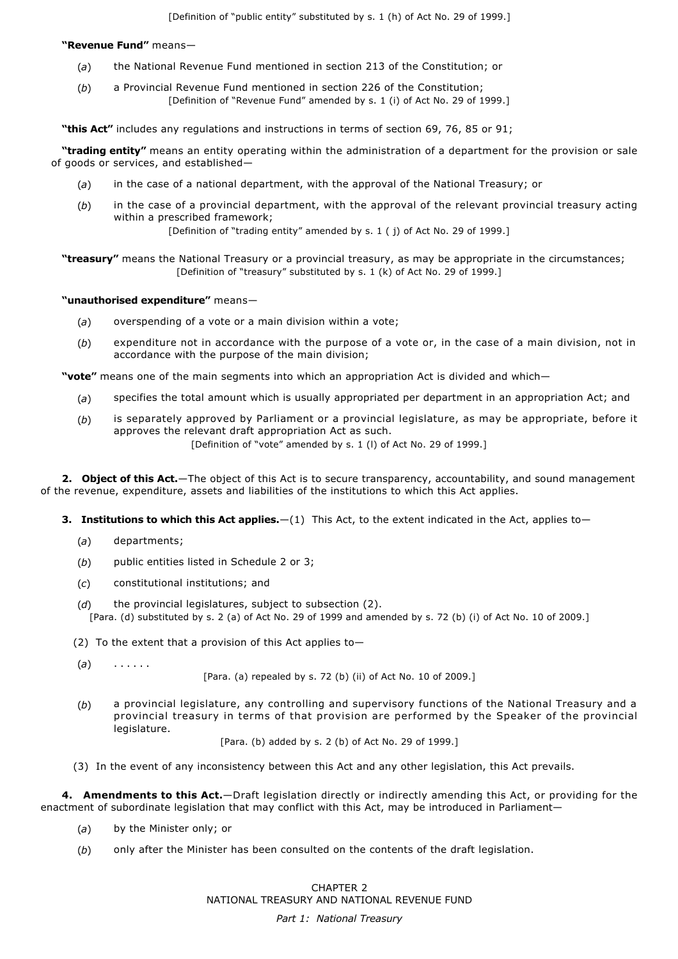**"Revenue Fund"** means—

- (*a*) the National Revenue Fund mentioned in section 213 of the Constitution; or
- (*b*) a Provincial Revenue Fund mentioned in section 226 of the Constitution; [Definition of "Revenue Fund" amended by s. 1 (i) of Act No. 29 of 1999.]

**"this Act"** includes any regulations and instructions in terms of section 69, 76, 85 or 91;

**"trading entity"** means an entity operating within the administration of a department for the provision or sale of goods or services, and established—

- (*a*) in the case of a national department, with the approval of the National Treasury; or
- (*b*) in the case of a provincial department, with the approval of the relevant provincial treasury acting within a prescribed framework;

[Definition of "trading entity" amended by s. 1 ( j) of Act No. 29 of 1999.]

**"treasury"** means the National Treasury or a provincial treasury, as may be appropriate in the circumstances; [Definition of "treasury" substituted by s. 1 (k) of Act No. 29 of 1999.]

## **"unauthorised expenditure"** means—

- (*a*) overspending of a vote or a main division within a vote;
- (*b*) expenditure not in accordance with the purpose of a vote or, in the case of a main division, not in accordance with the purpose of the main division;

**"vote"** means one of the main segments into which an appropriation Act is divided and which—

- (*a*) specifies the total amount which is usually appropriated per department in an appropriation Act; and
- (*b*) is separately approved by Parliament or a provincial legislature, as may be appropriate, before it approves the relevant draft appropriation Act as such. [Definition of "vote" amended by s. 1 (I) of Act No. 29 of 1999.]

**2. Object of this Act.**—The object of this Act is to secure transparency, accountability, and sound management of the revenue, expenditure, assets and liabilities of the institutions to which this Act applies.

- **3. Institutions to which this Act applies.**—(1) This Act, to the extent indicated in the Act, applies to—
	- (*a*) departments;
	- (*b*) public entities listed in Schedule 2 or 3;
	- (*c*) constitutional institutions; and
	- (*d*) the provincial legislatures, subject to subsection (2). [Para. (d) substituted by s. 2 (a) of Act No. 29 of 1999 and amended by s. 72 (b) (i) of Act No. 10 of 2009.]
	- (2) To the extent that a provision of this Act applies to-

(*a*) . . . . . .

[Para. (a) repealed by s. 72 (b) (ii) of Act No. 10 of 2009.]

(*b*) a provincial legislature, any controlling and supervisory functions of the National Treasury and a provincial treasury in terms of that provision are performed by the Speaker of the provincial legislature.

[Para. (b) added by s. 2 (b) of Act No. 29 of 1999.]

(3) In the event of any inconsistency between this Act and any other legislation, this Act prevails.

**4. Amendments to this Act.**—Draft legislation directly or indirectly amending this Act, or providing for the enactment of subordinate legislation that may conflict with this Act, may be introduced in Parliament—

- (*a*) by the Minister only; or
- (*b*) only after the Minister has been consulted on the contents of the draft legislation.

CHAPTER 2 NATIONAL TREASURY AND NATIONAL REVENUE FUND

*Part 1: National Treasury*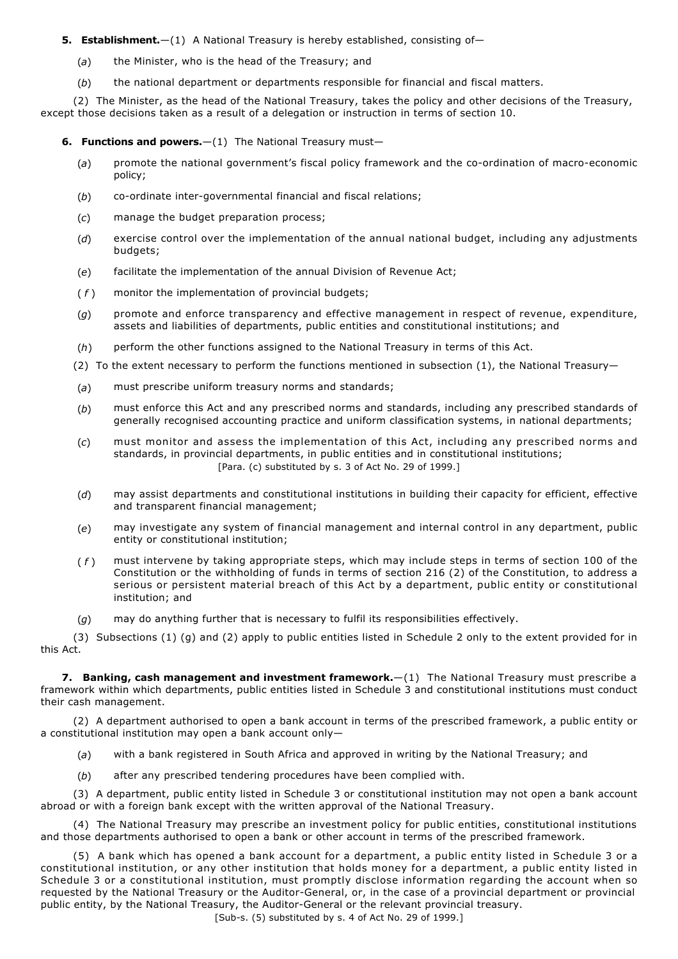# **5. Establishment.**—(1) A National Treasury is hereby established, consisting of—

- (*a*) the Minister, who is the head of the Treasury; and
- (*b*) the national department or departments responsible for financial and fiscal matters.

(2) The Minister, as the head of the National Treasury, takes the policy and other decisions of the Treasury, except those decisions taken as a result of a delegation or instruction in terms of section 10.

**6. Functions and powers.** - (1) The National Treasury must-

- (a) promote the national government's fiscal policy framework and the co-ordination of macro-economic policy;
- (b) co-ordinate inter-governmental financial and fiscal relations;
- (*c*) manage the budget preparation process;
- (*d*) exercise control over the implementation of the annual national budget, including any adjustments budgets;
- (*e*) facilitate the implementation of the annual Division of Revenue Act;
- ( *f* ) monitor the implementation of provincial budgets;
- (*g*) promote and enforce transparency and effective management in respect of revenue, expenditure, assets and liabilities of departments, public entities and constitutional institutions; and
- (*h*) perform the other functions assigned to the National Treasury in terms of this Act.
- (2) To the extent necessary to perform the functions mentioned in subsection  $(1)$ , the National Treasury-
- (*a*) must prescribe uniform treasury norms and standards;
- (*b*) must enforce this Act and any prescribed norms and standards, including any prescribed standards of generally recognised accounting practice and uniform classification systems, in national departments;
- (*c*) must monitor and assess the implementation of this Act, including any prescribed norms and standards, in provincial departments, in public entities and in constitutional institutions; [Para. (c) substituted by s. 3 of Act No. 29 of 1999.]
- (*d*) may assist departments and constitutional institutions in building their capacity for efficient, effective and transparent financial management;
- (*e*) may investigate any system of financial management and internal control in any department, public entity or constitutional institution;
- ( *f* ) must intervene by taking appropriate steps, which may include steps in terms of section 100 of the Constitution or the withholding of funds in terms of section 216 (2) of the Constitution, to address a serious or persistent material breach of this Act by a department, public entity or constitutional institution; and
- (*g*) may do anything further that is necessary to fulfil its responsibilities effectively.

(3) Subsections (1) (g) and (2) apply to public entities listed in Schedule 2 only to the extent provided for in this Act.

**7. Banking, cash management and investment framework.**—(1) The National Treasury must prescribe a framework within which departments, public entities listed in Schedule 3 and constitutional institutions must conduct their cash management.

(2) A department authorised to open a bank account in terms of the prescribed framework, a public entity or a constitutional institution may open a bank account only—

- (*a*) with a bank registered in South Africa and approved in writing by the National Treasury; and
- (*b*) after any prescribed tendering procedures have been complied with.

(3) A department, public entity listed in Schedule 3 or constitutional institution may not open a bank account abroad or with a foreign bank except with the written approval of the National Treasury.

(4) The National Treasury may prescribe an investment policy for public entities, constitutional institutions and those departments authorised to open a bank or other account in terms of the prescribed framework.

(5) A bank which has opened a bank account for a department, a public entity listed in Schedule 3 or a constitutional institution, or any other institution that holds money for a department, a public entity listed in Schedule 3 or a constitutional institution, must promptly disclose information regarding the account when so requested by the National Treasury or the Auditor-General, or, in the case of a provincial department or provincial public entity, by the National Treasury, the Auditor-General or the relevant provincial treasury.

[Sub-s. (5) substituted by s. 4 of Act No. 29 of 1999.]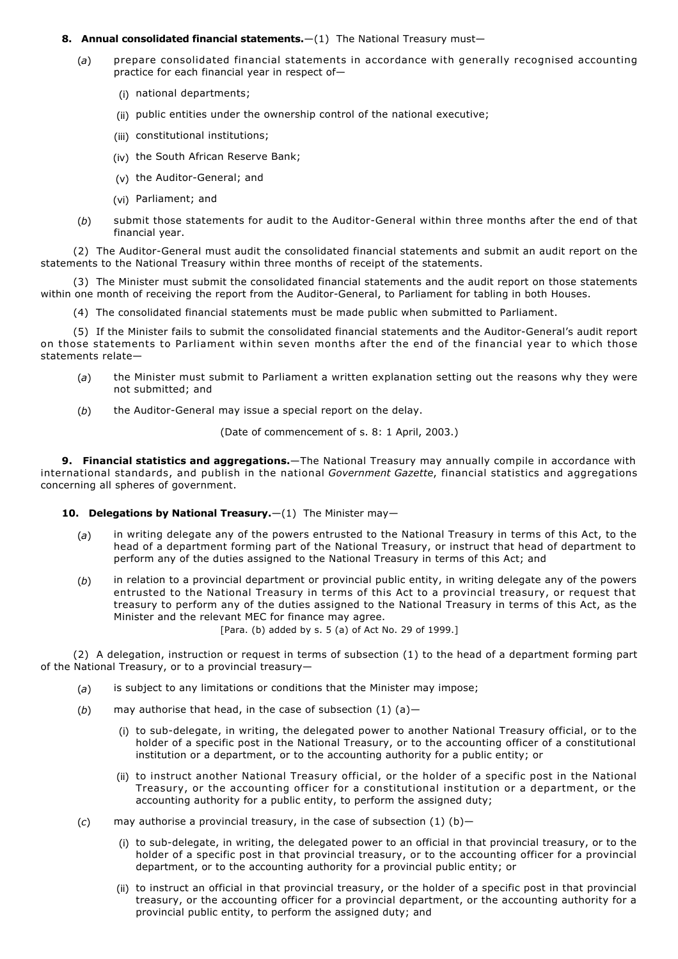## **8. Annual consolidated financial statements.**—(1) The National Treasury must—

- (*a*) prepare consolidated financial statements in accordance with generally recognised accounting practice for each financial year in respect of—
	- (i) national departments;
	- (ii) public entities under the ownership control of the national executive;
	- (iii) constitutional institutions;
	- (iv) the South African Reserve Bank;
	- $(v)$  the Auditor-General; and
	- (vi) Parliament; and
- (b) submit those statements for audit to the Auditor-General within three months after the end of that financial year.

(2) The Auditor-General must audit the consolidated financial statements and submit an audit report on the statements to the National Treasury within three months of receipt of the statements.

(3) The Minister must submit the consolidated financial statements and the audit report on those statements within one month of receiving the report from the Auditor-General, to Parliament for tabling in both Houses.

(4) The consolidated financial statements must be made public when submitted to Parliament.

(5) If the Minister fails to submit the consolidated financial statements and the Auditor-General's audit report on those statements to Parliament within seven months after the end of the financial year to which those statements relate—

- (*a*) the Minister must submit to Parliament a written explanation setting out the reasons why they were not submitted; and
- (b) the Auditor-General may issue a special report on the delay.

(Date of commencement of s. 8: 1 April, 2003.)

**9. Financial statistics and aggregations.**—The National Treasury may annually compile in accordance with international standards, and publish in the national *Government Gazette*, financial statistics and aggregations concerning all spheres of government.

## **10. Delegations by National Treasury.**  $-(1)$  The Minister may-

- (*a*) in writing delegate any of the powers entrusted to the National Treasury in terms of this Act, to the head of a department forming part of the National Treasury, or instruct that head of department to perform any of the duties assigned to the National Treasury in terms of this Act; and
- (*b*) in relation to a provincial department or provincial public entity, in writing delegate any of the powers entrusted to the National Treasury in terms of this Act to a provincial treasury, or request that treasury to perform any of the duties assigned to the National Treasury in terms of this Act, as the Minister and the relevant MEC for finance may agree.

[Para. (b) added by s. 5 (a) of Act No. 29 of 1999.]

(2) A delegation, instruction or request in terms of subsection (1) to the head of a department forming part of the National Treasury, or to a provincial treasury—

- (*a*) is subject to any limitations or conditions that the Minister may impose;
- (*b*) may authorise that head, in the case of subsection (1) (a)—
	- (i) to sub-delegate, in writing, the delegated power to another National Treasury official, or to the holder of a specific post in the National Treasury, or to the accounting officer of a constitutional institution or a department, or to the accounting authority for a public entity; or
	- (ii) to instruct another National Treasury official, or the holder of a specific post in the National Treasury, or the accounting officer for a constitutional institution or a department, or the accounting authority for a public entity, to perform the assigned duty;
- (*c*) may authorise a provincial treasury, in the case of subsection (1) (b)—
	- (i) to sub-delegate, in writing, the delegated power to an official in that provincial treasury, or to the holder of a specific post in that provincial treasury, or to the accounting officer for a provincial department, or to the accounting authority for a provincial public entity; or
	- (ii) to instruct an official in that provincial treasury, or the holder of a specific post in that provincial treasury, or the accounting officer for a provincial department, or the accounting authority for a provincial public entity, to perform the assigned duty; and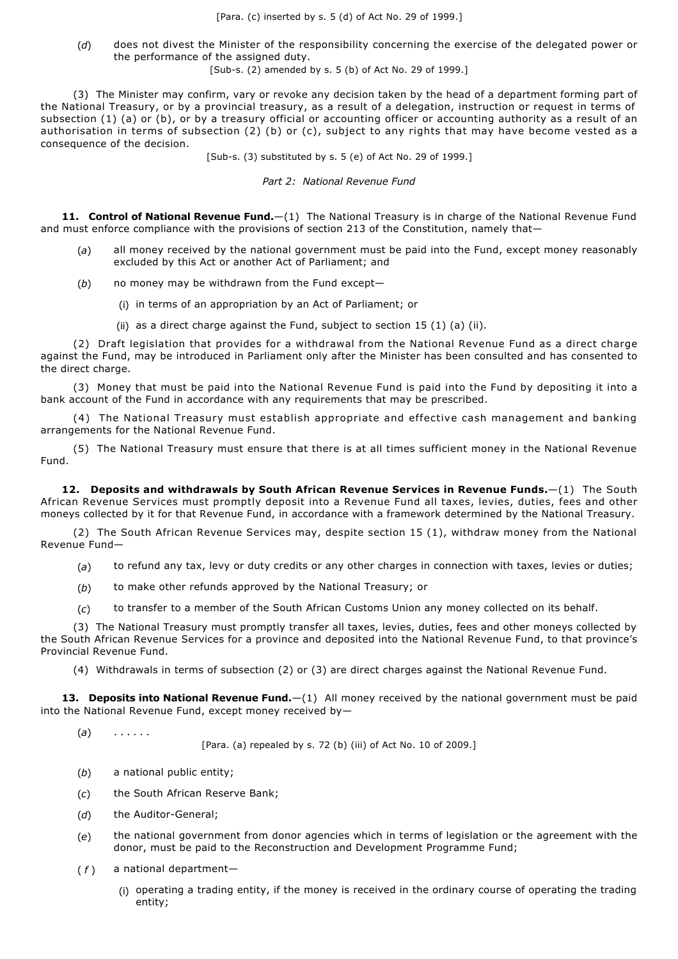(*d*) does not divest the Minister of the responsibility concerning the exercise of the delegated power or the performance of the assigned duty.

[Sub-s. (2) amended by s. 5 (b) of Act No. 29 of 1999.]

(3) The Minister may confirm, vary or revoke any decision taken by the head of a department forming part of the National Treasury, or by a provincial treasury, as a result of a delegation, instruction or request in terms of subsection (1) (a) or (b), or by a treasury official or accounting officer or accounting authority as a result of an authorisation in terms of subsection (2) (b) or (c), subject to any rights that may have become vested as a consequence of the decision.

 $[Sub-s. (3)$  substituted by s. 5 (e) of Act No. 29 of 1999.]

*Part 2: National Revenue Fund*

**11. Control of National Revenue Fund.**—(1) The National Treasury is in charge of the National Revenue Fund and must enforce compliance with the provisions of section 213 of the Constitution, namely that-

- (*a*) all money received by the national government must be paid into the Fund, except money reasonably excluded by this Act or another Act of Parliament; and
- (*b*) no money may be withdrawn from the Fund except—
	- (i) in terms of an appropriation by an Act of Parliament; or
	- (ii) as a direct charge against the Fund, subject to section  $15(1)(a)(ii)$ .

(2) Draft legislation that provides for a withdrawal from the National Revenue Fund as a direct charge against the Fund, may be introduced in Parliament only after the Minister has been consulted and has consented to the direct charge.

(3) Money that must be paid into the National Revenue Fund is paid into the Fund by depositing it into a bank account of the Fund in accordance with any requirements that may be prescribed.

(4) The National Treasury must establish appropriate and effective cash management and banking arrangements for the National Revenue Fund.

(5) The National Treasury must ensure that there is at all times sufficient money in the National Revenue Fund.

**12. Deposits and withdrawals by South African Revenue Services in Revenue Funds.**—(1) The South African Revenue Services must promptly deposit into a Revenue Fund all taxes, levies, duties, fees and other moneys collected by it for that Revenue Fund, in accordance with a framework determined by the National Treasury.

(2) The South African Revenue Services may, despite section 15 (1), withdraw money from the National Revenue Fund—

- (*a*) to refund any tax, levy or duty credits or any other charges in connection with taxes, levies or duties;
- (*b*) to make other refunds approved by the National Treasury; or
- (*c*) to transfer to a member of the South African Customs Union any money collected on its behalf.

(3) The National Treasury must promptly transfer all taxes, levies, duties, fees and other moneys collected by the South African Revenue Services for a province and deposited into the National Revenue Fund, to that province's Provincial Revenue Fund.

(4) Withdrawals in terms of subsection (2) or (3) are direct charges against the National Revenue Fund.

**13. Deposits into National Revenue Fund.**—(1) All money received by the national government must be paid into the National Revenue Fund, except money received by—

(*a*) . . . . . .

[Para. (a) repealed by s. 72 (b) (iii) of Act No. 10 of 2009.]

- (*b*) a national public entity;
- (*c*) the South African Reserve Bank;
- (d) the Auditor-General;
- (*e*) the national government from donor agencies which in terms of legislation or the agreement with the donor, must be paid to the Reconstruction and Development Programme Fund;
- (*f*) a national department-
	- (i) operating a trading entity, if the money is received in the ordinary course of operating the trading entity;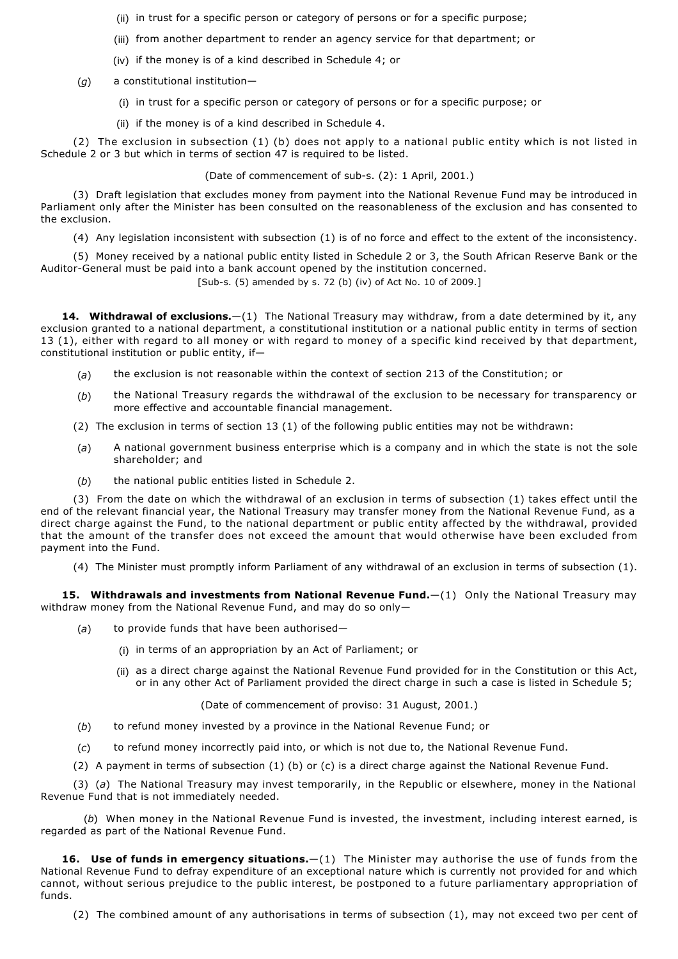- (ii) in trust for a specific person or category of persons or for a specific purpose;
- (iii) from another department to render an agency service for that department; or
- (iv) if the money is of a kind described in Schedule 4; or
- (*g*) a constitutional institution—
	- (i) in trust for a specific person or category of persons or for a specific purpose; or
	- (ii) if the money is of a kind described in Schedule 4.

(2) The exclusion in subsection (1) (b) does not apply to a national public entity which is not listed in Schedule 2 or 3 but which in terms of section 47 is required to be listed.

(Date of commencement of sub-s. (2): 1 April, 2001.)

(3) Draft legislation that excludes money from payment into the National Revenue Fund may be introduced in Parliament only after the Minister has been consulted on the reasonableness of the exclusion and has consented to the exclusion.

(4) Any legislation inconsistent with subsection (1) is of no force and effect to the extent of the inconsistency.

(5) Money received by a national public entity listed in Schedule 2 or 3, the South African Reserve Bank or the Auditor-General must be paid into a bank account opened by the institution concerned.

[Sub-s. (5) amended by s. 72 (b) (iv) of Act No. 10 of 2009.]

**14. Withdrawal of exclusions.**—(1) The National Treasury may withdraw, from a date determined by it, any exclusion granted to a national department, a constitutional institution or a national public entity in terms of section 13 (1), either with regard to all money or with regard to money of a specific kind received by that department, constitutional institution or public entity, if—

- (*a*) the exclusion is not reasonable within the context of section 213 of the Constitution; or
- (*b*) the National Treasury regards the withdrawal of the exclusion to be necessary for transparency or more effective and accountable financial management.
- (2) The exclusion in terms of section 13 (1) of the following public entities may not be withdrawn:
- (*a*) A national government business enterprise which is a company and in which the state is not the sole shareholder; and
- (*b*) the national public entities listed in Schedule 2.

(3) From the date on which the withdrawal of an exclusion in terms of subsection (1) takes effect until the end of the relevant financial year, the National Treasury may transfer money from the National Revenue Fund, as a direct charge against the Fund, to the national department or public entity affected by the withdrawal, provided that the amount of the transfer does not exceed the amount that would otherwise have been excluded from payment into the Fund.

(4) The Minister must promptly inform Parliament of any withdrawal of an exclusion in terms of subsection (1).

**15. Withdrawals and investments from National Revenue Fund.**—(1) Only the National Treasury may withdraw money from the National Revenue Fund, and may do so only—

- (*a*) to provide funds that have been authorised—
	- (i) in terms of an appropriation by an Act of Parliament; or
	- (ii) as a direct charge against the National Revenue Fund provided for in the Constitution or this Act, or in any other Act of Parliament provided the direct charge in such a case is listed in Schedule 5;

(Date of commencement of proviso: 31 August, 2001.)

- (*b*) to refund money invested by a province in the National Revenue Fund; or
- (*c*) to refund money incorrectly paid into, or which is not due to, the National Revenue Fund.
- (2) A payment in terms of subsection (1) (b) or (c) is a direct charge against the National Revenue Fund.

(3) (*a*) The National Treasury may invest temporarily, in the Republic or elsewhere, money in the National Revenue Fund that is not immediately needed.

(*b*) When money in the National Revenue Fund is invested, the investment, including interest earned, is regarded as part of the National Revenue Fund.

**16. Use of funds in emergency situations.**—(1) The Minister may authorise the use of funds from the National Revenue Fund to defray expenditure of an exceptional nature which is currently not provided for and which cannot, without serious prejudice to the public interest, be postponed to a future parliamentary appropriation of funds.

(2) The combined amount of any authorisations in terms of subsection (1), may not exceed two per cent of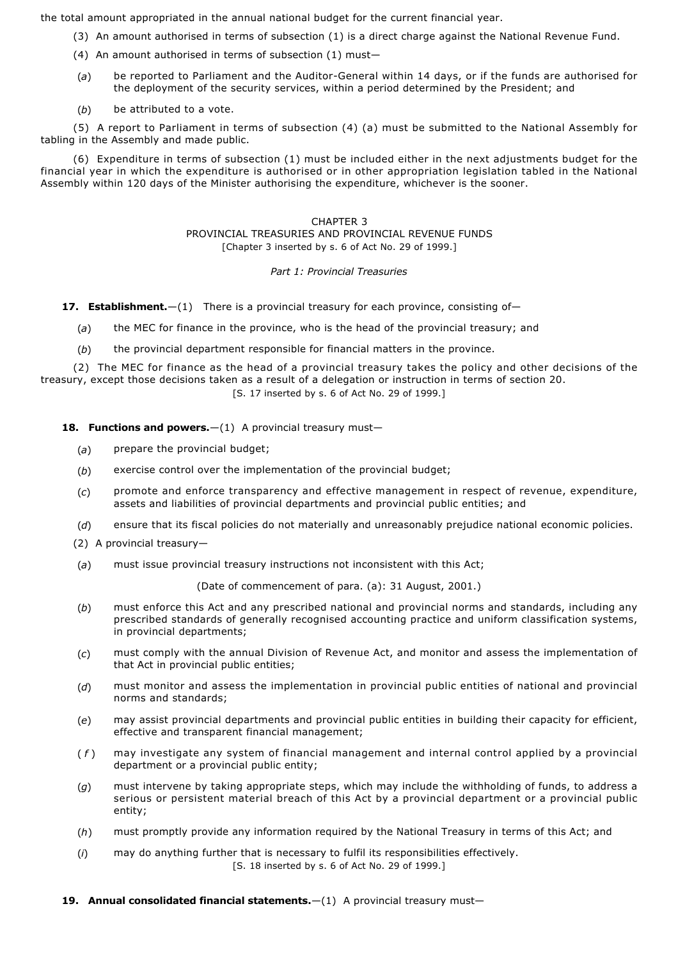the total amount appropriated in the annual national budget for the current financial year.

- (3) An amount authorised in terms of subsection (1) is a direct charge against the National Revenue Fund.
- (4) An amount authorised in terms of subsection (1) must—
- (a) be reported to Parliament and the Auditor-General within 14 days, or if the funds are authorised for the deployment of the security services, within a period determined by the President; and
- (*b*) be attributed to a vote.

(5) A report to Parliament in terms of subsection (4) (a) must be submitted to the National Assembly for tabling in the Assembly and made public.

(6) Expenditure in terms of subsection (1) must be included either in the next adjustments budget for the financial year in which the expenditure is authorised or in other appropriation legislation tabled in the National Assembly within 120 days of the Minister authorising the expenditure, whichever is the sooner.

# CHAPTER 3

PROVINCIAL TREASURIES AND PROVINCIAL REVENUE FUNDS [Chapter 3 inserted by s. 6 of Act No. 29 of 1999.]

# *Part 1: Provincial Treasuries*

- **17. Establishment.**—(1) There is a provincial treasury for each province, consisting of—
	- (*a*) the MEC for finance in the province, who is the head of the provincial treasury; and
	- (*b*) the provincial department responsible for financial matters in the province.

(2) The MEC for finance as the head of a provincial treasury takes the policy and other decisions of the treasury, except those decisions taken as a result of a delegation or instruction in terms of section 20. [S. 17 inserted by s. 6 of Act No. 29 of 1999.]

**18. Functions and powers.** - (1) A provincial treasury must-

- (*a*) prepare the provincial budget;
- (*b*) exercise control over the implementation of the provincial budget;
- (*c*) promote and enforce transparency and effective management in respect of revenue, expenditure, assets and liabilities of provincial departments and provincial public entities; and
- (*d*) ensure that its fiscal policies do not materially and unreasonably prejudice national economic policies.
- (2) A provincial treasury—
- (*a*) must issue provincial treasury instructions not inconsistent with this Act;

(Date of commencement of para. (a): 31 August, 2001.)

- (*b*) must enforce this Act and any prescribed national and provincial norms and standards, including any prescribed standards of generally recognised accounting practice and uniform classification systems, in provincial departments;
- (*c*) must comply with the annual Division of Revenue Act, and monitor and assess the implementation of that Act in provincial public entities;
- (*d*) must monitor and assess the implementation in provincial public entities of national and provincial norms and standards;
- (*e*) may assist provincial departments and provincial public entities in building their capacity for efficient, effective and transparent financial management;
- ( *f* ) may investigate any system of financial management and internal control applied by a provincial department or a provincial public entity;
- (*g*) must intervene by taking appropriate steps, which may include the withholding of funds, to address a serious or persistent material breach of this Act by a provincial department or a provincial public entity;
- (*h*) must promptly provide any information required by the National Treasury in terms of this Act; and
- (*i*) may do anything further that is necessary to fulfil its responsibilities effectively. [S. 18 inserted by s. 6 of Act No. 29 of 1999.]
- **19. Annual consolidated financial statements.**—(1) A provincial treasury must—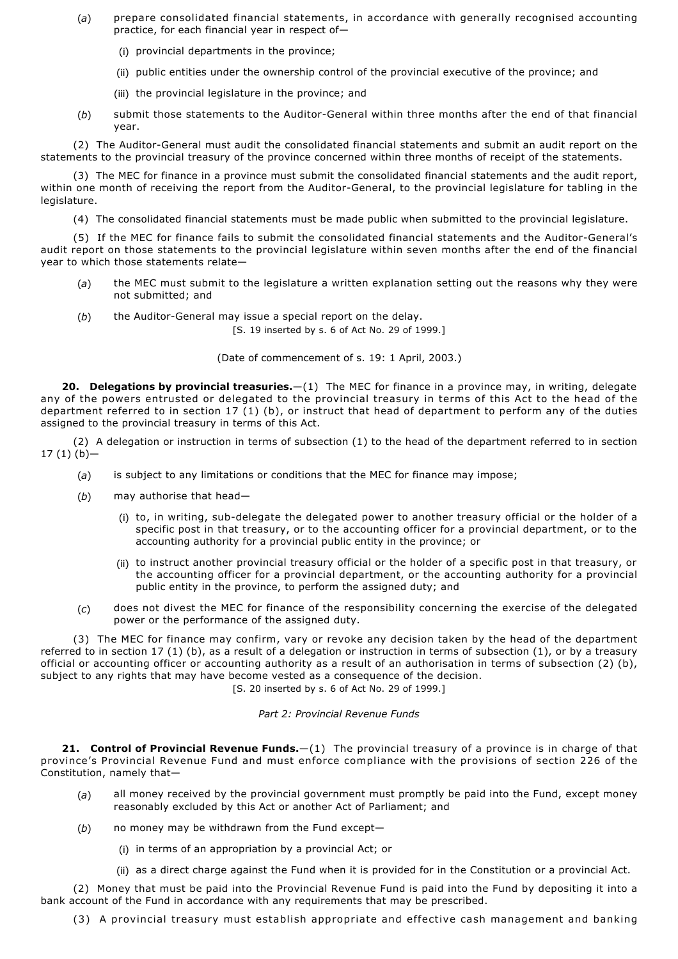- (*a*) prepare consolidated financial statements, in accordance with generally recognised accounting practice, for each financial year in respect of—
	- (i) provincial departments in the province;
	- (ii) public entities under the ownership control of the provincial executive of the province; and
	- (iii) the provincial legislature in the province; and
- (b) submit those statements to the Auditor-General within three months after the end of that financial year.

(2) The Auditor-General must audit the consolidated financial statements and submit an audit report on the statements to the provincial treasury of the province concerned within three months of receipt of the statements.

(3) The MEC for finance in a province must submit the consolidated financial statements and the audit report, within one month of receiving the report from the Auditor-General, to the provincial legislature for tabling in the legislature.

(4) The consolidated financial statements must be made public when submitted to the provincial legislature.

(5) If the MEC for finance fails to submit the consolidated financial statements and the Auditor-General's audit report on those statements to the provincial legislature within seven months after the end of the financial year to which those statements relate—

- (*a*) the MEC must submit to the legislature a written explanation setting out the reasons why they were not submitted; and
- (b) the Auditor-General may issue a special report on the delay. [S. 19 inserted by s. 6 of Act No. 29 of 1999.]

(Date of commencement of s. 19: 1 April, 2003.)

**20. Delegations by provincial treasuries.**—(1) The MEC for finance in a province may, in writing, delegate any of the powers entrusted or delegated to the provincial treasury in terms of this Act to the head of the department referred to in section 17 (1) (b), or instruct that head of department to perform any of the duties assigned to the provincial treasury in terms of this Act.

(2) A delegation or instruction in terms of subsection (1) to the head of the department referred to in section  $17(1)(b)$ -

- (*a*) is subject to any limitations or conditions that the MEC for finance may impose;
- (*b*) may authorise that head—
	- (i) to, in writing, sub-delegate the delegated power to another treasury official or the holder of a specific post in that treasury, or to the accounting officer for a provincial department, or to the accounting authority for a provincial public entity in the province; or
	- (ii) to instruct another provincial treasury official or the holder of a specific post in that treasury, or the accounting officer for a provincial department, or the accounting authority for a provincial public entity in the province, to perform the assigned duty; and
- (*c*) does not divest the MEC for finance of the responsibility concerning the exercise of the delegated power or the performance of the assigned duty.

(3) The MEC for finance may confirm, vary or revoke any decision taken by the head of the department referred to in section 17 (1) (b), as a result of a delegation or instruction in terms of subsection (1), or by a treasury official or accounting officer or accounting authority as a result of an authorisation in terms of subsection (2) (b), subject to any rights that may have become vested as a consequence of the decision.

[S. 20 inserted by s. 6 of Act No. 29 of 1999.]

## *Part 2: Provincial Revenue Funds*

**21. Control of Provincial Revenue Funds.**—(1) The provincial treasury of a province is in charge of that province's Provincial Revenue Fund and must enforce compliance with the provisions of section 226 of the Constitution, namely that—

- (*a*) all money received by the provincial government must promptly be paid into the Fund, except money reasonably excluded by this Act or another Act of Parliament; and
- (*b*) no money may be withdrawn from the Fund except—
	- (i) in terms of an appropriation by a provincial Act; or
	- (ii) as a direct charge against the Fund when it is provided for in the Constitution or a provincial Act.

(2) Money that must be paid into the Provincial Revenue Fund is paid into the Fund by depositing it into a bank account of the Fund in accordance with any requirements that may be prescribed.

(3) A provincial treasury must establish appropriate and effective cash management and banking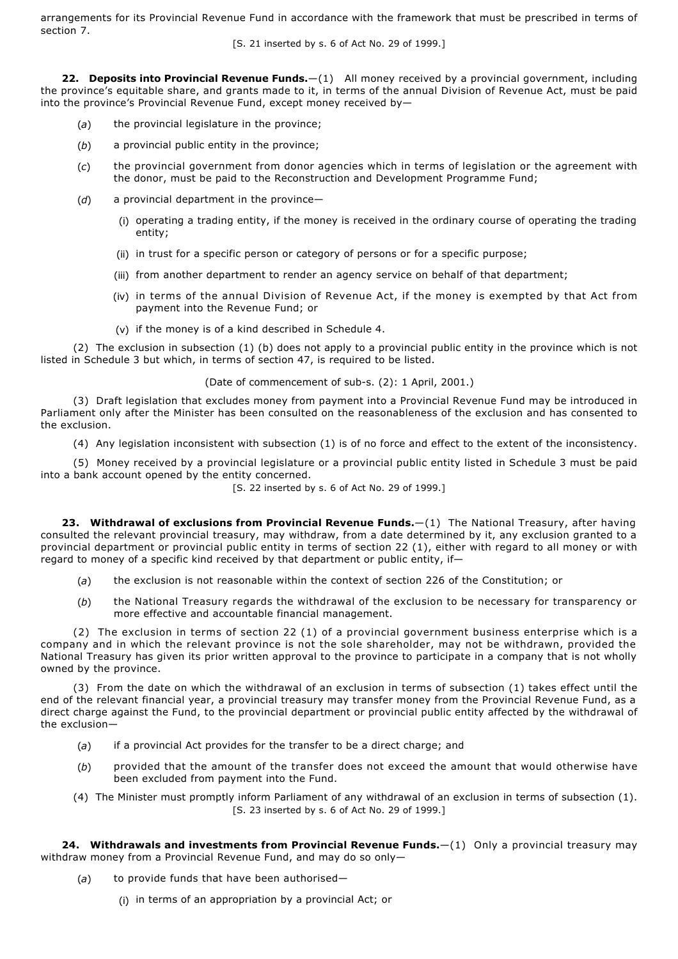arrangements for its Provincial Revenue Fund in accordance with the framework that must be prescribed in terms of section 7.

[S. 21 inserted by s. 6 of Act No. 29 of 1999.]

**22. Deposits into Provincial Revenue Funds.**—(1) All money received by a provincial government, including the province's equitable share, and grants made to it, in terms of the annual Division of Revenue Act, must be paid into the province's Provincial Revenue Fund, except money received by—

- (*a*) the provincial legislature in the province;
- (*b*) a provincial public entity in the province;
- (*c*) the provincial government from donor agencies which in terms of legislation or the agreement with the donor, must be paid to the Reconstruction and Development Programme Fund;
- (*d*) a provincial department in the province—
	- (i) operating a trading entity, if the money is received in the ordinary course of operating the trading entity;
	- (ii) in trust for a specific person or category of persons or for a specific purpose;
	- (iii) from another department to render an agency service on behalf of that department;
	- (iv) in terms of the annual Division of Revenue Act, if the money is exempted by that Act from payment into the Revenue Fund; or
	- (v) if the money is of a kind described in Schedule 4.

(2) The exclusion in subsection (1) (b) does not apply to a provincial public entity in the province which is not listed in Schedule 3 but which, in terms of section 47, is required to be listed.

(Date of commencement of sub-s. (2): 1 April, 2001.)

(3) Draft legislation that excludes money from payment into a Provincial Revenue Fund may be introduced in Parliament only after the Minister has been consulted on the reasonableness of the exclusion and has consented to the exclusion.

(4) Any legislation inconsistent with subsection (1) is of no force and effect to the extent of the inconsistency.

(5) Money received by a provincial legislature or a provincial public entity listed in Schedule 3 must be paid into a bank account opened by the entity concerned.

[S. 22 inserted by s. 6 of Act No. 29 of 1999.]

**23. Withdrawal of exclusions from Provincial Revenue Funds.**—(1) The National Treasury, after having consulted the relevant provincial treasury, may withdraw, from a date determined by it, any exclusion granted to a provincial department or provincial public entity in terms of section 22 (1), either with regard to all money or with regard to money of a specific kind received by that department or public entity, if—

- (*a*) the exclusion is not reasonable within the context of section 226 of the Constitution; or
- (*b*) the National Treasury regards the withdrawal of the exclusion to be necessary for transparency or more effective and accountable financial management.

(2) The exclusion in terms of section 22 (1) of a provincial government business enterprise which is a company and in which the relevant province is not the sole shareholder, may not be withdrawn, provided the National Treasury has given its prior written approval to the province to participate in a company that is not wholly owned by the province.

(3) From the date on which the withdrawal of an exclusion in terms of subsection (1) takes effect until the end of the relevant financial year, a provincial treasury may transfer money from the Provincial Revenue Fund, as a direct charge against the Fund, to the provincial department or provincial public entity affected by the withdrawal of the exclusion—

- (*a*) if a provincial Act provides for the transfer to be a direct charge; and
- (*b*) provided that the amount of the transfer does not exceed the amount that would otherwise have been excluded from payment into the Fund.
- (4) The Minister must promptly inform Parliament of any withdrawal of an exclusion in terms of subsection (1). [S. 23 inserted by s. 6 of Act No. 29 of 1999.]

**24. Withdrawals and investments from Provincial Revenue Funds.**—(1) Only a provincial treasury may withdraw money from a Provincial Revenue Fund, and may do so only—

- (*a*) to provide funds that have been authorised—
	- (i) in terms of an appropriation by a provincial Act; or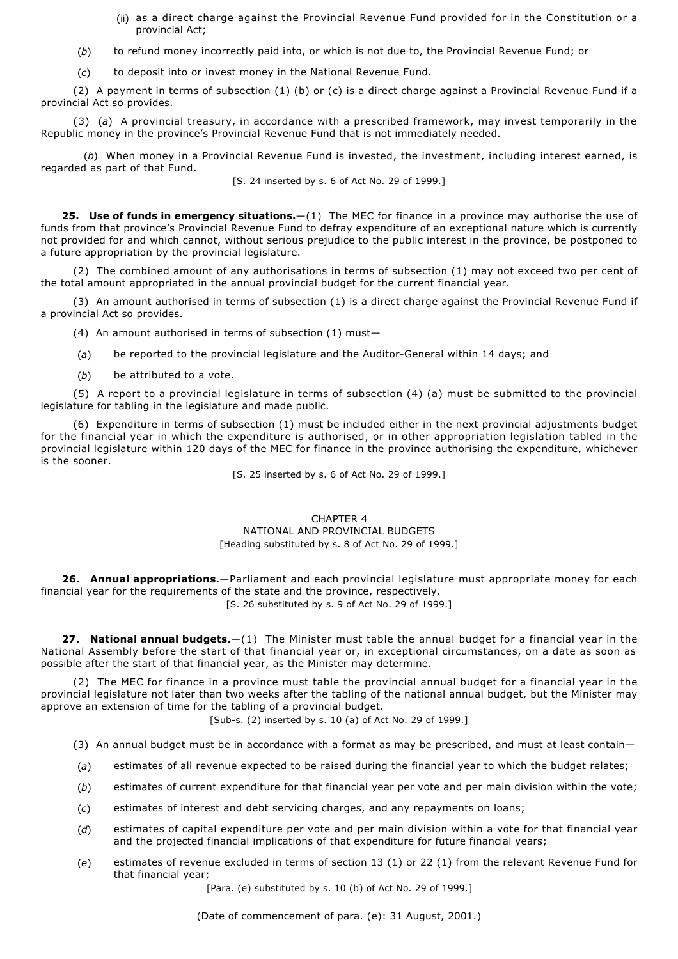- (ii) as a direct charge against the Provincial Revenue Fund provided for in the Constitution or a provincial Act;
- (*b*) to refund money incorrectly paid into, or which is not due to, the Provincial Revenue Fund; or
- (*c*) to deposit into or invest money in the National Revenue Fund.

(2) A payment in terms of subsection (1) (b) or (c) is a direct charge against a Provincial Revenue Fund if a provincial Act so provides.

(3) (*a*) A provincial treasury, in accordance with a prescribed framework, may invest temporarily in the Republic money in the province's Provincial Revenue Fund that is not immediately needed.

(*b*) When money in a Provincial Revenue Fund is invested, the investment, including interest earned, is regarded as part of that Fund.

[S. 24 inserted by s. 6 of Act No. 29 of 1999.]

**25. Use of funds in emergency situations.**—(1) The MEC for finance in a province may authorise the use of funds from that province's Provincial Revenue Fund to defray expenditure of an exceptional nature which is currently not provided for and which cannot, without serious prejudice to the public interest in the province, be postponed to a future appropriation by the provincial legislature.

(2) The combined amount of any authorisations in terms of subsection (1) may not exceed two per cent of the total amount appropriated in the annual provincial budget for the current financial year.

(3) An amount authorised in terms of subsection (1) is a direct charge against the Provincial Revenue Fund if a provincial Act so provides.

(4) An amount authorised in terms of subsection (1) must—

(a) be reported to the provincial legislature and the Auditor-General within 14 days; and

(*b*) be attributed to a vote.

(5) A report to a provincial legislature in terms of subsection (4) (a) must be submitted to the provincial legislature for tabling in the legislature and made public.

(6) Expenditure in terms of subsection (1) must be included either in the next provincial adjustments budget for the financial year in which the expenditure is authorised, or in other appropriation legislation tabled in the provincial legislature within 120 days of the MEC for finance in the province authorising the expenditure, whichever is the sooner.

[S. 25 inserted by s. 6 of Act No. 29 of 1999.]

## CHAPTER 4 NATIONAL AND PROVINCIAL BUDGETS [Heading substituted by s. 8 of Act No. 29 of 1999.]

**26. Annual appropriations.**—Parliament and each provincial legislature must appropriate money for each financial year for the requirements of the state and the province, respectively.

[S. 26 substituted by s. 9 of Act No. 29 of 1999.]

**27. National annual budgets.**—(1) The Minister must table the annual budget for a financial year in the National Assembly before the start of that financial year or, in exceptional circumstances, on a date as soon as possible after the start of that financial year, as the Minister may determine.

(2) The MEC for finance in a province must table the provincial annual budget for a financial year in the provincial legislature not later than two weeks after the tabling of the national annual budget, but the Minister may approve an extension of time for the tabling of a provincial budget.

[Sub-s. (2) inserted by s. 10 (a) of Act No. 29 of 1999.]

- (3) An annual budget must be in accordance with a format as may be prescribed, and must at least contain—
- (*a*) estimates of all revenue expected to be raised during the financial year to which the budget relates;
- (*b*) estimates of current expenditure for that financial year per vote and per main division within the vote;
- (*c*) estimates of interest and debt servicing charges, and any repayments on loans;
- (*d*) estimates of capital expenditure per vote and per main division within a vote for that financial year and the projected financial implications of that expenditure for future financial years;
- (*e*) estimates of revenue excluded in terms of section 13 (1) or 22 (1) from the relevant Revenue Fund for that financial year;

[Para. (e) substituted by s. 10 (b) of Act No. 29 of 1999.]

(Date of commencement of para. (e): 31 August, 2001.)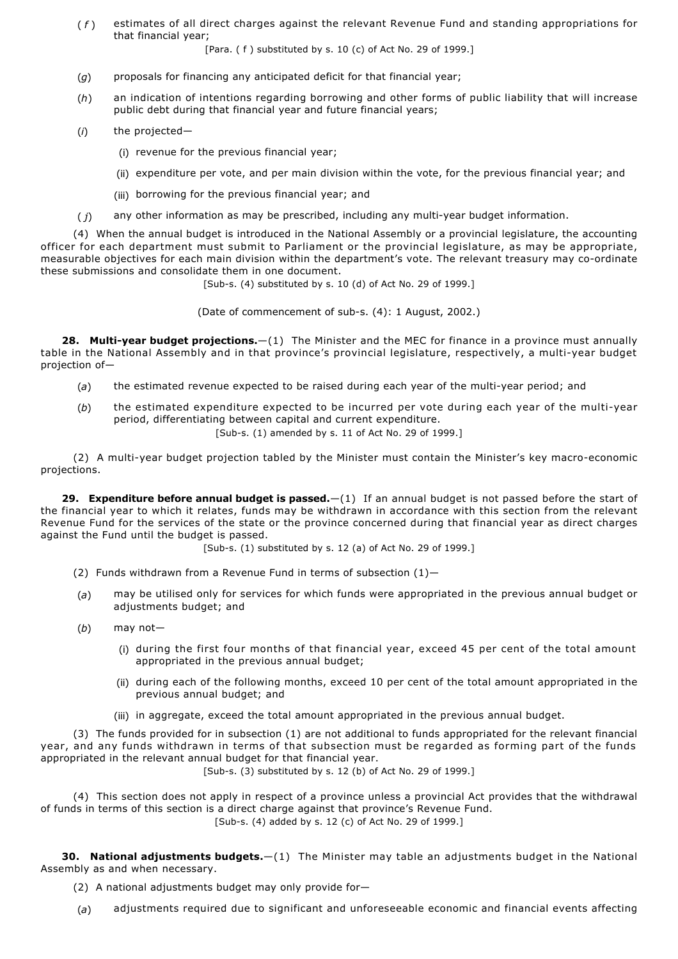( *f* ) estimates of all direct charges against the relevant Revenue Fund and standing appropriations for that financial year;

[Para. ( f ) substituted by s. 10 (c) of Act No. 29 of 1999.]

- (*g*) proposals for financing any anticipated deficit for that financial year;
- (*h*) an indication of intentions regarding borrowing and other forms of public liability that will increase public debt during that financial year and future financial years;
- (*i*) the projected—
	- (i) revenue for the previous financial year;
	- (ii) expenditure per vote, and per main division within the vote, for the previous financial year; and
	- (iii) borrowing for the previous financial year; and
- $(j)$  any other information as may be prescribed, including any multi-year budget information.

(4) When the annual budget is introduced in the National Assembly or a provincial legislature, the accounting officer for each department must submit to Parliament or the provincial legislature, as may be appropriate, measurable objectives for each main division within the department's vote. The relevant treasury may co-ordinate these submissions and consolidate them in one document.

 $[Sub-s. (4)$  substituted by s. 10 (d) of Act No. 29 of 1999.]

(Date of commencement of sub-s. (4): 1 August, 2002.)

**28. Multi-year budget projections.**—(1) The Minister and the MEC for finance in a province must annually table in the National Assembly and in that province's provincial legislature, respectively, a multi-year budget projection of—

- $(a)$  the estimated revenue expected to be raised during each year of the multi-year period; and
- (b) the estimated expenditure expected to be incurred per vote during each year of the multi-year period, differentiating between capital and current expenditure.

[Sub-s. (1) amended by s. 11 of Act No. 29 of 1999.]

(2) A multi-year budget projection tabled by the Minister must contain the Minister's key macro-economic projections.

**29. Expenditure before annual budget is passed.**—(1) If an annual budget is not passed before the start of the financial year to which it relates, funds may be withdrawn in accordance with this section from the relevant Revenue Fund for the services of the state or the province concerned during that financial year as direct charges against the Fund until the budget is passed.

[Sub-s. (1) substituted by s. 12 (a) of Act No. 29 of 1999.]

- (2) Funds withdrawn from a Revenue Fund in terms of subsection  $(1)$ -
- (*a*) may be utilised only for services for which funds were appropriated in the previous annual budget or adjustments budget; and
- (*b*) may not—
	- (i) during the first four months of that financial year, exceed 45 per cent of the total amount appropriated in the previous annual budget;
	- (ii) during each of the following months, exceed 10 per cent of the total amount appropriated in the previous annual budget; and
	- (iii) in aggregate, exceed the total amount appropriated in the previous annual budget.

(3) The funds provided for in subsection (1) are not additional to funds appropriated for the relevant financial year, and any funds withdrawn in terms of that subsection must be regarded as forming part of the funds appropriated in the relevant annual budget for that financial year.

 $[Sub-s, (3)$  substituted by s. 12 (b) of Act No. 29 of 1999.

(4) This section does not apply in respect of a province unless a provincial Act provides that the withdrawal of funds in terms of this section is a direct charge against that province's Revenue Fund. [Sub-s. (4) added by s. 12 (c) of Act No. 29 of 1999.]

**30. National adjustments budgets.**—(1) The Minister may table an adjustments budget in the National Assembly as and when necessary.

- (2) A national adjustments budget may only provide for—
- (*a*) adjustments required due to significant and unforeseeable economic and financial events affecting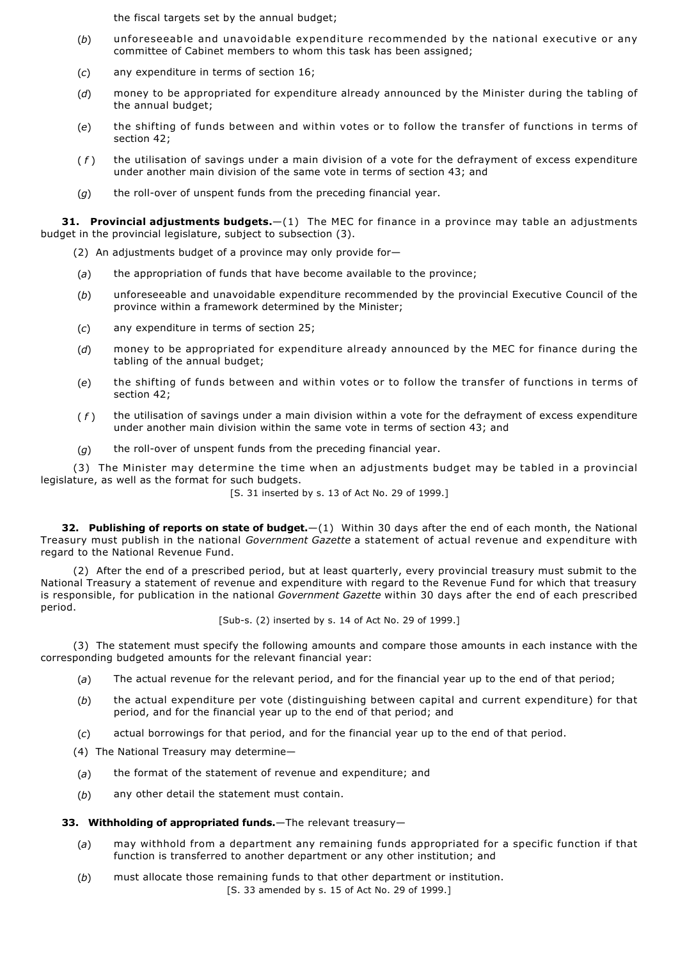the fiscal targets set by the annual budget;

- (*b*) unforeseeable and unavoidable expenditure recommended by the national executive or any committee of Cabinet members to whom this task has been assigned;
- (*c*) any expenditure in terms of section 16;
- (*d*) money to be appropriated for expenditure already announced by the Minister during the tabling of the annual budget;
- (*e*) the shifting of funds between and within votes or to follow the transfer of functions in terms of section 42;
- ( *f* ) the utilisation of savings under a main division of a vote for the defrayment of excess expenditure under another main division of the same vote in terms of section 43; and
- (g) the roll-over of unspent funds from the preceding financial year.

**31. Provincial adjustments budgets.**—(1) The MEC for finance in a province may table an adjustments budget in the provincial legislature, subject to subsection (3).

- (2) An adjustments budget of a province may only provide for—
- (*a*) the appropriation of funds that have become available to the province;
- (*b*) unforeseeable and unavoidable expenditure recommended by the provincial Executive Council of the province within a framework determined by the Minister;
- (*c*) any expenditure in terms of section 25;
- (*d*) money to be appropriated for expenditure already announced by the MEC for finance during the tabling of the annual budget;
- (*e*) the shifting of funds between and within votes or to follow the transfer of functions in terms of section 42;
- ( *f* ) the utilisation of savings under a main division within a vote for the defrayment of excess expenditure under another main division within the same vote in terms of section 43; and
- $(q)$  the roll-over of unspent funds from the preceding financial year.

(3) The Minister may determine the time when an adjustments budget may be tabled in a provincial legislature, as well as the format for such budgets.

[S. 31 inserted by s. 13 of Act No. 29 of 1999.]

**32. Publishing of reports on state of budget.**—(1) Within 30 days after the end of each month, the National Treasury must publish in the national *Government Gazette* a statement of actual revenue and expenditure with regard to the National Revenue Fund.

(2) After the end of a prescribed period, but at least quarterly, every provincial treasury must submit to the National Treasury a statement of revenue and expenditure with regard to the Revenue Fund for which that treasury is responsible, for publication in the national *Government Gazette* within 30 days after the end of each prescribed period.

[Sub-s. (2) inserted by s. 14 of Act No. 29 of 1999.]

(3) The statement must specify the following amounts and compare those amounts in each instance with the corresponding budgeted amounts for the relevant financial year:

- (*a*) The actual revenue for the relevant period, and for the financial year up to the end of that period;
- (*b*) the actual expenditure per vote (distinguishing between capital and current expenditure) for that period, and for the financial year up to the end of that period; and
- (*c*) actual borrowings for that period, and for the financial year up to the end of that period.
- (4) The National Treasury may determine—
- (*a*) the format of the statement of revenue and expenditure; and
- (*b*) any other detail the statement must contain.

# **33. Withholding of appropriated funds.**—The relevant treasury—

- (*a*) may withhold from a department any remaining funds appropriated for a specific function if that function is transferred to another department or any other institution; and
- (*b*) must allocate those remaining funds to that other department or institution. [S. 33 amended by s. 15 of Act No. 29 of 1999.]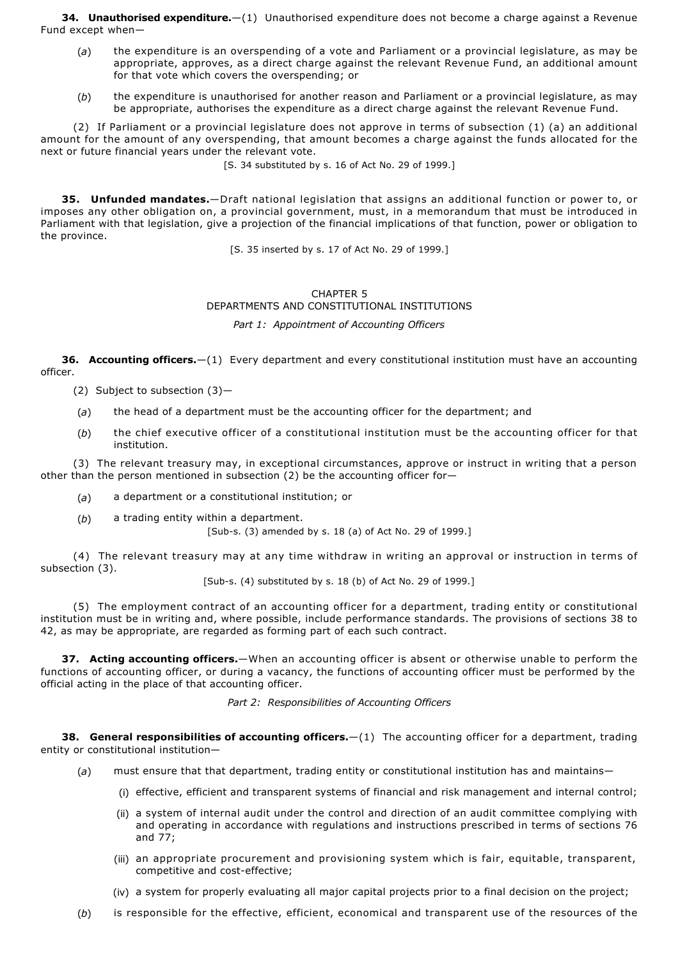**34. Unauthorised expenditure.**—(1) Unauthorised expenditure does not become a charge against a Revenue Fund except when—

- (*a*) the expenditure is an overspending of a vote and Parliament or a provincial legislature, as may be appropriate, approves, as a direct charge against the relevant Revenue Fund, an additional amount for that vote which covers the overspending; or
- (*b*) the expenditure is unauthorised for another reason and Parliament or a provincial legislature, as may be appropriate, authorises the expenditure as a direct charge against the relevant Revenue Fund.

(2) If Parliament or a provincial legislature does not approve in terms of subsection (1) (a) an additional amount for the amount of any overspending, that amount becomes a charge against the funds allocated for the next or future financial years under the relevant vote.

[S. 34 substituted by s. 16 of Act No. 29 of 1999.]

**35. Unfunded mandates.**—Draft national legislation that assigns an additional function or power to, or imposes any other obligation on, a provincial government, must, in a memorandum that must be introduced in Parliament with that legislation, give a projection of the financial implications of that function, power or obligation to the province.

[S. 35 inserted by s. 17 of Act No. 29 of 1999.]

# CHAPTER 5 DEPARTMENTS AND CONSTITUTIONAL INSTITUTIONS *Part 1: Appointment of Accounting Officers*

**36. Accounting officers.**—(1) Every department and every constitutional institution must have an accounting officer.

(2) Subject to subsection (3)—

- (*a*) the head of a department must be the accounting officer for the department; and
- (*b*) the chief executive officer of a constitutional institution must be the accounting officer for that institution.

(3) The relevant treasury may, in exceptional circumstances, approve or instruct in writing that a person other than the person mentioned in subsection (2) be the accounting officer for—

- (*a*) a department or a constitutional institution; or
- (*b*) a trading entity within a department.

[Sub-s. (3) amended by s. 18 (a) of Act No. 29 of 1999.]

(4) The relevant treasury may at any time withdraw in writing an approval or instruction in terms of subsection (3).

 $[Sub-s. (4)$  substituted by s. 18 (b) of Act No. 29 of 1999.]

(5) The employment contract of an accounting officer for a department, trading entity or constitutional institution must be in writing and, where possible, include performance standards. The provisions of sections 38 to 42, as may be appropriate, are regarded as forming part of each such contract.

**37. Acting accounting officers.**—When an accounting officer is absent or otherwise unable to perform the functions of accounting officer, or during a vacancy, the functions of accounting officer must be performed by the official acting in the place of that accounting officer.

*Part 2: Responsibilities of Accounting Officers*

**38. General responsibilities of accounting officers.**—(1) The accounting officer for a department, trading entity or constitutional institution—

- (*a*) must ensure that that department, trading entity or constitutional institution has and maintains—
	- (i) effective, efficient and transparent systems of financial and risk management and internal control;
	- (ii) a system of internal audit under the control and direction of an audit committee complying with and operating in accordance with regulations and instructions prescribed in terms of sections 76 and 77;
	- (iii) an appropriate procurement and provisioning system which is fair, equitable, transparent, competitive and cost-effective;
	- (iv) a system for properly evaluating all major capital projects prior to a final decision on the project;
- (*b*) is responsible for the effective, efficient, economical and transparent use of the resources of the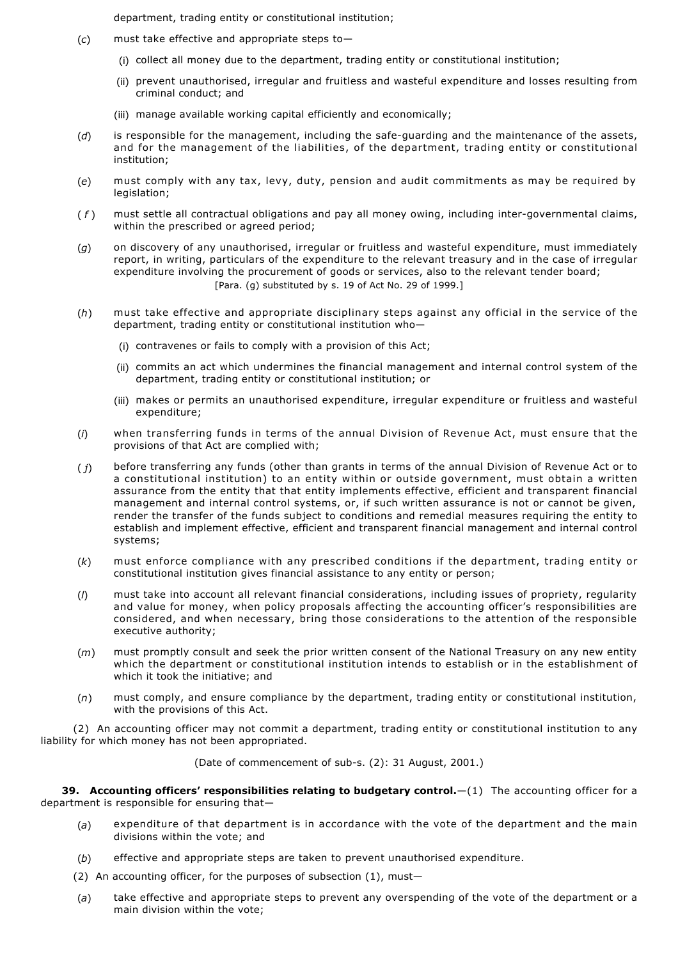department, trading entity or constitutional institution;

- (*c*) must take effective and appropriate steps to—
	- (i) collect all money due to the department, trading entity or constitutional institution;
	- (ii) prevent unauthorised, irregular and fruitless and wasteful expenditure and losses resulting from criminal conduct; and
	- (iii) manage available working capital efficiently and economically;
- (d) is responsible for the management, including the safe-guarding and the maintenance of the assets, and for the management of the liabilities, of the department, trading entity or constitutional institution;
- (*e*) must comply with any tax, levy, duty, pension and audit commitments as may be required by legislation;
- (f) must settle all contractual obligations and pay all money owing, including inter-governmental claims, within the prescribed or agreed period;
- (*g*) on discovery of any unauthorised, irregular or fruitless and wasteful expenditure, must immediately report, in writing, particulars of the expenditure to the relevant treasury and in the case of irregular expenditure involving the procurement of goods or services, also to the relevant tender board; [Para. (g) substituted by s. 19 of Act No. 29 of 1999.]
- (*h*) must take effective and appropriate disciplinary steps against any official in the service of the department, trading entity or constitutional institution who—
	- (i) contravenes or fails to comply with a provision of this Act;
	- (ii) commits an act which undermines the financial management and internal control system of the department, trading entity or constitutional institution; or
	- (iii) makes or permits an unauthorised expenditure, irregular expenditure or fruitless and wasteful expenditure;
- (*i*) when transferring funds in terms of the annual Division of Revenue Act, must ensure that the provisions of that Act are complied with;
- ( *j*) before transferring any funds (other than grants in terms of the annual Division of Revenue Act or to a constitutional institution) to an entity within or outside government, must obtain a written assurance from the entity that that entity implements effective, efficient and transparent financial management and internal control systems, or, if such written assurance is not or cannot be given, render the transfer of the funds subject to conditions and remedial measures requiring the entity to establish and implement effective, efficient and transparent financial management and internal control systems;
- (*k*) must enforce compliance with any prescribed conditions if the department, trading entity or constitutional institution gives financial assistance to any entity or person;
- (*l*) must take into account all relevant financial considerations, including issues of propriety, regularity and value for money, when policy proposals affecting the accounting officer's responsibilities are considered, and when necessary, bring those considerations to the attention of the responsible executive authority;
- (*m*) must promptly consult and seek the prior written consent of the National Treasury on any new entity which the department or constitutional institution intends to establish or in the establishment of which it took the initiative; and
- (*n*) must comply, and ensure compliance by the department, trading entity or constitutional institution, with the provisions of this Act.

(2) An accounting officer may not commit a department, trading entity or constitutional institution to any liability for which money has not been appropriated.

(Date of commencement of sub-s. (2): 31 August, 2001.)

**39. Accounting officers' responsibilities relating to budgetary control.**—(1) The accounting officer for a department is responsible for ensuring that—

- (*a*) expenditure of that department is in accordance with the vote of the department and the main divisions within the vote; and
- (*b*) effective and appropriate steps are taken to prevent unauthorised expenditure.
- (2) An accounting officer, for the purposes of subsection (1), must—
- (*a*) take effective and appropriate steps to prevent any overspending of the vote of the department or a main division within the vote;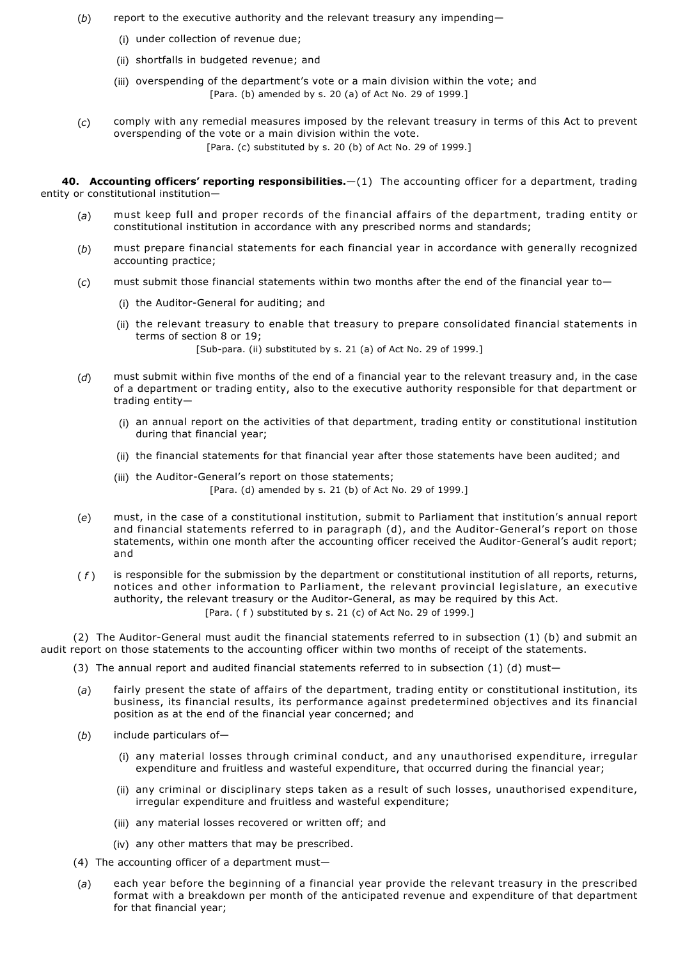- (*b*) report to the executive authority and the relevant treasury any impending—
	- (i) under collection of revenue due;
	- (ii) shortfalls in budgeted revenue; and
	- (iii) overspending of the department's vote or a main division within the vote; and [Para. (b) amended by s. 20 (a) of Act No. 29 of 1999.]
- (*c*) comply with any remedial measures imposed by the relevant treasury in terms of this Act to prevent overspending of the vote or a main division within the vote. [Para. (c) substituted by s. 20 (b) of Act No. 29 of 1999.]

**40. Accounting officers' reporting responsibilities.**—(1) The accounting officer for a department, trading entity or constitutional institution—

- (*a*) must keep full and proper records of the financial affairs of the department, trading entity or constitutional institution in accordance with any prescribed norms and standards;
- (*b*) must prepare financial statements for each financial year in accordance with generally recognized accounting practice;
- (*c*) must submit those financial statements within two months after the end of the financial year to—
	- (i) the Auditor-General for auditing; and
	- (ii) the relevant treasury to enable that treasury to prepare consolidated financial statements in terms of section 8 or 19;

[Sub-para. (ii) substituted by s. 21 (a) of Act No. 29 of 1999.]

- (*d*) must submit within five months of the end of a financial year to the relevant treasury and, in the case of a department or trading entity, also to the executive authority responsible for that department or trading entity—
	- (i) an annual report on the activities of that department, trading entity or constitutional institution during that financial year;
	- (ii) the financial statements for that financial year after those statements have been audited; and
	- (iii) the Auditor-General's report on those statements; [Para. (d) amended by s. 21 (b) of Act No. 29 of 1999.]
- (*e*) must, in the case of a constitutional institution, submit to Parliament that institution's annual report and financial statements referred to in paragraph (d), and the Auditor-General's report on those statements, within one month after the accounting officer received the Auditor-General's audit report; and
- ( *f* ) is responsible for the submission by the department or constitutional institution of all reports, returns, notices and other information to Parliament, the relevant provincial legislature, an executive authority, the relevant treasury or the Auditor-General, as may be required by this Act. [Para. ( f ) substituted by s. 21 (c) of Act No. 29 of 1999.]

(2) The Auditor-General must audit the financial statements referred to in subsection (1) (b) and submit an audit report on those statements to the accounting officer within two months of receipt of the statements.

- (3) The annual report and audited financial statements referred to in subsection  $(1)$   $(d)$  must-
- (*a*) fairly present the state of affairs of the department, trading entity or constitutional institution, its business, its financial results, its performance against predetermined objectives and its financial position as at the end of the financial year concerned; and
- (*b*) include particulars of—
	- (i) any material losses through criminal conduct, and any unauthorised expenditure, irregular expenditure and fruitless and wasteful expenditure, that occurred during the financial year;
	- (ii) any criminal or disciplinary steps taken as a result of such losses, unauthorised expenditure, irregular expenditure and fruitless and wasteful expenditure;
	- (iii) any material losses recovered or written off; and
	- (iv) any other matters that may be prescribed.
- (4) The accounting officer of a department must—
- (*a*) each year before the beginning of a financial year provide the relevant treasury in the prescribed format with a breakdown per month of the anticipated revenue and expenditure of that department for that financial year;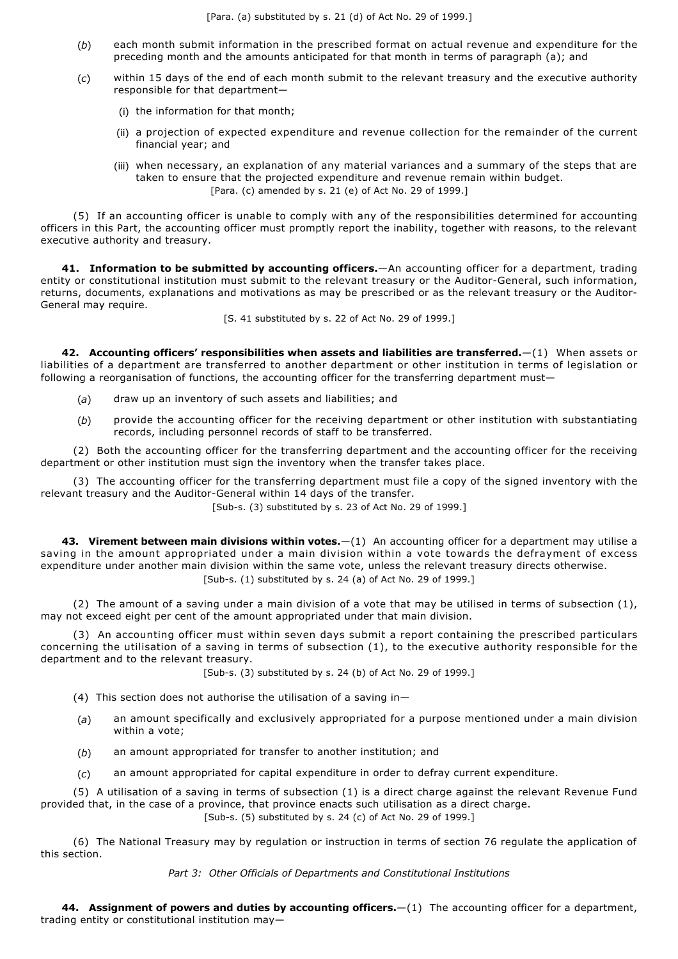- (*b*) each month submit information in the prescribed format on actual revenue and expenditure for the preceding month and the amounts anticipated for that month in terms of paragraph (a); and
- (*c*) within 15 days of the end of each month submit to the relevant treasury and the executive authority responsible for that department—
	- (i) the information for that month;
	- (ii) a projection of expected expenditure and revenue collection for the remainder of the current financial year; and
	- (iii) when necessary, an explanation of any material variances and a summary of the steps that are taken to ensure that the projected expenditure and revenue remain within budget. [Para. (c) amended by s. 21 (e) of Act No. 29 of 1999.]

(5) If an accounting officer is unable to comply with any of the responsibilities determined for accounting officers in this Part, the accounting officer must promptly report the inability, together with reasons, to the relevant executive authority and treasury.

**41. Information to be submitted by accounting officers.**—An accounting officer for a department, trading entity or constitutional institution must submit to the relevant treasury or the Auditor-General, such information, returns, documents, explanations and motivations as may be prescribed or as the relevant treasury or the Auditor-General may require.

[S. 41 substituted by s. 22 of Act No. 29 of 1999.]

**42. Accounting officers' responsibilities when assets and liabilities are transferred.**—(1) When assets or liabilities of a department are transferred to another department or other institution in terms of legislation or following a reorganisation of functions, the accounting officer for the transferring department must-

- (*a*) draw up an inventory of such assets and liabilities; and
- (*b*) provide the accounting officer for the receiving department or other institution with substantiating records, including personnel records of staff to be transferred.

(2) Both the accounting officer for the transferring department and the accounting officer for the receiving department or other institution must sign the inventory when the transfer takes place.

(3) The accounting officer for the transferring department must file a copy of the signed inventory with the relevant treasury and the Auditor-General within 14 days of the transfer.

[Sub-s. (3) substituted by s. 23 of Act No. 29 of 1999.]

**43. Virement between main divisions within votes.**—(1) An accounting officer for a department may utilise a saving in the amount appropriated under a main division within a vote towards the defrayment of excess expenditure under another main division within the same vote, unless the relevant treasury directs otherwise. [Sub-s. (1) substituted by s. 24 (a) of Act No. 29 of 1999.]

(2) The amount of a saving under a main division of a vote that may be utilised in terms of subsection (1), may not exceed eight per cent of the amount appropriated under that main division.

(3) An accounting officer must within seven days submit a report containing the prescribed particulars concerning the utilisation of a saving in terms of subsection (1), to the executive authority responsible for the department and to the relevant treasury.

[Sub-s. (3) substituted by s. 24 (b) of Act No. 29 of 1999.]

- (4) This section does not authorise the utilisation of a saving in-
- (*a*) an amount specifically and exclusively appropriated for a purpose mentioned under a main division within a vote;
- (*b*) an amount appropriated for transfer to another institution; and
- (*c*) an amount appropriated for capital expenditure in order to defray current expenditure.

(5) A utilisation of a saving in terms of subsection (1) is a direct charge against the relevant Revenue Fund provided that, in the case of a province, that province enacts such utilisation as a direct charge.

 $[Sub-s. (5)$  substituted by s. 24 (c) of Act No. 29 of 1999.

(6) The National Treasury may by regulation or instruction in terms of section 76 regulate the application of this section.

## *Part 3: Other Officials of Departments and Constitutional Institutions*

**44. Assignment of powers and duties by accounting officers.**—(1) The accounting officer for a department, trading entity or constitutional institution may—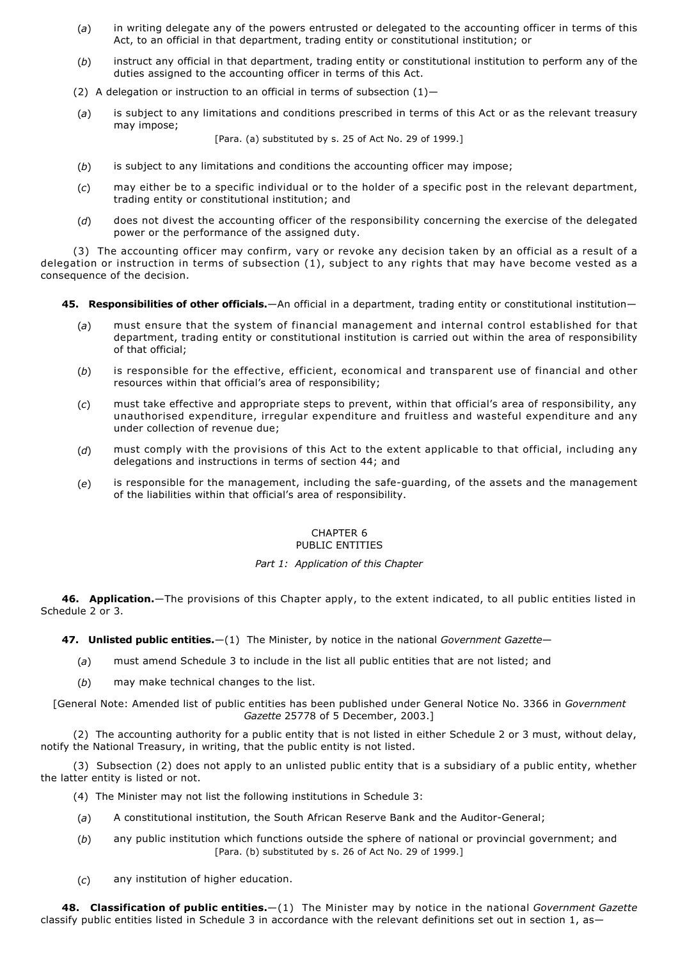- (*a*) in writing delegate any of the powers entrusted or delegated to the accounting officer in terms of this Act, to an official in that department, trading entity or constitutional institution; or
- (*b*) instruct any official in that department, trading entity or constitutional institution to perform any of the duties assigned to the accounting officer in terms of this Act.
- (2) A delegation or instruction to an official in terms of subsection  $(1)$ -
- (*a*) is subject to any limitations and conditions prescribed in terms of this Act or as the relevant treasury may impose;

[Para. (a) substituted by s. 25 of Act No. 29 of 1999.]

- (*b*) is subject to any limitations and conditions the accounting officer may impose;
- (*c*) may either be to a specific individual or to the holder of a specific post in the relevant department, trading entity or constitutional institution; and
- (*d*) does not divest the accounting officer of the responsibility concerning the exercise of the delegated power or the performance of the assigned duty.

(3) The accounting officer may confirm, vary or revoke any decision taken by an official as a result of a delegation or instruction in terms of subsection (1), subject to any rights that may have become vested as a consequence of the decision.

- **45. Responsibilities of other officials.**—An official in a department, trading entity or constitutional institution—
	- (*a*) must ensure that the system of financial management and internal control established for that department, trading entity or constitutional institution is carried out within the area of responsibility of that official;
	- (*b*) is responsible for the effective, efficient, economical and transparent use of financial and other resources within that official's area of responsibility;
	- (*c*) must take effective and appropriate steps to prevent, within that official's area of responsibility, any unauthorised expenditure, irregular expenditure and fruitless and wasteful expenditure and any under collection of revenue due;
	- (*d*) must comply with the provisions of this Act to the extent applicable to that official, including any delegations and instructions in terms of section 44; and
	- (e) is responsible for the management, including the safe-guarding, of the assets and the management of the liabilities within that official's area of responsibility.

## CHAPTER 6 PUBLIC ENTITIES

## *Part 1: Application of this Chapter*

**46. Application.**—The provisions of this Chapter apply, to the extent indicated, to all public entities listed in Schedule 2 or 3.

**47. Unlisted public entities.**—(1) The Minister, by notice in the national *Government Gazette*—

- (*a*) must amend Schedule 3 to include in the list all public entities that are not listed; and
- (*b*) may make technical changes to the list.

[General Note: Amended list of public entities has been published under General Notice No. 3366 in *Government Gazette* 25778 of 5 December, 2003.]

(2) The accounting authority for a public entity that is not listed in either Schedule 2 or 3 must, without delay, notify the National Treasury, in writing, that the public entity is not listed.

(3) Subsection (2) does not apply to an unlisted public entity that is a subsidiary of a public entity, whether the latter entity is listed or not.

(4) The Minister may not list the following institutions in Schedule 3:

- (a) A constitutional institution, the South African Reserve Bank and the Auditor-General;
- (*b*) any public institution which functions outside the sphere of national or provincial government; and [Para. (b) substituted by s. 26 of Act No. 29 of 1999.]
- (*c*) any institution of higher education.

**48. Classification of public entities.**—(1) The Minister may by notice in the national *Government Gazette* classify public entities listed in Schedule 3 in accordance with the relevant definitions set out in section 1, as-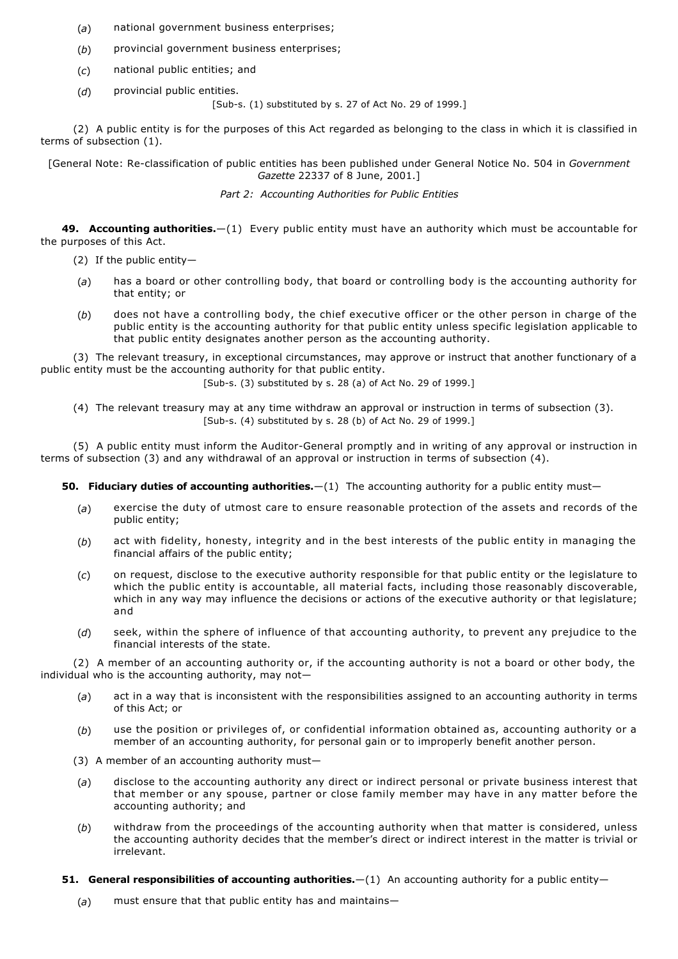- (*a*) national government business enterprises;
- (*b*) provincial government business enterprises;
- (*c*) national public entities; and
- (*d*) provincial public entities.

[Sub-s. (1) substituted by s. 27 of Act No. 29 of 1999.]

(2) A public entity is for the purposes of this Act regarded as belonging to the class in which it is classified in terms of subsection (1).

[General Note: Reclassification of public entities has been published under General Notice No. 504 in *Government Gazette* 22337 of 8 June, 2001.]

*Part 2: Accounting Authorities for Public Entities*

**49. Accounting authorities.**—(1) Every public entity must have an authority which must be accountable for the purposes of this Act.

- (2) If the public entity—
- (*a*) has a board or other controlling body, that board or controlling body is the accounting authority for that entity; or
- (*b*) does not have a controlling body, the chief executive officer or the other person in charge of the public entity is the accounting authority for that public entity unless specific legislation applicable to that public entity designates another person as the accounting authority.

(3) The relevant treasury, in exceptional circumstances, may approve or instruct that another functionary of a public entity must be the accounting authority for that public entity.

 $[Sub-s, (3)$  substituted by s. 28 (a) of Act No. 29 of 1999.

(4) The relevant treasury may at any time withdraw an approval or instruction in terms of subsection (3). [Sub-s.  $(4)$  substituted by s. 28  $(b)$  of Act No. 29 of 1999.]

(5) A public entity must inform the Auditor-General promptly and in writing of any approval or instruction in terms of subsection (3) and any withdrawal of an approval or instruction in terms of subsection (4).

**50. Fiduciary duties of accounting authorities.**—(1) The accounting authority for a public entity must—

- (*a*) exercise the duty of utmost care to ensure reasonable protection of the assets and records of the public entity;
- (*b*) act with fidelity, honesty, integrity and in the best interests of the public entity in managing the financial affairs of the public entity;
- (*c*) on request, disclose to the executive authority responsible for that public entity or the legislature to which the public entity is accountable, all material facts, including those reasonably discoverable, which in any way may influence the decisions or actions of the executive authority or that legislature; and
- (*d*) seek, within the sphere of influence of that accounting authority, to prevent any prejudice to the financial interests of the state.

(2) A member of an accounting authority or, if the accounting authority is not a board or other body, the individual who is the accounting authority, may not—

- (*a*) act in a way that is inconsistent with the responsibilities assigned to an accounting authority in terms of this Act; or
- (*b*) use the position or privileges of, or confidential information obtained as, accounting authority or a member of an accounting authority, for personal gain or to improperly benefit another person.
- (3) A member of an accounting authority must—
- (*a*) disclose to the accounting authority any direct or indirect personal or private business interest that that member or any spouse, partner or close family member may have in any matter before the accounting authority; and
- (*b*) withdraw from the proceedings of the accounting authority when that matter is considered, unless the accounting authority decides that the member's direct or indirect interest in the matter is trivial or irrelevant.
- **51. General responsibilities of accounting authorities.**—(1) An accounting authority for a public entity—
	- (*a*) must ensure that that public entity has and maintains—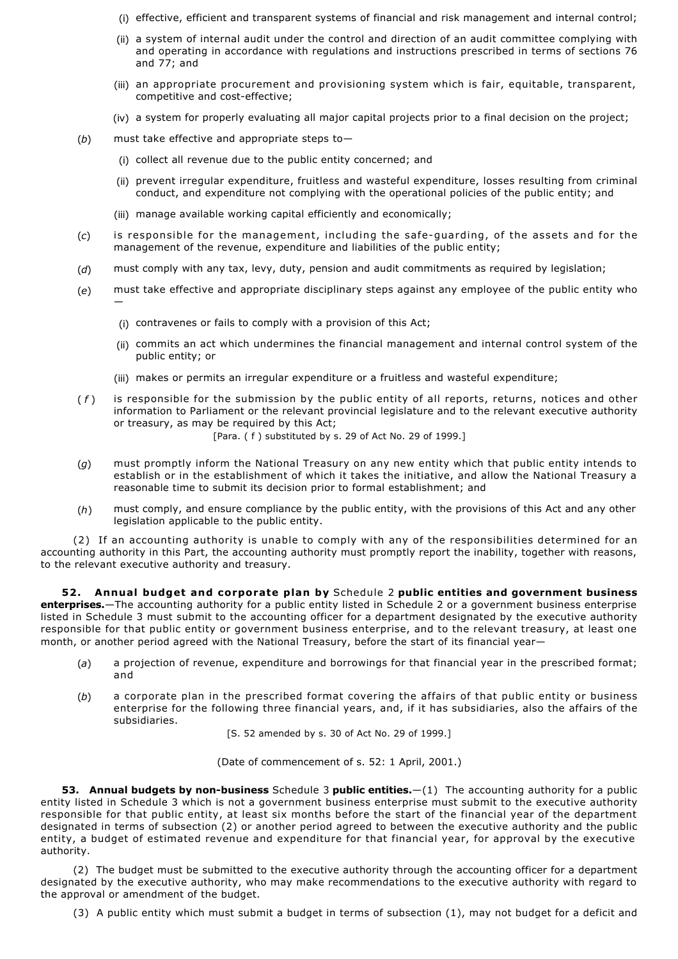- (i) effective, efficient and transparent systems of financial and risk management and internal control;
- (ii) a system of internal audit under the control and direction of an audit committee complying with and operating in accordance with regulations and instructions prescribed in terms of sections 76 and 77; and
- (iii) an appropriate procurement and provisioning system which is fair, equitable, transparent, competitive and cost-effective;
- (iv) a system for properly evaluating all major capital projects prior to a final decision on the project;
- (*b*) must take effective and appropriate steps to—
	- (i) collect all revenue due to the public entity concerned; and
	- (ii) prevent irregular expenditure, fruitless and wasteful expenditure, losses resulting from criminal conduct, and expenditure not complying with the operational policies of the public entity; and
	- (iii) manage available working capital efficiently and economically;
- (c) is responsible for the management, including the safe-guarding, of the assets and for the management of the revenue, expenditure and liabilities of the public entity;
- (*d*) must comply with any tax, levy, duty, pension and audit commitments as required by legislation;
- (*e*) must take effective and appropriate disciplinary steps against any employee of the public entity who —
	- (i) contravenes or fails to comply with a provision of this Act;
	- (ii) commits an act which undermines the financial management and internal control system of the public entity; or
	- (iii) makes or permits an irregular expenditure or a fruitless and wasteful expenditure;
- ( *f* ) is responsible for the submission by the public entity of all reports, returns, notices and other information to Parliament or the relevant provincial legislature and to the relevant executive authority or treasury, as may be required by this Act;
	- [Para. ( f ) substituted by s. 29 of Act No. 29 of 1999.]
- (*g*) must promptly inform the National Treasury on any new entity which that public entity intends to establish or in the establishment of which it takes the initiative, and allow the National Treasury a reasonable time to submit its decision prior to formal establishment; and
- (*h*) must comply, and ensure compliance by the public entity, with the provisions of this Act and any other legislation applicable to the public entity.

(2) If an accounting authority is unable to comply with any of the responsibilities determined for an accounting authority in this Part, the accounting authority must promptly report the inability, together with reasons, to the relevant executive authority and treasury.

**52. Annual budget and corporate plan by** Schedule 2 **public entities and government business enterprises.**—The accounting authority for a public entity listed in Schedule 2 or a government business enterprise listed in Schedule 3 must submit to the accounting officer for a department designated by the executive authority responsible for that public entity or government business enterprise, and to the relevant treasury, at least one month, or another period agreed with the National Treasury, before the start of its financial year—

- (*a*) a projection of revenue, expenditure and borrowings for that financial year in the prescribed format; and
- (*b*) a corporate plan in the prescribed format covering the affairs of that public entity or business enterprise for the following three financial years, and, if it has subsidiaries, also the affairs of the subsidiaries.

[S. 52 amended by s. 30 of Act No. 29 of 1999.]

(Date of commencement of s. 52: 1 April, 2001.)

**53. Annual budgets by non-business** Schedule 3 **public entities.**—(1) The accounting authority for a public entity listed in Schedule 3 which is not a government business enterprise must submit to the executive authority responsible for that public entity, at least six months before the start of the financial year of the department designated in terms of subsection (2) or another period agreed to between the executive authority and the public entity, a budget of estimated revenue and expenditure for that financial year, for approval by the executive authority.

(2) The budget must be submitted to the executive authority through the accounting officer for a department designated by the executive authority, who may make recommendations to the executive authority with regard to the approval or amendment of the budget.

(3) A public entity which must submit a budget in terms of subsection (1), may not budget for a deficit and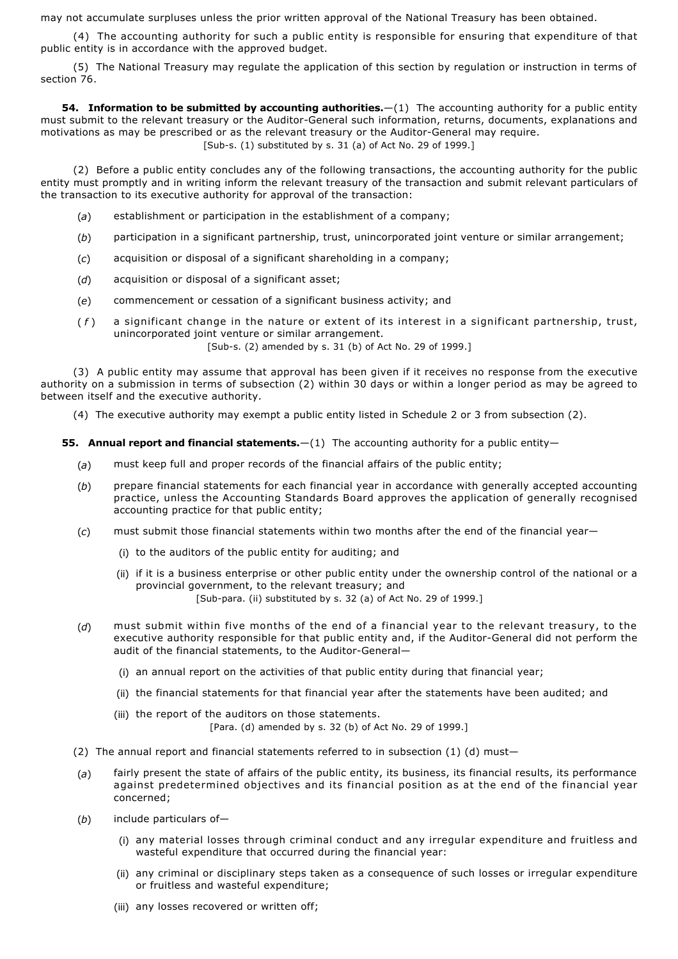may not accumulate surpluses unless the prior written approval of the National Treasury has been obtained.

(4) The accounting authority for such a public entity is responsible for ensuring that expenditure of that public entity is in accordance with the approved budget.

(5) The National Treasury may regulate the application of this section by regulation or instruction in terms of section 76.

**54. Information to be submitted by accounting authorities.** -(1) The accounting authority for a public entity must submit to the relevant treasury or the Auditor-General such information, returns, documents, explanations and motivations as may be prescribed or as the relevant treasury or the Auditor-General may require. [Sub-s.  $(1)$  substituted by s. 31  $(a)$  of Act No. 29 of 1999.]

(2) Before a public entity concludes any of the following transactions, the accounting authority for the public entity must promptly and in writing inform the relevant treasury of the transaction and submit relevant particulars of the transaction to its executive authority for approval of the transaction:

- (*a*) establishment or participation in the establishment of a company;
- (*b*) participation in a significant partnership, trust, unincorporated joint venture or similar arrangement;
- (*c*) acquisition or disposal of a significant shareholding in a company;
- (*d*) acquisition or disposal of a significant asset;
- (*e*) commencement or cessation of a significant business activity; and
- ( *f* ) a significant change in the nature or extent of its interest in a significant partnership, trust, unincorporated joint venture or similar arrangement. [Sub-s. (2) amended by s. 31 (b) of Act No. 29 of 1999.]

(3) A public entity may assume that approval has been given if it receives no response from the executive authority on a submission in terms of subsection (2) within 30 days or within a longer period as may be agreed to between itself and the executive authority.

(4) The executive authority may exempt a public entity listed in Schedule 2 or 3 from subsection (2).

**55. Annual report and financial statements.**—(1) The accounting authority for a public entity—

- (*a*) must keep full and proper records of the financial affairs of the public entity;
- (*b*) prepare financial statements for each financial year in accordance with generally accepted accounting practice, unless the Accounting Standards Board approves the application of generally recognised accounting practice for that public entity;
- (*c*) must submit those financial statements within two months after the end of the financial year—
	- (i) to the auditors of the public entity for auditing; and
	- (ii) if it is a business enterprise or other public entity under the ownership control of the national or a provincial government, to the relevant treasury; and [Sub-para. (ii) substituted by s. 32 (a) of Act No. 29 of 1999.]
- (*d*) must submit within five months of the end of a financial year to the relevant treasury, to the executive authority responsible for that public entity and, if the Auditor-General did not perform the audit of the financial statements, to the Auditor-General-
	- (i) an annual report on the activities of that public entity during that financial year;
	- (ii) the financial statements for that financial year after the statements have been audited; and
	- (iii) the report of the auditors on those statements. [Para. (d) amended by s. 32 (b) of Act No. 29 of 1999.]
- (2) The annual report and financial statements referred to in subsection  $(1)$  (d) must-
- (*a*) fairly present the state of affairs of the public entity, its business, its financial results, its performance against predetermined objectives and its financial position as at the end of the financial year concerned;
- (*b*) include particulars of—
	- (i) any material losses through criminal conduct and any irregular expenditure and fruitless and wasteful expenditure that occurred during the financial year:
	- (ii) any criminal or disciplinary steps taken as a consequence of such losses or irregular expenditure or fruitless and wasteful expenditure;
	- (iii) any losses recovered or written off;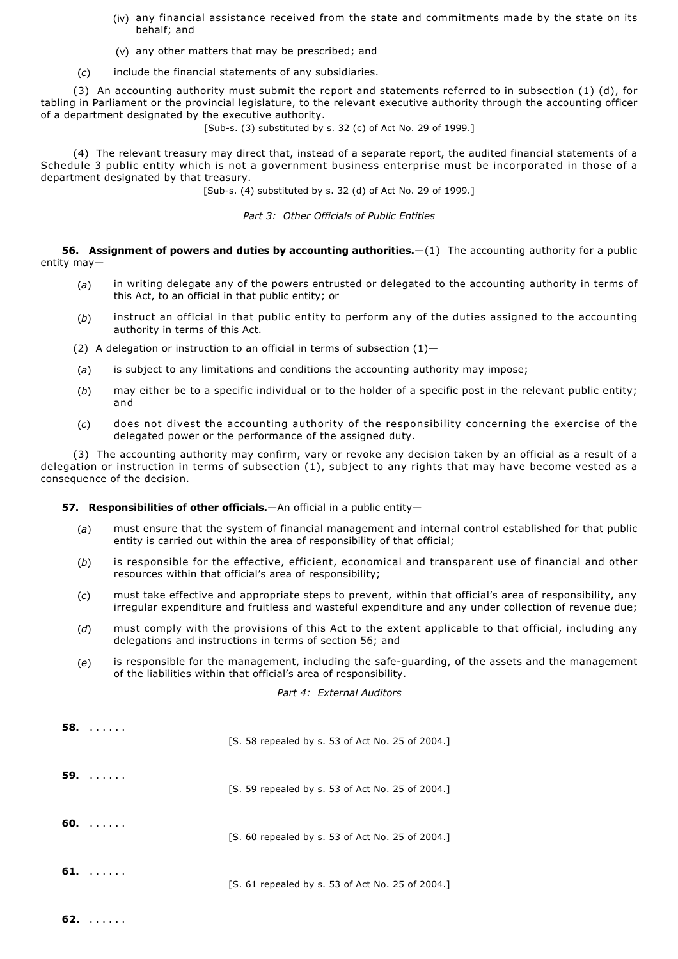- (iv) any financial assistance received from the state and commitments made by the state on its behalf; and
- (v) any other matters that may be prescribed; and
- (*c*) include the financial statements of any subsidiaries.

(3) An accounting authority must submit the report and statements referred to in subsection (1) (d), for tabling in Parliament or the provincial legislature, to the relevant executive authority through the accounting officer of a department designated by the executive authority.

[Sub-s. (3) substituted by s. 32 (c) of Act No. 29 of 1999.]

(4) The relevant treasury may direct that, instead of a separate report, the audited financial statements of a Schedule 3 public entity which is not a government business enterprise must be incorporated in those of a department designated by that treasury.

[Sub-s. (4) substituted by s. 32 (d) of Act No. 29 of 1999.]

*Part 3: Other Officials of Public Entities*

**56. Assignment of powers and duties by accounting authorities.**—(1) The accounting authority for a public entity may—

- (*a*) in writing delegate any of the powers entrusted or delegated to the accounting authority in terms of this Act, to an official in that public entity; or
- (*b*) instruct an official in that public entity to perform any of the duties assigned to the accounting authority in terms of this Act.
- (2) A delegation or instruction to an official in terms of subsection  $(1)$ -
- (*a*) is subject to any limitations and conditions the accounting authority may impose;
- (*b*) may either be to a specific individual or to the holder of a specific post in the relevant public entity; and
- (*c*) does not divest the accounting authority of the responsibility concerning the exercise of the delegated power or the performance of the assigned duty.

(3) The accounting authority may confirm, vary or revoke any decision taken by an official as a result of a delegation or instruction in terms of subsection (1), subject to any rights that may have become vested as a consequence of the decision.

## **57. Responsibilities of other officials.**—An official in a public entity—

- (*a*) must ensure that the system of financial management and internal control established for that public entity is carried out within the area of responsibility of that official;
- (*b*) is responsible for the effective, efficient, economical and transparent use of financial and other resources within that official's area of responsibility;
- (*c*) must take effective and appropriate steps to prevent, within that official's area of responsibility, any irregular expenditure and fruitless and wasteful expenditure and any under collection of revenue due;
- (*d*) must comply with the provisions of this Act to the extent applicable to that official, including any delegations and instructions in terms of section 56; and
- (e) is responsible for the management, including the safe-guarding, of the assets and the management of the liabilities within that official's area of responsibility.

## *Part 4: External Auditors*

| 58.<br>1.1.1.1.1   | [S. 58 repealed by s. 53 of Act No. 25 of 2004.] |
|--------------------|--------------------------------------------------|
| 59.<br>1.1.1.1.1.1 | [S. 59 repealed by s. 53 of Act No. 25 of 2004.] |
| $60.$              | [S. 60 repealed by s. 53 of Act No. 25 of 2004.] |
| 61.<br>$\sim$      | [S. 61 repealed by s. 53 of Act No. 25 of 2004.] |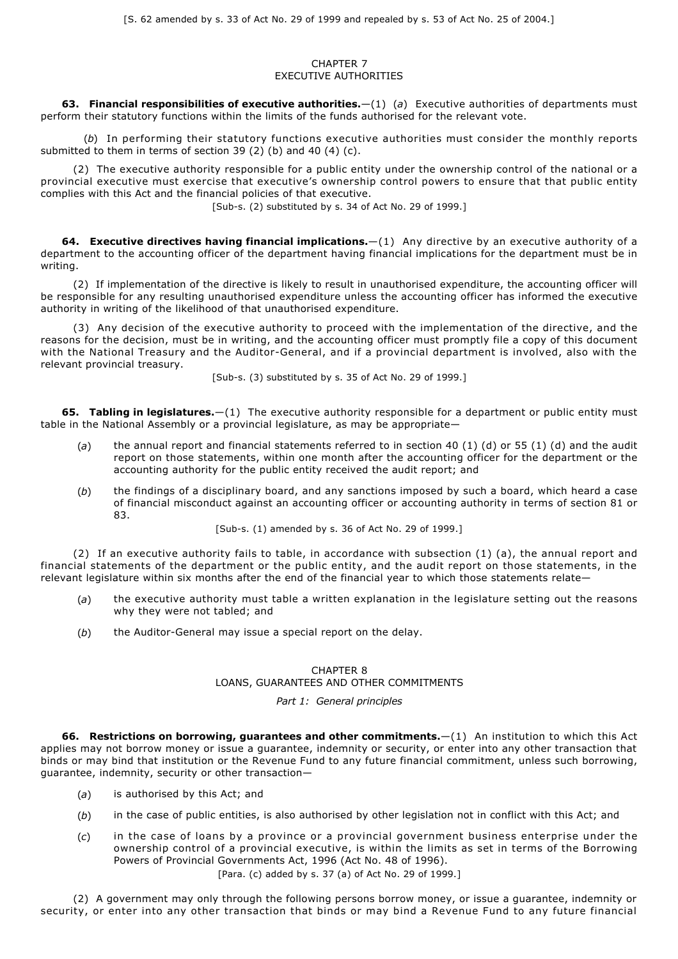## CHAPTER 7 EXECUTIVE AUTHORITIES

**63. Financial responsibilities of executive authorities.**—(1) (*a*) Executive authorities of departments must perform their statutory functions within the limits of the funds authorised for the relevant vote.

(*b*) In performing their statutory functions executive authorities must consider the monthly reports submitted to them in terms of section 39 (2) (b) and 40 (4) (c).

(2) The executive authority responsible for a public entity under the ownership control of the national or a provincial executive must exercise that executive's ownership control powers to ensure that that public entity complies with this Act and the financial policies of that executive.

[Sub-s. (2) substituted by s. 34 of Act No. 29 of 1999.]

**64. Executive directives having financial implications.**—(1) Any directive by an executive authority of a department to the accounting officer of the department having financial implications for the department must be in writing.

(2) If implementation of the directive is likely to result in unauthorised expenditure, the accounting officer will be responsible for any resulting unauthorised expenditure unless the accounting officer has informed the executive authority in writing of the likelihood of that unauthorised expenditure.

(3) Any decision of the executive authority to proceed with the implementation of the directive, and the reasons for the decision, must be in writing, and the accounting officer must promptly file a copy of this document with the National Treasury and the Auditor-General, and if a provincial department is involved, also with the relevant provincial treasury.

[Sub-s. (3) substituted by s. 35 of Act No. 29 of 1999.]

**65. Tabling in legislatures.**—(1) The executive authority responsible for a department or public entity must table in the National Assembly or a provincial legislature, as may be appropriate—

- (*a*) the annual report and financial statements referred to in section 40 (1) (d) or 55 (1) (d) and the audit report on those statements, within one month after the accounting officer for the department or the accounting authority for the public entity received the audit report; and
- (*b*) the findings of a disciplinary board, and any sanctions imposed by such a board, which heard a case of financial misconduct against an accounting officer or accounting authority in terms of section 81 or 83.

[Sub-s. (1) amended by s. 36 of Act No. 29 of 1999.]

(2) If an executive authority fails to table, in accordance with subsection (1) (a), the annual report and financial statements of the department or the public entity, and the audit report on those statements, in the relevant legislature within six months after the end of the financial year to which those statements relate—

- (*a*) the executive authority must table a written explanation in the legislature setting out the reasons why they were not tabled; and
- (b) the Auditor-General may issue a special report on the delay.

# CHAPTER 8

# LOANS, GUARANTEES AND OTHER COMMITMENTS

## *Part 1: General principles*

**66. Restrictions on borrowing, guarantees and other commitments.**—(1) An institution to which this Act applies may not borrow money or issue a guarantee, indemnity or security, or enter into any other transaction that binds or may bind that institution or the Revenue Fund to any future financial commitment, unless such borrowing, guarantee, indemnity, security or other transaction—

- (*a*) is authorised by this Act; and
- (*b*) in the case of public entities, is also authorised by other legislation not in conflict with this Act; and
- (*c*) in the case of loans by a province or a provincial government business enterprise under the ownership control of a provincial executive, is within the limits as set in terms of the Borrowing Powers of Provincial Governments Act, 1996 (Act No. 48 of 1996).

[Para. (c) added by s. 37 (a) of Act No. 29 of 1999.]

(2) A government may only through the following persons borrow money, or issue a guarantee, indemnity or security, or enter into any other transaction that binds or may bind a Revenue Fund to any future financial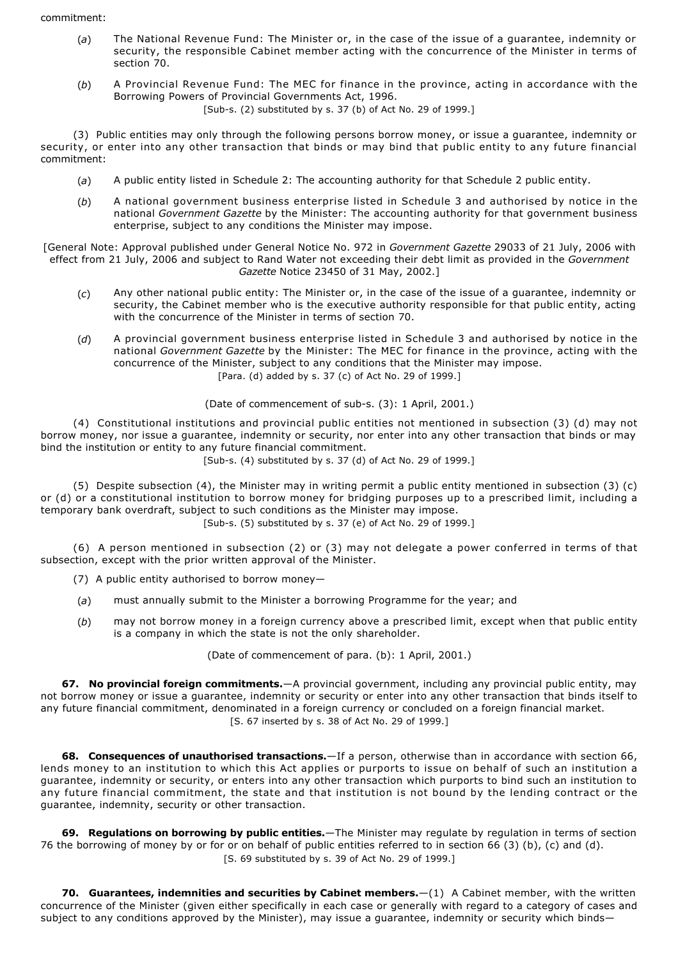- (*a*) The National Revenue Fund: The Minister or, in the case of the issue of a guarantee, indemnity or security, the responsible Cabinet member acting with the concurrence of the Minister in terms of section 70.
- (*b*) A Provincial Revenue Fund: The MEC for finance in the province, acting in accordance with the Borrowing Powers of Provincial Governments Act, 1996.

[Sub-s. (2) substituted by s. 37 (b) of Act No. 29 of 1999.]

(3) Public entities may only through the following persons borrow money, or issue a guarantee, indemnity or security, or enter into any other transaction that binds or may bind that public entity to any future financial commitment:

- (*a*) A public entity listed in Schedule 2: The accounting authority for that Schedule 2 public entity.
- (*b*) A national government business enterprise listed in Schedule 3 and authorised by notice in the national *Government Gazette* by the Minister: The accounting authority for that government business enterprise, subject to any conditions the Minister may impose.
- [General Note: Approval published under General Notice No. 972 in *Government Gazette* 29033 of 21 July, 2006 with effect from 21 July, 2006 and subject to Rand Water not exceeding their debt limit as provided in the *Government Gazette* Notice 23450 of 31 May, 2002.]
	- (*c*) Any other national public entity: The Minister or, in the case of the issue of a guarantee, indemnity or security, the Cabinet member who is the executive authority responsible for that public entity, acting with the concurrence of the Minister in terms of section 70.
	- (*d*) A provincial government business enterprise listed in Schedule 3 and authorised by notice in the national *Government Gazette* by the Minister: The MEC for finance in the province, acting with the concurrence of the Minister, subject to any conditions that the Minister may impose. [Para. (d) added by s. 37 (c) of Act No. 29 of 1999.]

(Date of commencement of sub-s. (3): 1 April, 2001.)

(4) Constitutional institutions and provincial public entities not mentioned in subsection (3) (d) may not borrow money, nor issue a guarantee, indemnity or security, nor enter into any other transaction that binds or may bind the institution or entity to any future financial commitment.

 $[Sub-s, (4)$  substituted by s. 37 (d) of Act No. 29 of 1999.

(5) Despite subsection (4), the Minister may in writing permit a public entity mentioned in subsection (3) (c) or (d) or a constitutional institution to borrow money for bridging purposes up to a prescribed limit, including a temporary bank overdraft, subject to such conditions as the Minister may impose.

[Sub-s. (5) substituted by s. 37 (e) of Act No. 29 of 1999.]

(6) A person mentioned in subsection (2) or (3) may not delegate a power conferred in terms of that subsection, except with the prior written approval of the Minister.

- (7) A public entity authorised to borrow money—
- (*a*) must annually submit to the Minister a borrowing Programme for the year; and
- (*b*) may not borrow money in a foreign currency above a prescribed limit, except when that public entity is a company in which the state is not the only shareholder.

(Date of commencement of para. (b): 1 April, 2001.)

**67. No provincial foreign commitments.**—A provincial government, including any provincial public entity, may not borrow money or issue a guarantee, indemnity or security or enter into any other transaction that binds itself to any future financial commitment, denominated in a foreign currency or concluded on a foreign financial market. [S. 67 inserted by s. 38 of Act No. 29 of 1999.]

**68. Consequences of unauthorised transactions.**—If a person, otherwise than in accordance with section 66, lends money to an institution to which this Act applies or purports to issue on behalf of such an institution a guarantee, indemnity or security, or enters into any other transaction which purports to bind such an institution to any future financial commitment, the state and that institution is not bound by the lending contract or the guarantee, indemnity, security or other transaction.

**69. Regulations on borrowing by public entities.**—The Minister may regulate by regulation in terms of section 76 the borrowing of money by or for or on behalf of public entities referred to in section 66 (3) (b), (c) and (d). [S. 69 substituted by s. 39 of Act No. 29 of 1999.]

**70. Guarantees, indemnities and securities by Cabinet members.**—(1) A Cabinet member, with the written concurrence of the Minister (given either specifically in each case or generally with regard to a category of cases and subject to any conditions approved by the Minister), may issue a quarantee, indemnity or security which binds—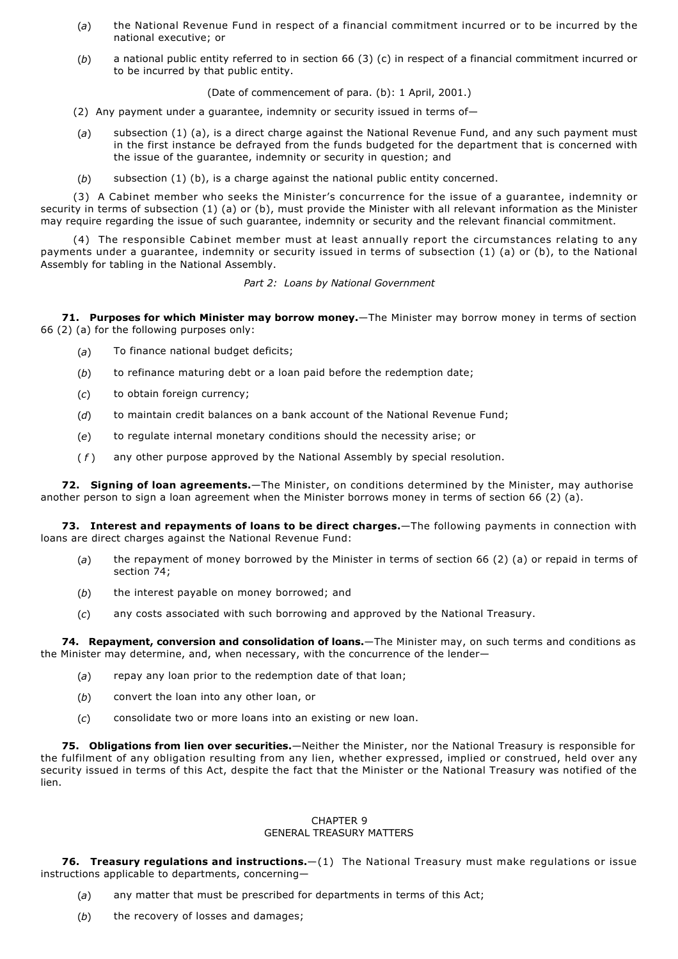- (*a*) the National Revenue Fund in respect of a financial commitment incurred or to be incurred by the national executive; or
- (*b*) a national public entity referred to in section 66 (3) (c) in respect of a financial commitment incurred or to be incurred by that public entity.

(Date of commencement of para. (b): 1 April, 2001.)

- (2) Any payment under a guarantee, indemnity or security issued in terms of—
- (*a*) subsection (1) (a), is a direct charge against the National Revenue Fund, and any such payment must in the first instance be defrayed from the funds budgeted for the department that is concerned with the issue of the guarantee, indemnity or security in question; and
- (*b*) subsection (1) (b), is a charge against the national public entity concerned.

(3) A Cabinet member who seeks the Minister's concurrence for the issue of a guarantee, indemnity or security in terms of subsection (1) (a) or (b), must provide the Minister with all relevant information as the Minister may require regarding the issue of such guarantee, indemnity or security and the relevant financial commitment.

(4) The responsible Cabinet member must at least annually report the circumstances relating to any payments under a guarantee, indemnity or security issued in terms of subsection (1) (a) or (b), to the National Assembly for tabling in the National Assembly.

## *Part 2: Loans by National Government*

**71. Purposes for which Minister may borrow money.**—The Minister may borrow money in terms of section 66 (2) (a) for the following purposes only:

- (*a*) To finance national budget deficits;
- (*b*) to refinance maturing debt or a loan paid before the redemption date;
- (*c*) to obtain foreign currency;
- (*d*) to maintain credit balances on a bank account of the National Revenue Fund;
- (*e*) to regulate internal monetary conditions should the necessity arise; or
- ( *f* ) any other purpose approved by the National Assembly by special resolution.

**72. Signing of loan agreements.**—The Minister, on conditions determined by the Minister, may authorise another person to sign a loan agreement when the Minister borrows money in terms of section 66 (2) (a).

**73. Interest and repayments of loans to be direct charges.**—The following payments in connection with loans are direct charges against the National Revenue Fund:

- (*a*) the repayment of money borrowed by the Minister in terms of section 66 (2) (a) or repaid in terms of section 74;
- (*b*) the interest payable on money borrowed; and
- (*c*) any costs associated with such borrowing and approved by the National Treasury.

**74. Repayment, conversion and consolidation of loans.**—The Minister may, on such terms and conditions as the Minister may determine, and, when necessary, with the concurrence of the lender—

- (*a*) repay any loan prior to the redemption date of that loan;
- (*b*) convert the loan into any other loan, or
- (*c*) consolidate two or more loans into an existing or new loan.

**75. Obligations from lien over securities.**—Neither the Minister, nor the National Treasury is responsible for the fulfilment of any obligation resulting from any lien, whether expressed, implied or construed, held over any security issued in terms of this Act, despite the fact that the Minister or the National Treasury was notified of the lien.

## CHAPTER 9 GENERAL TREASURY MATTERS

**76. Treasury regulations and instructions.**—(1) The National Treasury must make regulations or issue instructions applicable to departments, concerning—

- (*a*) any matter that must be prescribed for departments in terms of this Act;
- (*b*) the recovery of losses and damages;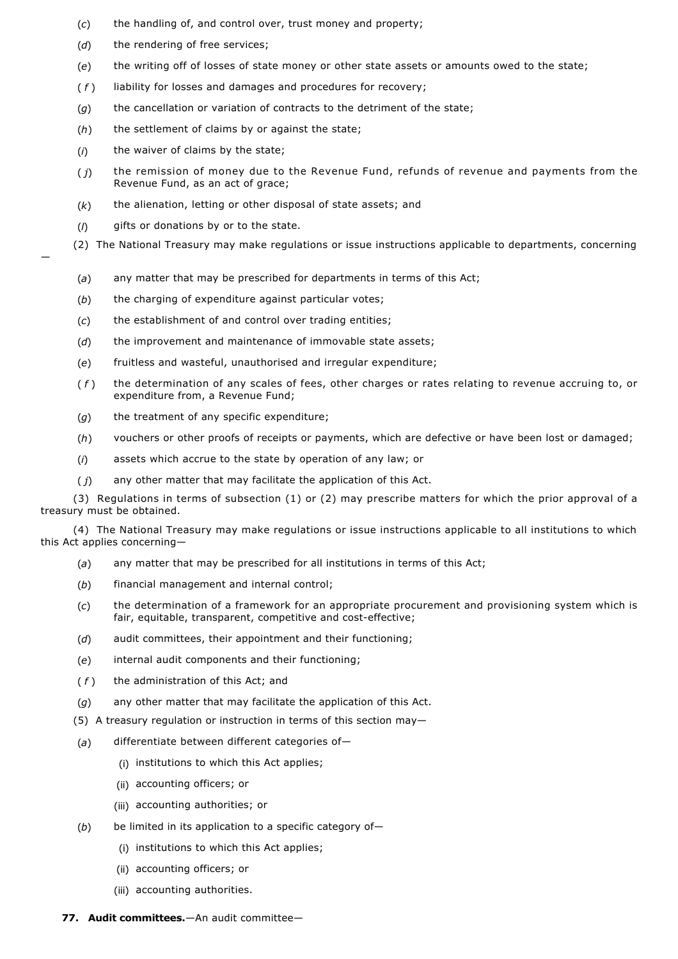- (*c*) the handling of, and control over, trust money and property;
- (*d*) the rendering of free services;
- (*e*) the writing off of losses of state money or other state assets or amounts owed to the state;
- ( *f* ) liability for losses and damages and procedures for recovery;
- (*g*) the cancellation or variation of contracts to the detriment of the state;
- (*h*) the settlement of claims by or against the state;
- (*i*) the waiver of claims by the state;
- ( *j*) the remission of money due to the Revenue Fund, refunds of revenue and payments from the Revenue Fund, as an act of grace;
- (*k*) the alienation, letting or other disposal of state assets; and
- (*l*) gifts or donations by or to the state.

—

- (2) The National Treasury may make regulations or issue instructions applicable to departments, concerning
	- (*a*) any matter that may be prescribed for departments in terms of this Act;
	- (*b*) the charging of expenditure against particular votes;
	- (*c*) the establishment of and control over trading entities;
	- (*d*) the improvement and maintenance of immovable state assets;
	- (*e*) fruitless and wasteful, unauthorised and irregular expenditure;
	- ( *f* ) the determination of any scales of fees, other charges or rates relating to revenue accruing to, or expenditure from, a Revenue Fund;
	- (*g*) the treatment of any specific expenditure;
	- (*h*) vouchers or other proofs of receipts or payments, which are defective or have been lost or damaged;
	- (*i*) assets which accrue to the state by operation of any law; or
	- ( *j*) any other matter that may facilitate the application of this Act.

(3) Regulations in terms of subsection (1) or (2) may prescribe matters for which the prior approval of a treasury must be obtained.

(4) The National Treasury may make regulations or issue instructions applicable to all institutions to which this Act applies concerning—

- (*a*) any matter that may be prescribed for all institutions in terms of this Act;
- (*b*) financial management and internal control;
- (*c*) the determination of a framework for an appropriate procurement and provisioning system which is fair, equitable, transparent, competitive and cost-effective;
- (*d*) audit committees, their appointment and their functioning;
- (*e*) internal audit components and their functioning;
- (*f*) the administration of this Act; and
- (*g*) any other matter that may facilitate the application of this Act.
- (5) A treasury regulation or instruction in terms of this section may—
- (*a*) differentiate between different categories of—
	- (i) institutions to which this Act applies;
	- (ii) accounting officers; or
	- (iii) accounting authorities; or
- (*b*) be limited in its application to a specific category of—
	- (i) institutions to which this Act applies;
	- (ii) accounting officers; or
	- (iii) accounting authorities.
- **77. Audit committees.**—An audit committee—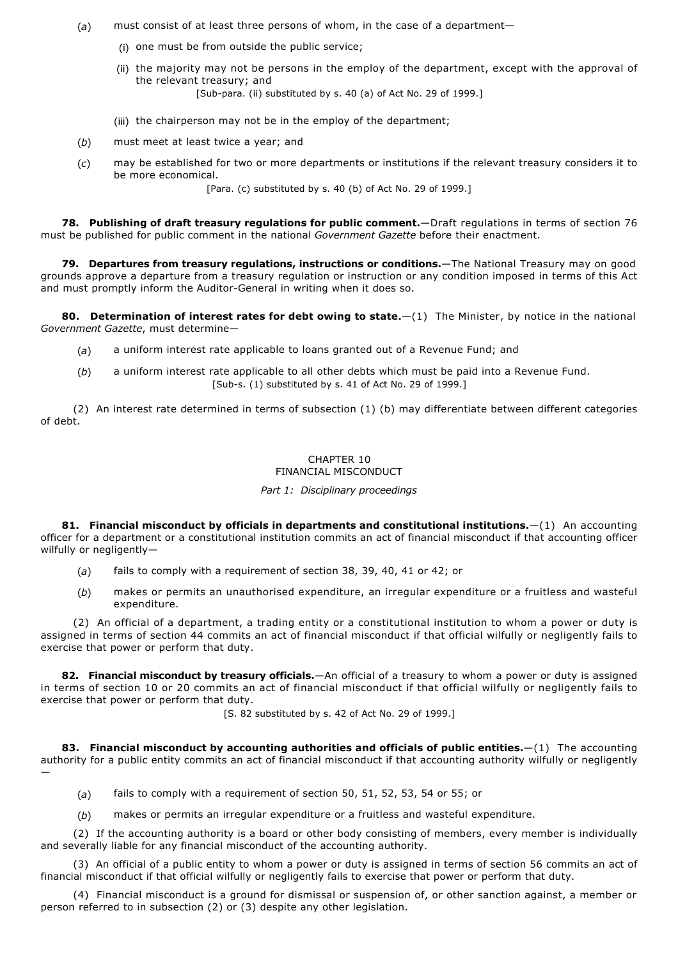- (*a*) must consist of at least three persons of whom, in the case of a department—
	- (i) one must be from outside the public service;
	- (ii) the majority may not be persons in the employ of the department, except with the approval of the relevant treasury; and

[Sub-para. (ii) substituted by s. 40 (a) of Act No. 29 of 1999.]

- (iii) the chairperson may not be in the employ of the department;
- (*b*) must meet at least twice a year; and
- (*c*) may be established for two or more departments or institutions if the relevant treasury considers it to be more economical.

[Para. (c) substituted by s. 40 (b) of Act No. 29 of 1999.]

**78. Publishing of draft treasury regulations for public comment.**—Draft regulations in terms of section 76 must be published for public comment in the national *Government Gazette* before their enactment.

**79. Departures from treasury regulations, instructions or conditions.**—The National Treasury may on good grounds approve a departure from a treasury regulation or instruction or any condition imposed in terms of this Act and must promptly inform the Auditor-General in writing when it does so.

**80. Determination of interest rates for debt owing to state.**—(1) The Minister, by notice in the national *Government Gazette*, must determine—

- (*a*) a uniform interest rate applicable to loans granted out of a Revenue Fund; and
- (*b*) a uniform interest rate applicable to all other debts which must be paid into a Revenue Fund. [Sub-s. (1) substituted by s. 41 of Act No. 29 of 1999.]

(2) An interest rate determined in terms of subsection (1) (b) may differentiate between different categories of debt.

# CHAPTER 10

# FINANCIAL MISCONDUCT

# *Part 1: Disciplinary proceedings*

**81. Financial misconduct by officials in departments and constitutional institutions.**—(1) An accounting officer for a department or a constitutional institution commits an act of financial misconduct if that accounting officer wilfully or negligently—

- (*a*) fails to comply with a requirement of section 38, 39, 40, 41 or 42; or
- (*b*) makes or permits an unauthorised expenditure, an irregular expenditure or a fruitless and wasteful expenditure.

(2) An official of a department, a trading entity or a constitutional institution to whom a power or duty is assigned in terms of section 44 commits an act of financial misconduct if that official wilfully or negligently fails to exercise that power or perform that duty.

**82. Financial misconduct by treasury officials.**—An official of a treasury to whom a power or duty is assigned in terms of section 10 or 20 commits an act of financial misconduct if that official wilfully or negligently fails to exercise that power or perform that duty.

[S. 82 substituted by s. 42 of Act No. 29 of 1999.]

**83. Financial misconduct by accounting authorities and officials of public entities.**—(1) The accounting authority for a public entity commits an act of financial misconduct if that accounting authority wilfully or negligently —

- (*a*) fails to comply with a requirement of section 50, 51, 52, 53, 54 or 55; or
- (*b*) makes or permits an irregular expenditure or a fruitless and wasteful expenditure.

(2) If the accounting authority is a board or other body consisting of members, every member is individually and severally liable for any financial misconduct of the accounting authority.

(3) An official of a public entity to whom a power or duty is assigned in terms of section 56 commits an act of financial misconduct if that official wilfully or negligently fails to exercise that power or perform that duty.

(4) Financial misconduct is a ground for dismissal or suspension of, or other sanction against, a member or person referred to in subsection (2) or (3) despite any other legislation.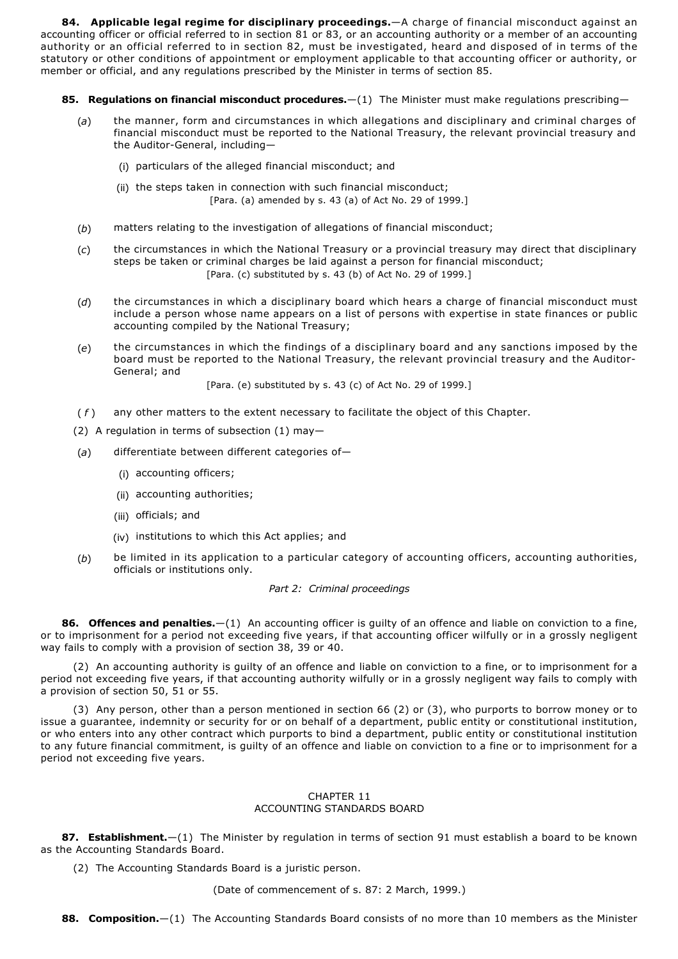**84. Applicable legal regime for disciplinary proceedings.**—A charge of financial misconduct against an accounting officer or official referred to in section 81 or 83, or an accounting authority or a member of an accounting authority or an official referred to in section 82, must be investigated, heard and disposed of in terms of the statutory or other conditions of appointment or employment applicable to that accounting officer or authority, or member or official, and any regulations prescribed by the Minister in terms of section 85.

**85. Regulations on financial misconduct procedures.**—(1) The Minister must make regulations prescribing—

- (*a*) the manner, form and circumstances in which allegations and disciplinary and criminal charges of financial misconduct must be reported to the National Treasury, the relevant provincial treasury and the Auditor-General, including-
	- (i) particulars of the alleged financial misconduct; and
	- (ii) the steps taken in connection with such financial misconduct; [Para. (a) amended by s. 43 (a) of Act No. 29 of 1999.]
- (*b*) matters relating to the investigation of allegations of financial misconduct;
- (*c*) the circumstances in which the National Treasury or a provincial treasury may direct that disciplinary steps be taken or criminal charges be laid against a person for financial misconduct; [Para. (c) substituted by s. 43 (b) of Act No. 29 of 1999.]
- (*d*) the circumstances in which a disciplinary board which hears a charge of financial misconduct must include a person whose name appears on a list of persons with expertise in state finances or public accounting compiled by the National Treasury;
- (*e*) the circumstances in which the findings of a disciplinary board and any sanctions imposed by the board must be reported to the National Treasury, the relevant provincial treasury and the Auditor-General; and

[Para. (e) substituted by s. 43 (c) of Act No. 29 of 1999.]

- ( *f* ) any other matters to the extent necessary to facilitate the object of this Chapter.
- (2) A regulation in terms of subsection (1) may—
- (*a*) differentiate between different categories of—
	- (i) accounting officers;
	- (ii) accounting authorities;
	- (iii) officials; and
	- (iv) institutions to which this Act applies; and
- (*b*) be limited in its application to a particular category of accounting officers, accounting authorities, officials or institutions only.

## *Part 2: Criminal proceedings*

**86. Offences and penalties.**—(1) An accounting officer is guilty of an offence and liable on conviction to a fine, or to imprisonment for a period not exceeding five years, if that accounting officer wilfully or in a grossly negligent way fails to comply with a provision of section 38, 39 or 40.

(2) An accounting authority is guilty of an offence and liable on conviction to a fine, or to imprisonment for a period not exceeding five years, if that accounting authority wilfully or in a grossly negligent way fails to comply with a provision of section 50, 51 or 55.

(3) Any person, other than a person mentioned in section 66 (2) or (3), who purports to borrow money or to issue a guarantee, indemnity or security for or on behalf of a department, public entity or constitutional institution, or who enters into any other contract which purports to bind a department, public entity or constitutional institution to any future financial commitment, is guilty of an offence and liable on conviction to a fine or to imprisonment for a period not exceeding five years.

## CHAPTER 11 ACCOUNTING STANDARDS BOARD

**87. Establishment.**—(1) The Minister by regulation in terms of section 91 must establish a board to be known as the Accounting Standards Board.

(2) The Accounting Standards Board is a juristic person.

(Date of commencement of s. 87: 2 March, 1999.)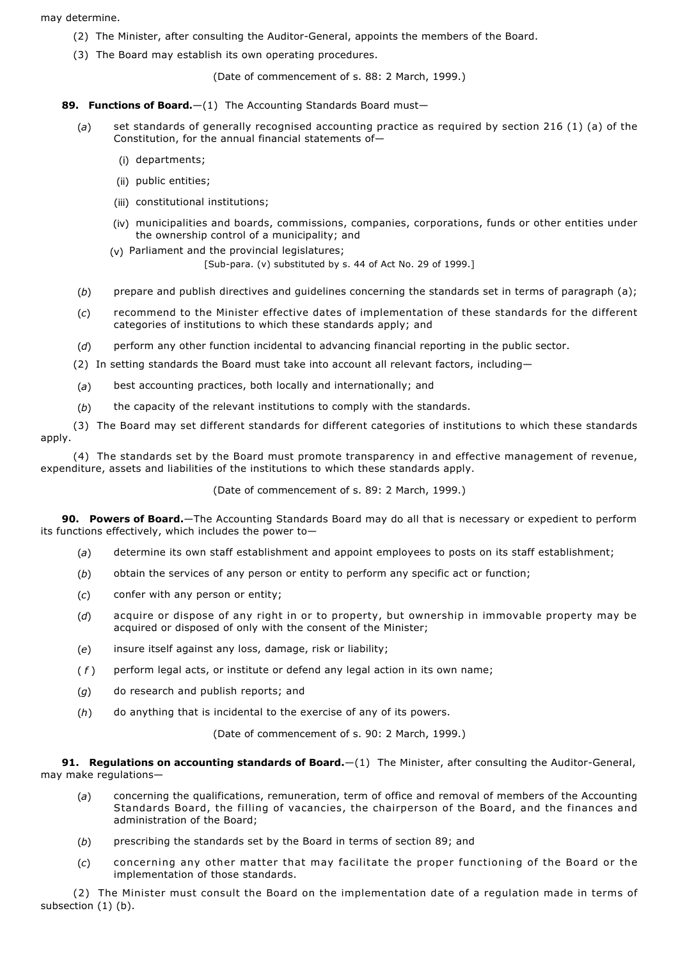## may determine.

- (2) The Minister, after consulting the Auditor-General, appoints the members of the Board.
- (3) The Board may establish its own operating procedures.

(Date of commencement of s. 88: 2 March, 1999.)

89. Functions of Board.-(1) The Accounting Standards Board must-

- (*a*) set standards of generally recognised accounting practice as required by section 216 (1) (a) of the Constitution, for the annual financial statements of—
	- (i) departments;
	- (ii) public entities;
	- (iii) constitutional institutions;
	- (iv) municipalities and boards, commissions, companies, corporations, funds or other entities under the ownership control of a municipality; and
	- (v) Parliament and the provincial legislatures;

[Sub-para. (v) substituted by s. 44 of Act No. 29 of 1999.]

- (*b*) prepare and publish directives and guidelines concerning the standards set in terms of paragraph (a);
- (*c*) recommend to the Minister effective dates of implementation of these standards for the different categories of institutions to which these standards apply; and
- (*d*) perform any other function incidental to advancing financial reporting in the public sector.
- (2) In setting standards the Board must take into account all relevant factors, including—
- (*a*) best accounting practices, both locally and internationally; and
- (*b*) the capacity of the relevant institutions to comply with the standards.

(3) The Board may set different standards for different categories of institutions to which these standards apply.

(4) The standards set by the Board must promote transparency in and effective management of revenue, expenditure, assets and liabilities of the institutions to which these standards apply.

(Date of commencement of s. 89: 2 March, 1999.)

**90. Powers of Board.**—The Accounting Standards Board may do all that is necessary or expedient to perform its functions effectively, which includes the power to—

- (*a*) determine its own staff establishment and appoint employees to posts on its staff establishment;
- (*b*) obtain the services of any person or entity to perform any specific act or function;
- (*c*) confer with any person or entity;
- (*d*) acquire or dispose of any right in or to property, but ownership in immovable property may be acquired or disposed of only with the consent of the Minister;
- (*e*) insure itself against any loss, damage, risk or liability;
- ( *f* ) perform legal acts, or institute or defend any legal action in its own name;
- (*g*) do research and publish reports; and
- (*h*) do anything that is incidental to the exercise of any of its powers.

(Date of commencement of s. 90: 2 March, 1999.)

91. Regulations on accounting standards of Board. $-(1)$  The Minister, after consulting the Auditor-General, may make regulations—

- (*a*) concerning the qualifications, remuneration, term of office and removal of members of the Accounting Standards Board, the filling of vacancies, the chairperson of the Board, and the finances and administration of the Board;
- (*b*) prescribing the standards set by the Board in terms of section 89; and
- (*c*) concerning any other matter that may facilitate the proper functioning of the Board or the implementation of those standards.

(2) The Minister must consult the Board on the implementation date of a regulation made in terms of subsection (1) (b).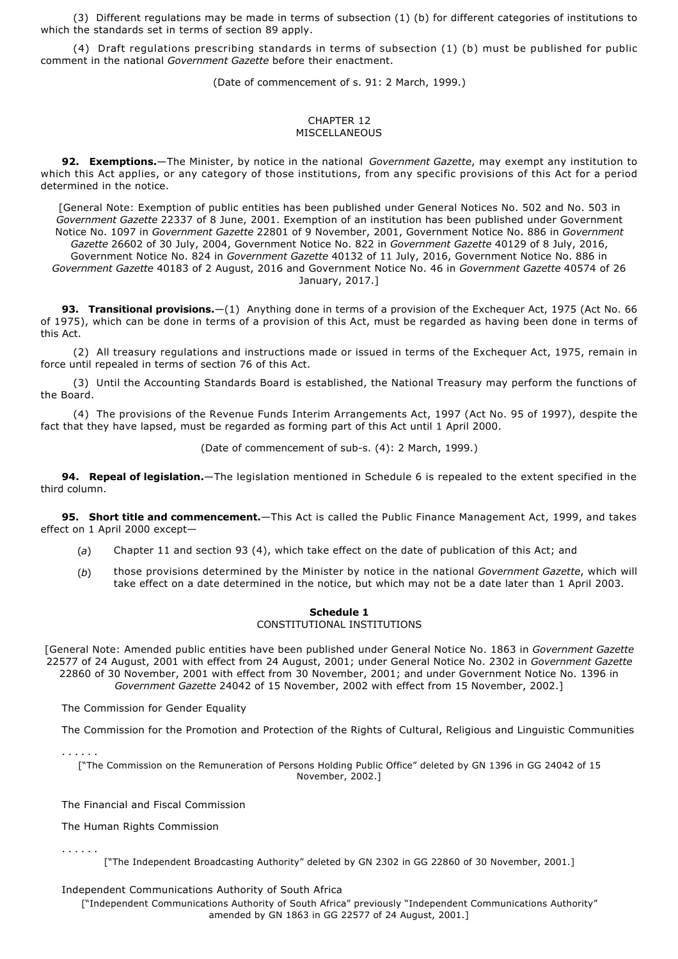(3) Different regulations may be made in terms of subsection (1) (b) for different categories of institutions to which the standards set in terms of section 89 apply.

(4) Draft regulations prescribing standards in terms of subsection (1) (b) must be published for public comment in the national *Government Gazette* before their enactment.

(Date of commencement of s. 91: 2 March, 1999.)

## CHAPTER 12 MISCELLANEOUS

**92. Exemptions.**—The Minister, by notice in the national *Government Gazette*, may exempt any institution to which this Act applies, or any category of those institutions, from any specific provisions of this Act for a period determined in the notice.

[General Note: Exemption of public entities has been published under General Notices No. 502 and No. 503 in *Government Gazette* 22337 of 8 June, 2001. Exemption of an institution has been published under Government Notice No. 1097 in *Government Gazette* 22801 of 9 November, 2001, Government Notice No. 886 in *Government Gazette* 26602 of 30 July, 2004, Government Notice No. 822 in *Government Gazette* 40129 of 8 July, 2016, Government Notice No. 824 in *Government Gazette* 40132 of 11 July, 2016, Government Notice No. 886 in *Government Gazette* 40183 of 2 August, 2016 and Government Notice No. 46 in *Government Gazette* 40574 of 26 January, 2017.]

**93. Transitional provisions.**—(1) Anything done in terms of a provision of the Exchequer Act, 1975 (Act No. 66 of 1975), which can be done in terms of a provision of this Act, must be regarded as having been done in terms of this Act.

(2) All treasury regulations and instructions made or issued in terms of the Exchequer Act, 1975, remain in force until repealed in terms of section 76 of this Act.

(3) Until the Accounting Standards Board is established, the National Treasury may perform the functions of the Board.

(4) The provisions of the Revenue Funds Interim Arrangements Act, 1997 (Act No. 95 of 1997), despite the fact that they have lapsed, must be regarded as forming part of this Act until 1 April 2000.

(Date of commencement of sub-s. (4): 2 March, 1999.)

**94. Repeal of legislation.**—The legislation mentioned in Schedule 6 is repealed to the extent specified in the third column.

**95. Short title and commencement.**—This Act is called the Public Finance Management Act, 1999, and takes effect on 1 April 2000 except—

- (*a*) Chapter 11 and section 93 (4), which take effect on the date of publication of this Act; and
- (*b*) those provisions determined by the Minister by notice in the national *Government Gazette*, which will take effect on a date determined in the notice, but which may not be a date later than 1 April 2003.

## **Schedule 1** CONSTITUTIONAL INSTITUTIONS

[General Note: Amended public entities have been published under General Notice No. 1863 in *Government Gazette* 22577 of 24 August, 2001 with effect from 24 August, 2001; under General Notice No. 2302 in *Government Gazette* 22860 of 30 November, 2001 with effect from 30 November, 2001; and under Government Notice No. 1396 in *Government Gazette* 24042 of 15 November, 2002 with effect from 15 November, 2002.]

The Commission for Gender Equality

The Commission for the Promotion and Protection of the Rights of Cultural, Religious and Linguistic Communities

. . . . . .

. . . . . .

["The Commission on the Remuneration of Persons Holding Public Office" deleted by GN 1396 in GG 24042 of 15 November, 2002.]

The Financial and Fiscal Commission

The Human Rights Commission

["The Independent Broadcasting Authority" deleted by GN 2302 in GG 22860 of 30 November, 2001.]

Independent Communications Authority of South Africa

["Independent Communications Authority of South Africa" previously "Independent Communications Authority" amended by GN 1863 in GG 22577 of 24 August, 2001.]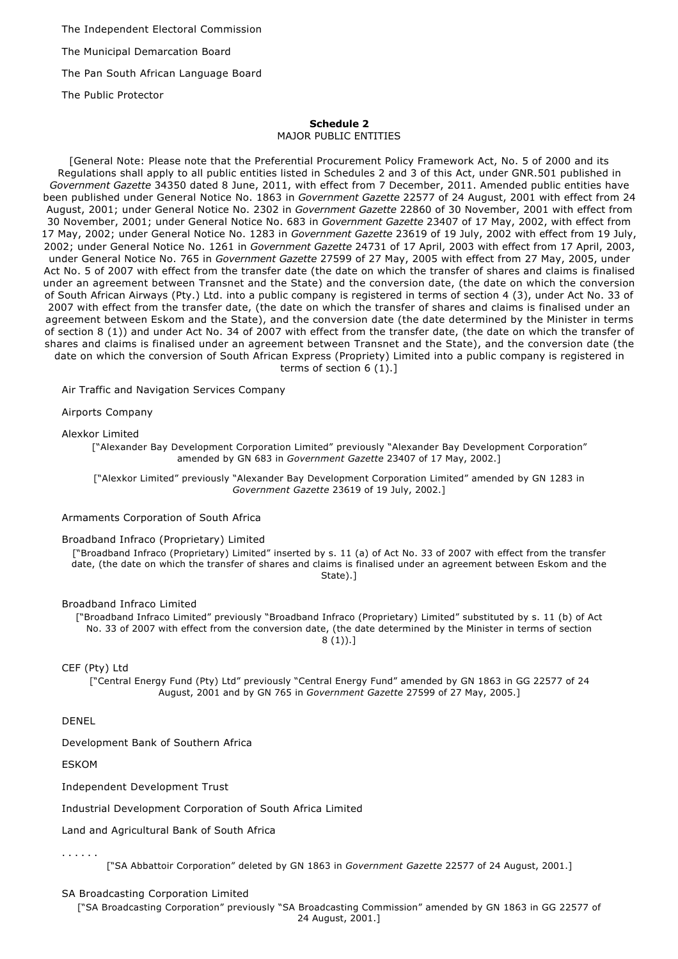The Independent Electoral Commission

The Municipal Demarcation Board

The Pan South African Language Board

The Public Protector

# **Schedule 2**

MAJOR PUBLIC ENTITIES

[General Note: Please note that the Preferential Procurement Policy Framework Act, No. 5 of 2000 and its Regulations shall apply to all public entities listed in Schedules 2 and 3 of this Act, under GNR.501 published in *Government Gazette* 34350 dated 8 June, 2011, with effect from 7 December, 2011. Amended public entities have been published under General Notice No. 1863 in *Government Gazette* 22577 of 24 August, 2001 with effect from 24 August, 2001; under General Notice No. 2302 in *Government Gazette* 22860 of 30 November, 2001 with effect from 30 November, 2001; under General Notice No. 683 in *Government Gazette* 23407 of 17 May, 2002, with effect from 17 May, 2002; under General Notice No. 1283 in *Government Gazette* 23619 of 19 July, 2002 with effect from 19 July, 2002; under General Notice No. 1261 in *Government Gazette* 24731 of 17 April, 2003 with effect from 17 April, 2003, under General Notice No. 765 in *Government Gazette* 27599 of 27 May, 2005 with effect from 27 May, 2005, under Act No. 5 of 2007 with effect from the transfer date (the date on which the transfer of shares and claims is finalised under an agreement between Transnet and the State) and the conversion date, (the date on which the conversion of South African Airways (Pty.) Ltd. into a public company is registered in terms of section 4 (3), under Act No. 33 of 2007 with effect from the transfer date, (the date on which the transfer of shares and claims is finalised under an agreement between Eskom and the State), and the conversion date (the date determined by the Minister in terms of section 8 (1)) and under Act No. 34 of 2007 with effect from the transfer date, (the date on which the transfer of shares and claims is finalised under an agreement between Transnet and the State), and the conversion date (the date on which the conversion of South African Express (Propriety) Limited into a public company is registered in terms of section 6 (1).]

Air Traffic and Navigation Services Company

Airports Company

Alexkor Limited

["Alexander Bay Development Corporation Limited" previously "Alexander Bay Development Corporation" amended by GN 683 in *Government Gazette* 23407 of 17 May, 2002.]

["Alexkor Limited" previously "Alexander Bay Development Corporation Limited" amended by GN 1283 in *Government Gazette* 23619 of 19 July, 2002.]

Armaments Corporation of South Africa

## Broadband Infraco (Proprietary) Limited

["Broadband Infraco (Proprietary) Limited" inserted by s. 11 (a) of Act No. 33 of 2007 with effect from the transfer date, (the date on which the transfer of shares and claims is finalised under an agreement between Eskom and the State).]

## Broadband Infraco Limited

["Broadband Infraco Limited" previously "Broadband Infraco (Proprietary) Limited" substituted by s. 11 (b) of Act No. 33 of 2007 with effect from the conversion date, (the date determined by the Minister in terms of section  $8(1)$ .]

CEF (Pty) Ltd

["Central Energy Fund (Pty) Ltd" previously "Central Energy Fund" amended by GN 1863 in GG 22577 of 24 August, 2001 and by GN 765 in *Government Gazette* 27599 of 27 May, 2005.]

DENEL

Development Bank of Southern Africa

ESKOM

Independent Development Trust

Industrial Development Corporation of South Africa Limited

Land and Agricultural Bank of South Africa

. . . . . .

["SA Abbattoir Corporation" deleted by GN 1863 in *Government Gazette* 22577 of 24 August, 2001.]

SA Broadcasting Corporation Limited

["SA Broadcasting Corporation" previously "SA Broadcasting Commission" amended by GN 1863 in GG 22577 of 24 August, 2001.]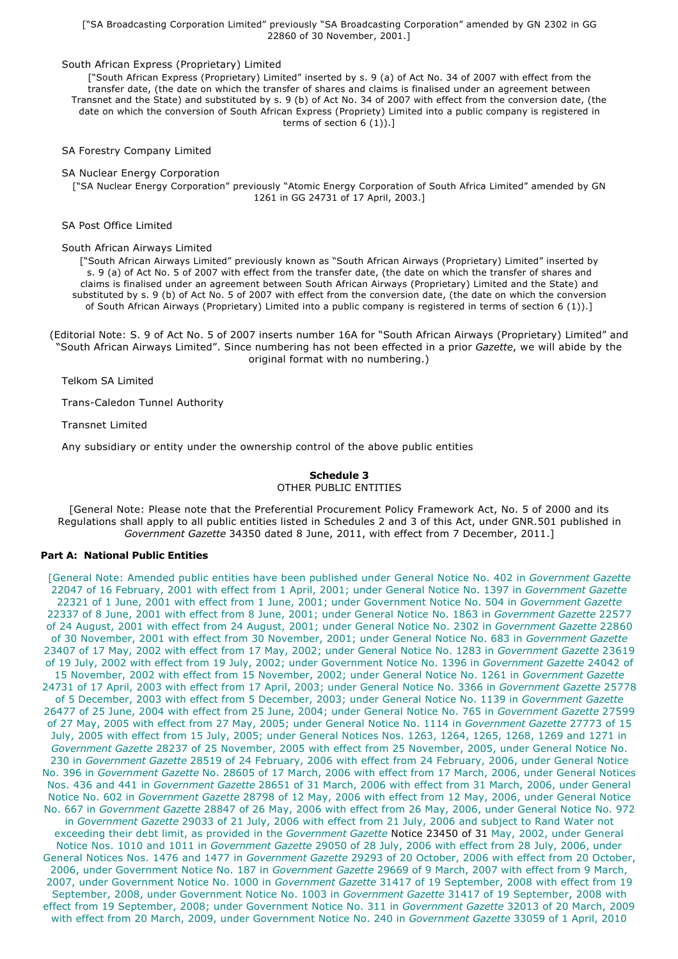## ["SA Broadcasting Corporation Limited" previously "SA Broadcasting Corporation" amended by GN 2302 in GG 22860 of 30 November, 2001.]

## South African Express (Proprietary) Limited

["South African Express (Proprietary) Limited" inserted by s. 9 (a) of Act No. 34 of 2007 with effect from the transfer date, (the date on which the transfer of shares and claims is finalised under an agreement between Transnet and the State) and substituted by s. 9 (b) of Act No. 34 of 2007 with effect from the conversion date, (the date on which the conversion of South African Express (Propriety) Limited into a public company is registered in terms of section 6 (1)).]

SA Forestry Company Limited

SA Nuclear Energy Corporation

["SA Nuclear Energy Corporation" previously "Atomic Energy Corporation of South Africa Limited" amended by GN 1261 in GG 24731 of 17 April, 2003.]

SA Post Office Limited

South African Airways Limited

["South African Airways Limited" previously known as "South African Airways (Proprietary) Limited" inserted by s. 9 (a) of Act No. 5 of 2007 with effect from the transfer date, (the date on which the transfer of shares and claims is finalised under an agreement between South African Airways (Proprietary) Limited and the State) and substituted by s. 9 (b) of Act No. 5 of 2007 with effect from the conversion date, (the date on which the conversion of South African Airways (Proprietary) Limited into a public company is registered in terms of section 6 (1)).]

(Editorial Note: S. 9 of Act No. 5 of 2007 inserts number 16A for "South African Airways (Proprietary) Limited" and "South African Airways Limited". Since numbering has not been effected in a prior *Gazette*, we will abide by the original format with no numbering.)

Telkom SA Limited

Trans-Caledon Tunnel Authority

Transnet Limited

Any subsidiary or entity under the ownership control of the above public entities

## **Schedule 3** OTHER PUBLIC ENTITIES

[General Note: Please note that the Preferential Procurement Policy Framework Act, No. 5 of 2000 and its Regulations shall apply to all public entities listed in Schedules 2 and 3 of this Act, under GNR.501 published in *Government Gazette* 34350 dated 8 June, 2011, with effect from 7 December, 2011.]

## **Part A: National Public Entities**

[General Note: Amended public entities have been published under General Notice No. 402 in *Government Gazette* 22047 of 16 February, 2001 with effect from 1 April, 2001; under General Notice No. 1397 in *Government Gazette* 22321 of 1 June, 2001 with effect from 1 June, 2001; under Government Notice No. 504 in *Government Gazette* 22337 of 8 June, 2001 with effect from 8 June, 2001; under General Notice No. 1863 in *Government Gazette* 22577 of 24 August, 2001 with effect from 24 August, 2001; under General Notice No. 2302 in *Government Gazette* 22860 of 30 November, 2001 with effect from 30 November, 2001; under General Notice No. 683 in *Government Gazette* 23407 of 17 May, 2002 with effect from 17 May, 2002; under General Notice No. 1283 in *Government Gazette* 23619 of 19 July, 2002 with effect from 19 July, 2002; under Government Notice No. 1396 in *Government Gazette* 24042 of 15 November, 2002 with effect from 15 November, 2002; under General Notice No. 1261 in *Government Gazette* 24731 of 17 April, 2003 with effect from 17 April, 2003; under General Notice No. 3366 in *Government Gazette* 25778 of 5 December, 2003 with effect from 5 December, 2003; under General Notice No. 1139 in *Government Gazette* 26477 of 25 June, 2004 with effect from 25 June, 2004; under General Notice No. 765 in *Government Gazette* 27599 of 27 May, 2005 with effect from 27 May, 2005; under General Notice No. 1114 in *Government Gazette* 27773 of 15 July, 2005 with effect from 15 July, 2005; under General Notices Nos. 1263, 1264, 1265, 1268, 1269 and 1271 in *Government Gazette* 28237 of 25 November, 2005 with effect from 25 November, 2005, under General Notice No. 230 in *Government Gazette* 28519 of 24 February, 2006 with effect from 24 February, 2006, under General Notice No. 396 in *Government Gazette* No. 28605 of 17 March, 2006 with effect from 17 March, 2006, under General Notices Nos. 436 and 441 in *Government Gazette* 28651 of 31 March, 2006 with effect from 31 March, 2006, under General Notice No. 602 in *Government Gazette* 28798 of 12 May, 2006 with effect from 12 May, 2006, under General Notice No. 667 in *Government Gazette* 28847 of 26 May, 2006 with effect from 26 May, 2006, under General Notice No. 972 in *Government Gazette* 29033 of 21 July, 2006 with effect from 21 July, 2006 and subject to Rand Water not exceeding their debt limit, as provided in the *Government Gazette* Notice 23450 of 31 May, 2002, under General Notice Nos. 1010 and 1011 in *Government Gazette* 29050 of 28 July, 2006 with effect from 28 July, 2006, under General Notices Nos. 1476 and 1477 in *Government Gazette* 29293 of 20 October, 2006 with effect from 20 October, 2006, under Government Notice No. 187 in *Government Gazette* 29669 of 9 March, 2007 with effect from 9 March, 2007, under Government Notice No. 1000 in *Government Gazette* 31417 of 19 September, 2008 with effect from 19 September, 2008, under Government Notice No. 1003 in *Government Gazette* 31417 of 19 September, 2008 with effect from 19 September, 2008; under Government Notice No. 311 in *Government Gazette* 32013 of 20 March, 2009 with effect from 20 March, 2009, under Government Notice No. 240 in *Government Gazette* 33059 of 1 April, 2010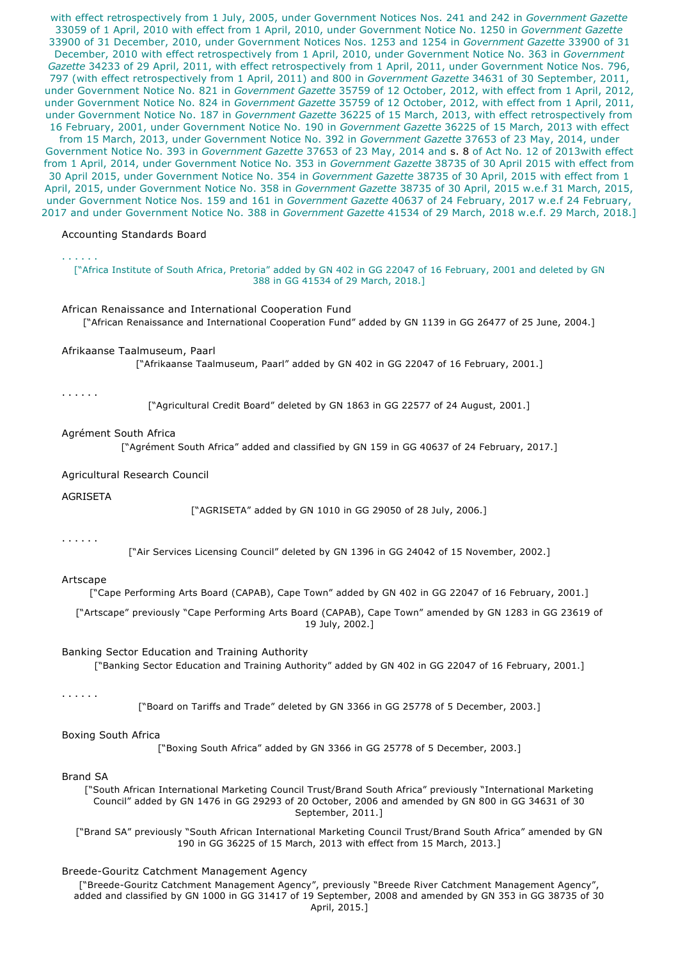with effect retrospectively from 1 July, 2005, under Government Notices Nos. 241 and 242 in *Government Gazette* 33059 of 1 April, 2010 with effect from 1 April, 2010, under Government Notice No. 1250 in *Government Gazette* 33900 of 31 December, 2010, under Government Notices Nos. 1253 and 1254 in *Government Gazette* 33900 of 31 December, 2010 with effect retrospectively from 1 April, 2010, under Government Notice No. 363 in *Government Gazette* 34233 of 29 April, 2011, with effect retrospectively from 1 April, 2011, under Government Notice Nos. 796, 797 (with effect retrospectively from 1 April, 2011) and 800 in *Government Gazette* 34631 of 30 September, 2011, under Government Notice No. 821 in *Government Gazette* 35759 of 12 October, 2012, with effect from 1 April, 2012, under Government Notice No. 824 in *Government Gazette* 35759 of 12 October, 2012, with effect from 1 April, 2011, under Government Notice No. 187 in *Government Gazette* 36225 of 15 March, 2013, with effect retrospectively from 16 February, 2001, under Government Notice No. 190 in *Government Gazette* 36225 of 15 March, 2013 with effect from 15 March, 2013, under Government Notice No. 392 in *Government Gazette* 37653 of 23 May, 2014, under Government Notice No. 393 in *Government Gazette* 37653 of 23 May, 2014 and s. 8 of Act No. 12 of 2013with effect from 1 April, 2014, under Government Notice No. 353 in *Government Gazette* 38735 of 30 April 2015 with effect from 30 April 2015, under Government Notice No. 354 in *Government Gazette* 38735 of 30 April, 2015 with effect from 1 April, 2015, under Government Notice No. 358 in *Government Gazette* 38735 of 30 April, 2015 w.e.f 31 March, 2015, under Government Notice Nos. 159 and 161 in *Government Gazette* 40637 of 24 February, 2017 w.e.f 24 February, 2017 and under Government Notice No. 388 in *Government Gazette* 41534 of 29 March, 2018 w.e.f. 29 March, 2018.]

#### Accounting Standards Board

# . . . . . .

["Africa Institute of South Africa, Pretoria" added by GN 402 in GG 22047 of 16 February, 2001 and deleted by GN 388 in GG 41534 of 29 March, 2018.]

#### African Renaissance and International Cooperation Fund

["African Renaissance and International Cooperation Fund" added by GN 1139 in GG 26477 of 25 June, 2004.]

#### Afrikaanse Taalmuseum, Paarl

["Afrikaanse Taalmuseum, Paarl" added by GN 402 in GG 22047 of 16 February, 2001.]

#### . . . . . .

["Agricultural Credit Board" deleted by GN 1863 in GG 22577 of 24 August, 2001.]

#### Agrément South Africa

["Agrément South Africa" added and classified by GN 159 in GG 40637 of 24 February, 2017.]

#### Agricultural Research Council

AGRISETA

["AGRISETA" added by GN 1010 in GG 29050 of 28 July, 2006.]

## . . . . . .

["Air Services Licensing Council" deleted by GN 1396 in GG 24042 of 15 November, 2002.]

## Artscape

["Cape Performing Arts Board (CAPAB), Cape Town" added by GN 402 in GG 22047 of 16 February, 2001.]

["Artscape" previously "Cape Performing Arts Board (CAPAB), Cape Town" amended by GN 1283 in GG 23619 of 19 July, 2002.]

#### Banking Sector Education and Training Authority

["Banking Sector Education and Training Authority" added by GN 402 in GG 22047 of 16 February, 2001.]

#### . . . . . .

["Board on Tariffs and Trade" deleted by GN 3366 in GG 25778 of 5 December, 2003.]

### Boxing South Africa

["Boxing South Africa" added by GN 3366 in GG 25778 of 5 December, 2003.]

#### Brand SA

["South African International Marketing Council Trust/Brand South Africa" previously "International Marketing Council" added by GN 1476 in GG 29293 of 20 October, 2006 and amended by GN 800 in GG 34631 of 30 September, 2011.]

["Brand SA" previously "South African International Marketing Council Trust/Brand South Africa" amended by GN 190 in GG 36225 of 15 March, 2013 with effect from 15 March, 2013.]

## Breede-Gouritz Catchment Management Agency

["Breede-Gouritz Catchment Management Agency", previously "Breede River Catchment Management Agency" added and classified by GN 1000 in GG 31417 of 19 September, 2008 and amended by GN 353 in GG 38735 of 30 April, 2015.]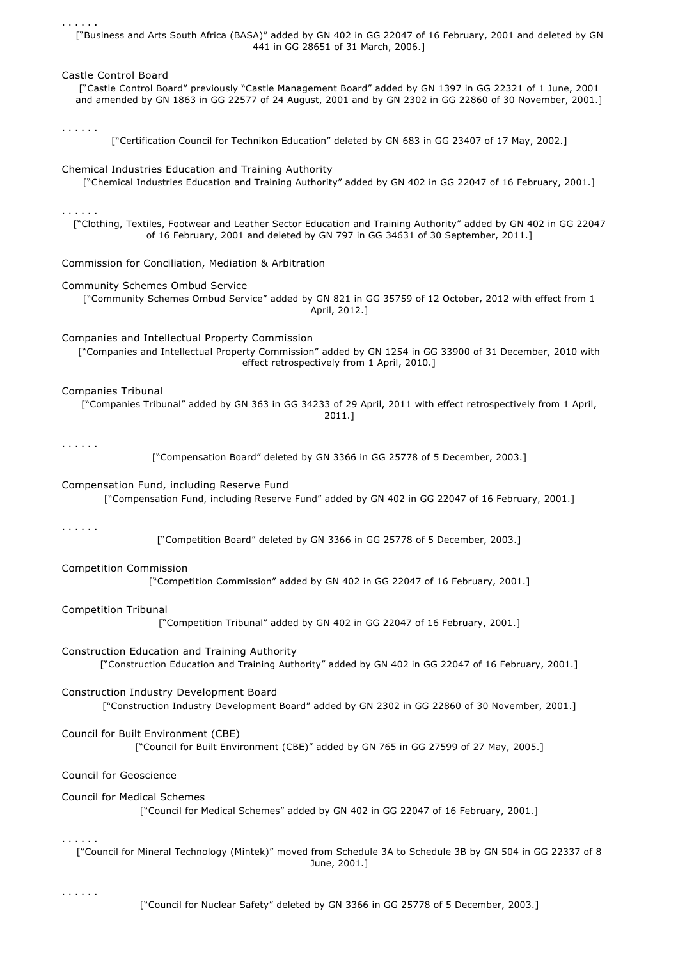["Business and Arts South Africa (BASA)" added by GN 402 in GG 22047 of 16 February, 2001 and deleted by GN 441 in GG 28651 of 31 March, 2006.]

Castle Control Board

["Castle Control Board" previously "Castle Management Board" added by GN 1397 in GG 22321 of 1 June, 2001 and amended by GN 1863 in GG 22577 of 24 August, 2001 and by GN 2302 in GG 22860 of 30 November, 2001.]

. . . . . .

. . . . . .

["Certification Council for Technikon Education" deleted by GN 683 in GG 23407 of 17 May, 2002.]

Chemical Industries Education and Training Authority

["Chemical Industries Education and Training Authority" added by GN 402 in GG 22047 of 16 February, 2001.]

. . . . . .

["Clothing, Textiles, Footwear and Leather Sector Education and Training Authority" added by GN 402 in GG 22047 of 16 February, 2001 and deleted by GN 797 in GG 34631 of 30 September, 2011.]

Commission for Conciliation, Mediation & Arbitration

Community Schemes Ombud Service

["Community Schemes Ombud Service" added by GN 821 in GG 35759 of 12 October, 2012 with effect from 1 April, 2012.]

Companies and Intellectual Property Commission

["Companies and Intellectual Property Commission" added by GN 1254 in GG 33900 of 31 December, 2010 with effect retrospectively from 1 April, 2010.]

Companies Tribunal

["Companies Tribunal" added by GN 363 in GG 34233 of 29 April, 2011 with effect retrospectively from 1 April, 2011.]

. . . . . .

["Compensation Board" deleted by GN 3366 in GG 25778 of 5 December, 2003.]

Compensation Fund, including Reserve Fund

["Compensation Fund, including Reserve Fund" added by GN 402 in GG 22047 of 16 February, 2001.]

. . . . . .

["Competition Board" deleted by GN 3366 in GG 25778 of 5 December, 2003.]

Competition Commission

["Competition Commission" added by GN 402 in GG 22047 of 16 February, 2001.]

Competition Tribunal

["Competition Tribunal" added by GN 402 in GG 22047 of 16 February, 2001.]

Construction Education and Training Authority ["Construction Education and Training Authority" added by GN 402 in GG 22047 of 16 February, 2001.]

Construction Industry Development Board ["Construction Industry Development Board" added by GN 2302 in GG 22860 of 30 November, 2001.]

Council for Built Environment (CBE)

["Council for Built Environment (CBE)" added by GN 765 in GG 27599 of 27 May, 2005.]

Council for Geoscience

Council for Medical Schemes

["Council for Medical Schemes" added by GN 402 in GG 22047 of 16 February, 2001.]

. . . . . .

["Council for Mineral Technology (Mintek)" moved from Schedule 3A to Schedule 3B by GN 504 in GG 22337 of 8 June, 2001.]

. . . . . .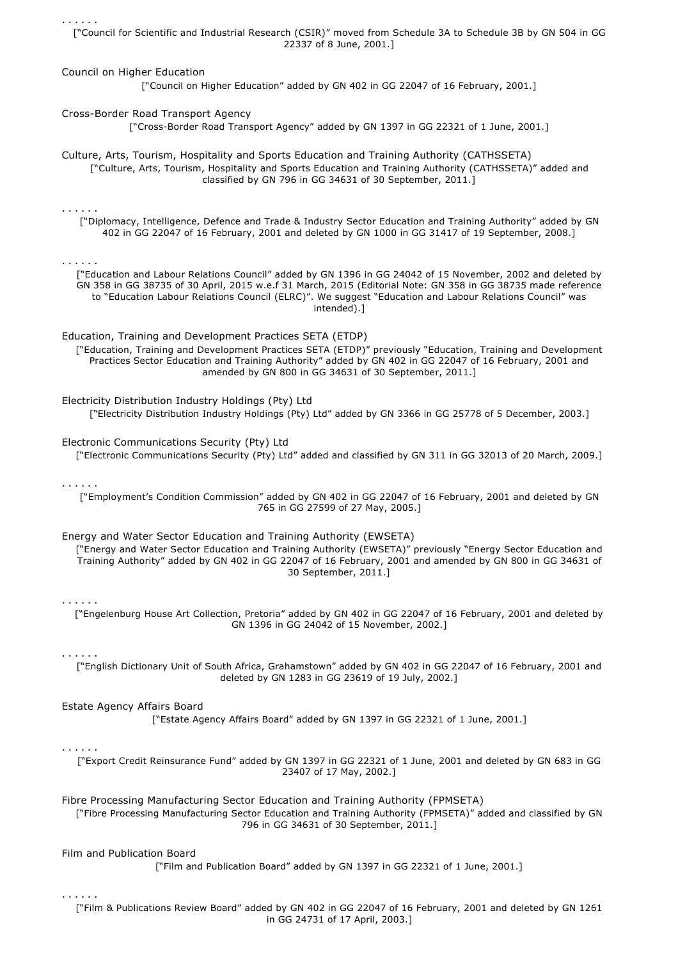. . . . . . ["Council for Scientific and Industrial Research (CSIR)" moved from Schedule 3A to Schedule 3B by GN 504 in GG 22337 of 8 June, 2001.] Council on Higher Education ["Council on Higher Education" added by GN 402 in GG 22047 of 16 February, 2001.] Cross-Border Road Transport Agency ["Cross-Border Road Transport Agency" added by GN 1397 in GG 22321 of 1 June, 2001.] Culture, Arts, Tourism, Hospitality and Sports Education and Training Authority (CATHSSETA) ["Culture, Arts, Tourism, Hospitality and Sports Education and Training Authority (CATHSSETA)" added and classified by GN 796 in GG 34631 of 30 September, 2011.] . . . . . . ["Diplomacy, Intelligence, Defence and Trade & Industry Sector Education and Training Authority" added by GN 402 in GG 22047 of 16 February, 2001 and deleted by GN 1000 in GG 31417 of 19 September, 2008.] . . . . . . ["Education and Labour Relations Council" added by GN 1396 in GG 24042 of 15 November, 2002 and deleted by GN 358 in GG 38735 of 30 April, 2015 w.e.f 31 March, 2015 (Editorial Note: GN 358 in GG 38735 made reference to "Education Labour Relations Council (ELRC)". We suggest "Education and Labour Relations Council" was intended).] Education, Training and Development Practices SETA (ETDP) ["Education, Training and Development Practices SETA (ETDP)" previously "Education, Training and Development Practices Sector Education and Training Authority" added by GN 402 in GG 22047 of 16 February, 2001 and amended by GN 800 in GG 34631 of 30 September, 2011.] Electricity Distribution Industry Holdings (Pty) Ltd ["Electricity Distribution Industry Holdings (Pty) Ltd" added by GN 3366 in GG 25778 of 5 December, 2003.] Electronic Communications Security (Pty) Ltd ["Electronic Communications Security (Pty) Ltd" added and classified by GN 311 in GG 32013 of 20 March, 2009.] . . . . . . ["Employment's Condition Commission" added by GN 402 in GG 22047 of 16 February, 2001 and deleted by GN 765 in GG 27599 of 27 May, 2005.] Energy and Water Sector Education and Training Authority (EWSETA) ["Energy and Water Sector Education and Training Authority (EWSETA)" previously "Energy Sector Education and Training Authority" added by GN 402 in GG 22047 of 16 February, 2001 and amended by GN 800 in GG 34631 of 30 September, 2011.] . . . . . . ["Engelenburg House Art Collection, Pretoria" added by GN 402 in GG 22047 of 16 February, 2001 and deleted by GN 1396 in GG 24042 of 15 November, 2002.] . . . . . . ["English Dictionary Unit of South Africa, Grahamstown" added by GN 402 in GG 22047 of 16 February, 2001 and deleted by GN 1283 in GG 23619 of 19 July, 2002.] Estate Agency Affairs Board ["Estate Agency Affairs Board" added by GN 1397 in GG 22321 of 1 June, 2001.] . . . . . . ["Export Credit Reinsurance Fund" added by GN 1397 in GG 22321 of 1 June, 2001 and deleted by GN 683 in GG 23407 of 17 May, 2002.] Fibre Processing Manufacturing Sector Education and Training Authority (FPMSETA) ["Fibre Processing Manufacturing Sector Education and Training Authority (FPMSETA)" added and classified by GN 796 in GG 34631 of 30 September, 2011.] Film and Publication Board ["Film and Publication Board" added by GN 1397 in GG 22321 of 1 June, 2001.] . . . . . .

["Film & Publications Review Board" added by GN 402 in GG 22047 of 16 February, 2001 and deleted by GN 1261 in GG 24731 of 17 April, 2003.]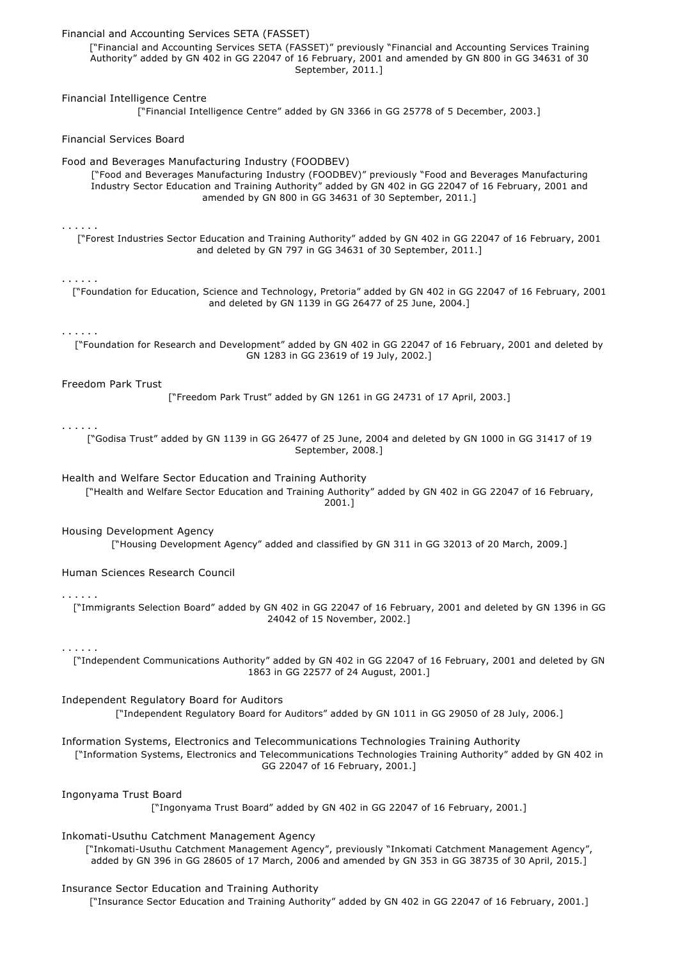| Financial and Accounting Services SETA (FASSET)<br>["Financial and Accounting Services SETA (FASSET)" previously "Financial and Accounting Services Training<br>Authority" added by GN 402 in GG 22047 of 16 February, 2001 and amended by GN 800 in GG 34631 of 30<br>September, 2011.]                                      |
|-------------------------------------------------------------------------------------------------------------------------------------------------------------------------------------------------------------------------------------------------------------------------------------------------------------------------------|
| Financial Intelligence Centre<br>["Financial Intelligence Centre" added by GN 3366 in GG 25778 of 5 December, 2003.]                                                                                                                                                                                                          |
| <b>Financial Services Board</b>                                                                                                                                                                                                                                                                                               |
| Food and Beverages Manufacturing Industry (FOODBEV)<br>["Food and Beverages Manufacturing Industry (FOODBEV)" previously "Food and Beverages Manufacturing<br>Industry Sector Education and Training Authority" added by GN 402 in GG 22047 of 16 February, 2001 and<br>amended by GN 800 in GG 34631 of 30 September, 2011.] |
| .<br>["Forest Industries Sector Education and Training Authority" added by GN 402 in GG 22047 of 16 February, 2001<br>and deleted by GN 797 in GG 34631 of 30 September, 2011.]                                                                                                                                               |
| .<br>["Foundation for Education, Science and Technology, Pretoria" added by GN 402 in GG 22047 of 16 February, 2001<br>and deleted by GN 1139 in GG 26477 of 25 June, 2004.]                                                                                                                                                  |
| .<br>["Foundation for Research and Development" added by GN 402 in GG 22047 of 16 February, 2001 and deleted by<br>GN 1283 in GG 23619 of 19 July, 2002.]                                                                                                                                                                     |
| Freedom Park Trust<br>["Freedom Park Trust" added by GN 1261 in GG 24731 of 17 April, 2003.]                                                                                                                                                                                                                                  |
| .<br>["Godisa Trust" added by GN 1139 in GG 26477 of 25 June, 2004 and deleted by GN 1000 in GG 31417 of 19<br>September, 2008.]                                                                                                                                                                                              |
| Health and Welfare Sector Education and Training Authority<br>["Health and Welfare Sector Education and Training Authority" added by GN 402 in GG 22047 of 16 February,<br>2001.]                                                                                                                                             |
| Housing Development Agency<br>["Housing Development Agency" added and classified by GN 311 in GG 32013 of 20 March, 2009.]                                                                                                                                                                                                    |
| Human Sciences Research Council                                                                                                                                                                                                                                                                                               |
| $\alpha$ , and $\alpha$ , and $\alpha$<br>["Immigrants Selection Board" added by GN 402 in GG 22047 of 16 February, 2001 and deleted by GN 1396 in GG<br>24042 of 15 November, 2002.]                                                                                                                                         |
| .<br>["Independent Communications Authority" added by GN 402 in GG 22047 of 16 February, 2001 and deleted by GN<br>1863 in GG 22577 of 24 August, 2001.]                                                                                                                                                                      |
| Independent Regulatory Board for Auditors<br>["Independent Regulatory Board for Auditors" added by GN 1011 in GG 29050 of 28 July, 2006.]                                                                                                                                                                                     |
| Information Systems, Electronics and Telecommunications Technologies Training Authority<br>["Information Systems, Electronics and Telecommunications Technologies Training Authority" added by GN 402 in<br>GG 22047 of 16 February, 2001.]                                                                                   |
| Ingonyama Trust Board<br>["Ingonyama Trust Board" added by GN 402 in GG 22047 of 16 February, 2001.]                                                                                                                                                                                                                          |
| Inkomati-Usuthu Catchment Management Agency<br>["Inkomati-Usuthu Catchment Management Agency", previously "Inkomati Catchment Management Agency",<br>added by GN 396 in GG 28605 of 17 March, 2006 and amended by GN 353 in GG 38735 of 30 April, 2015.]                                                                      |
| Insurance Sector Education and Training Authority                                                                                                                                                                                                                                                                             |

["Insurance Sector Education and Training Authority" added by GN 402 in GG 22047 of 16 February, 2001.]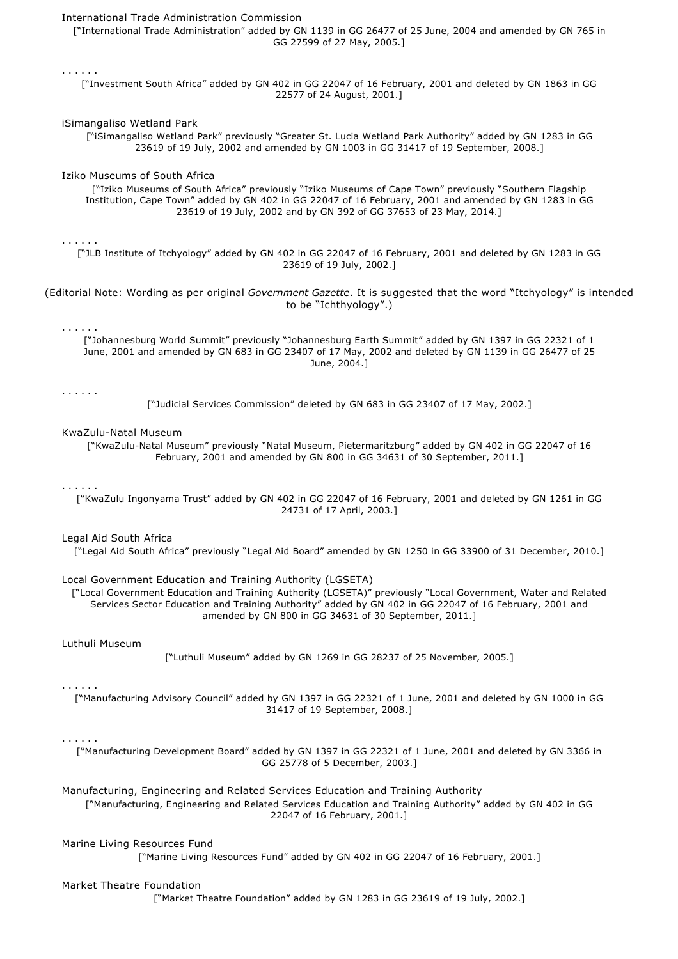| International Trade Administration Commission<br>["International Trade Administration" added by GN 1139 in GG 26477 of 25 June, 2004 and amended by GN 765 in<br>GG 27599 of 27 May, 2005.]                                                                                                                                                    |
|------------------------------------------------------------------------------------------------------------------------------------------------------------------------------------------------------------------------------------------------------------------------------------------------------------------------------------------------|
| .<br>["Investment South Africa" added by GN 402 in GG 22047 of 16 February, 2001 and deleted by GN 1863 in GG<br>22577 of 24 August, 2001.]                                                                                                                                                                                                    |
| iSimangaliso Wetland Park<br>["iSimangaliso Wetland Park" previously "Greater St. Lucia Wetland Park Authority" added by GN 1283 in GG<br>23619 of 19 July, 2002 and amended by GN 1003 in GG 31417 of 19 September, 2008.]                                                                                                                    |
| Iziko Museums of South Africa<br>["Iziko Museums of South Africa" previously "Iziko Museums of Cape Town" previously "Southern Flagship<br>Institution, Cape Town" added by GN 402 in GG 22047 of 16 February, 2001 and amended by GN 1283 in GG<br>23619 of 19 July, 2002 and by GN 392 of GG 37653 of 23 May, 2014.]                         |
| .<br>["JLB Institute of Itchyology" added by GN 402 in GG 22047 of 16 February, 2001 and deleted by GN 1283 in GG<br>23619 of 19 July, 2002.]                                                                                                                                                                                                  |
| (Editorial Note: Wording as per original Government Gazette. It is suggested that the word "Itchyology" is intended<br>to be "Ichthyology".)                                                                                                                                                                                                   |
| .<br>["Johannesburg World Summit" previously "Johannesburg Earth Summit" added by GN 1397 in GG 22321 of 1<br>June, 2001 and amended by GN 683 in GG 23407 of 17 May, 2002 and deleted by GN 1139 in GG 26477 of 25<br>June, 2004.]                                                                                                            |
| .<br>["Judicial Services Commission" deleted by GN 683 in GG 23407 of 17 May, 2002.]                                                                                                                                                                                                                                                           |
| KwaZulu-Natal Museum<br>["KwaZulu-Natal Museum" previously "Natal Museum, Pietermaritzburg" added by GN 402 in GG 22047 of 16<br>February, 2001 and amended by GN 800 in GG 34631 of 30 September, 2011.]                                                                                                                                      |
| .<br>["KwaZulu Ingonyama Trust" added by GN 402 in GG 22047 of 16 February, 2001 and deleted by GN 1261 in GG<br>24731 of 17 April, 2003.]                                                                                                                                                                                                     |
| Legal Aid South Africa<br>["Legal Aid South Africa" previously "Legal Aid Board" amended by GN 1250 in GG 33900 of 31 December, 2010.]                                                                                                                                                                                                         |
| Local Government Education and Training Authority (LGSETA)<br>["Local Government Education and Training Authority (LGSETA)" previously "Local Government, Water and Related<br>Services Sector Education and Training Authority" added by GN 402 in GG 22047 of 16 February, 2001 and<br>amended by GN 800 in GG 34631 of 30 September, 2011.] |
| Luthuli Museum<br>["Luthuli Museum" added by GN 1269 in GG 28237 of 25 November, 2005.]                                                                                                                                                                                                                                                        |
| .<br>["Manufacturing Advisory Council" added by GN 1397 in GG 22321 of 1 June, 2001 and deleted by GN 1000 in GG<br>31417 of 19 September, 2008.]                                                                                                                                                                                              |
| .<br>["Manufacturing Development Board" added by GN 1397 in GG 22321 of 1 June, 2001 and deleted by GN 3366 in<br>GG 25778 of 5 December, 2003.]                                                                                                                                                                                               |
| Manufacturing, Engineering and Related Services Education and Training Authority<br>["Manufacturing, Engineering and Related Services Education and Training Authority" added by GN 402 in GG<br>22047 of 16 February, 2001.]                                                                                                                  |
| Marine Living Resources Fund<br>["Marine Living Resources Fund" added by GN 402 in GG 22047 of 16 February, 2001.]                                                                                                                                                                                                                             |
| Market Theatre Foundation<br>["Market Theatre Foundation" added by GN 1283 in GG 23619 of 19 July, 2002.]                                                                                                                                                                                                                                      |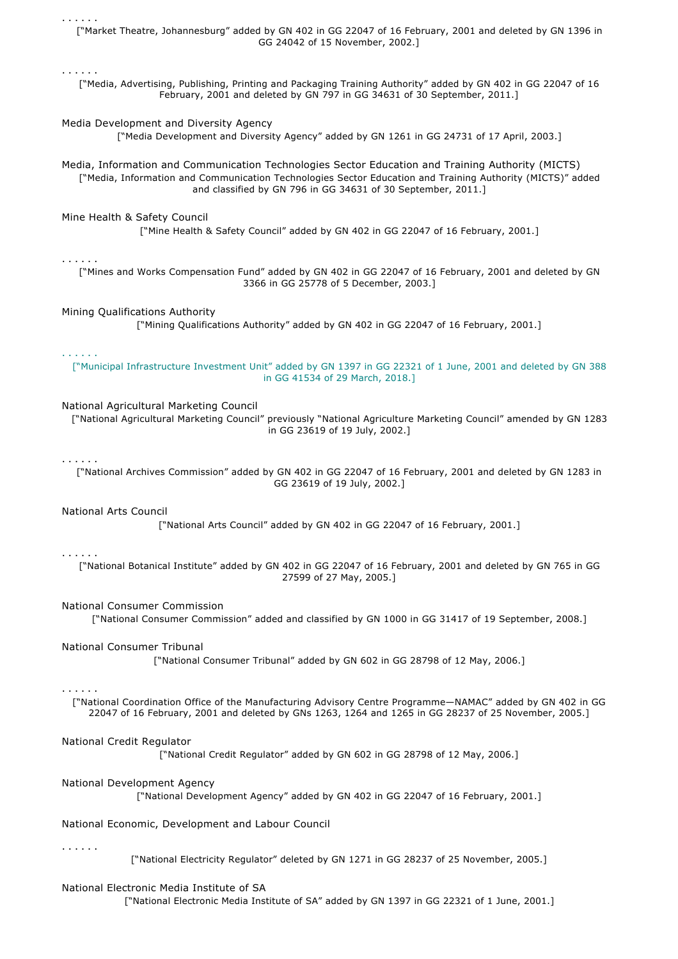["Market Theatre, Johannesburg" added by GN 402 in GG 22047 of 16 February, 2001 and deleted by GN 1396 in GG 24042 of 15 November, 2002.]

["Media, Advertising, Publishing, Printing and Packaging Training Authority" added by GN 402 in GG 22047 of 16 February, 2001 and deleted by GN 797 in GG 34631 of 30 September, 2011.]

### Media Development and Diversity Agency

["Media Development and Diversity Agency" added by GN 1261 in GG 24731 of 17 April, 2003.]

Media, Information and Communication Technologies Sector Education and Training Authority (MICTS) ["Media, Information and Communication Technologies Sector Education and Training Authority (MICTS)" added and classified by GN 796 in GG 34631 of 30 September, 2011.]

## Mine Health & Safety Council

["Mine Health & Safety Council" added by GN 402 in GG 22047 of 16 February, 2001.]

#### . . . . . .

. . . . . .

. . . . . .

["Mines and Works Compensation Fund" added by GN 402 in GG 22047 of 16 February, 2001 and deleted by GN 3366 in GG 25778 of 5 December, 2003.]

#### Mining Qualifications Authority

["Mining Qualifications Authority" added by GN 402 in GG 22047 of 16 February, 2001.]

#### . . . . . .

["Municipal Infrastructure Investment Unit" added by GN 1397 in GG 22321 of 1 June, 2001 and deleted by GN 388 in GG 41534 of 29 March, 2018.]

## National Agricultural Marketing Council

["National Agricultural Marketing Council" previously "National Agriculture Marketing Council" amended by GN 1283 in GG 23619 of 19 July, 2002.]

. . . . . .

["National Archives Commission" added by GN 402 in GG 22047 of 16 February, 2001 and deleted by GN 1283 in GG 23619 of 19 July, 2002.]

#### National Arts Council

["National Arts Council" added by GN 402 in GG 22047 of 16 February, 2001.]

#### . . . . . .

["National Botanical Institute" added by GN 402 in GG 22047 of 16 February, 2001 and deleted by GN 765 in GG 27599 of 27 May, 2005.]

#### National Consumer Commission

["National Consumer Commission" added and classified by GN 1000 in GG 31417 of 19 September, 2008.]

#### National Consumer Tribunal

["National Consumer Tribunal" added by GN 602 in GG 28798 of 12 May, 2006.]

## . . . . . .

["National Coordination Office of the Manufacturing Advisory Centre Programme—NAMAC" added by GN 402 in GG 22047 of 16 February, 2001 and deleted by GNs 1263, 1264 and 1265 in GG 28237 of 25 November, 2005.]

# National Credit Regulator

["National Credit Regulator" added by GN 602 in GG 28798 of 12 May, 2006.]

# National Development Agency

["National Development Agency" added by GN 402 in GG 22047 of 16 February, 2001.]

National Economic, Development and Labour Council

. . . . . .

["National Electricity Regulator" deleted by GN 1271 in GG 28237 of 25 November, 2005.]

## National Electronic Media Institute of SA

["National Electronic Media Institute of SA" added by GN 1397 in GG 22321 of 1 June, 2001.]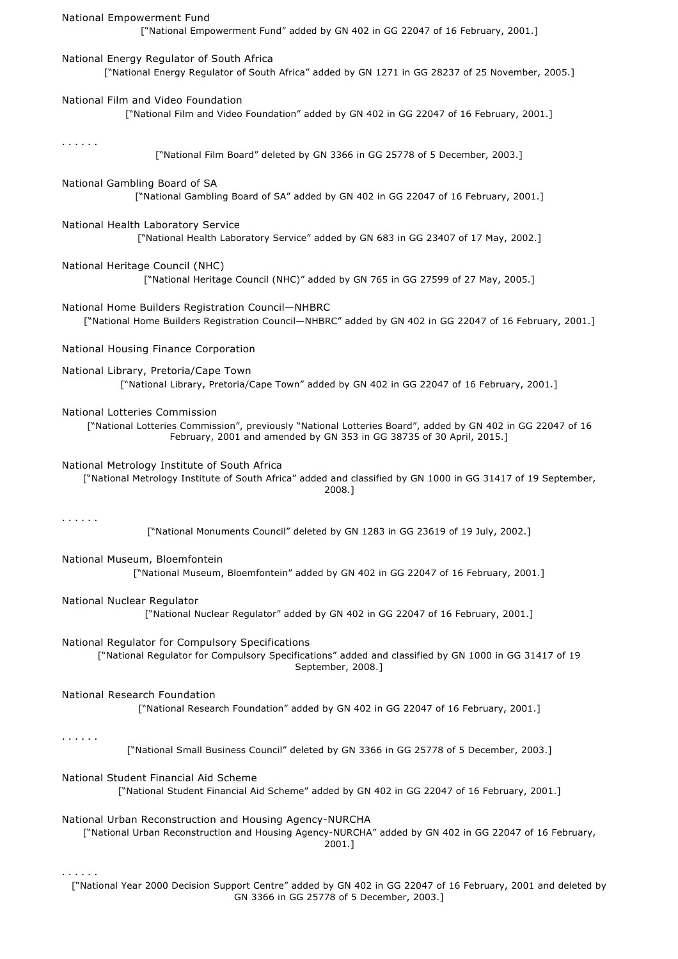| National Empowerment Fund<br>["National Empowerment Fund" added by GN 402 in GG 22047 of 16 February, 2001.]                                                                                                        |
|---------------------------------------------------------------------------------------------------------------------------------------------------------------------------------------------------------------------|
| National Energy Regulator of South Africa<br>["National Energy Regulator of South Africa" added by GN 1271 in GG 28237 of 25 November, 2005.]                                                                       |
| National Film and Video Foundation<br>["National Film and Video Foundation" added by GN 402 in GG 22047 of 16 February, 2001.]                                                                                      |
| $\mathbf{r}$ , and $\mathbf{r}$ , and $\mathbf{r}$<br>["National Film Board" deleted by GN 3366 in GG 25778 of 5 December, 2003.]                                                                                   |
| National Gambling Board of SA<br>["National Gambling Board of SA" added by GN 402 in GG 22047 of 16 February, 2001.]                                                                                                |
| National Health Laboratory Service<br>["National Health Laboratory Service" added by GN 683 in GG 23407 of 17 May, 2002.]                                                                                           |
| National Heritage Council (NHC)<br>["National Heritage Council (NHC)" added by GN 765 in GG 27599 of 27 May, 2005.]                                                                                                 |
| National Home Builders Registration Council-NHBRC<br>["National Home Builders Registration Council-NHBRC" added by GN 402 in GG 22047 of 16 February, 2001.]                                                        |
| National Housing Finance Corporation                                                                                                                                                                                |
| National Library, Pretoria/Cape Town<br>["National Library, Pretoria/Cape Town" added by GN 402 in GG 22047 of 16 February, 2001.]                                                                                  |
| National Lotteries Commission<br>["National Lotteries Commission", previously "National Lotteries Board", added by GN 402 in GG 22047 of 16<br>February, 2001 and amended by GN 353 in GG 38735 of 30 April, 2015.] |
| National Metrology Institute of South Africa<br>["National Metrology Institute of South Africa" added and classified by GN 1000 in GG 31417 of 19 September,<br>2008.1                                              |
| ["National Monuments Council" deleted by GN 1283 in GG 23619 of 19 July, 2002.]                                                                                                                                     |
| National Museum, Bloemfontein<br>["National Museum, Bloemfontein" added by GN 402 in GG 22047 of 16 February, 2001.]                                                                                                |
| National Nuclear Regulator<br>["National Nuclear Regulator" added by GN 402 in GG 22047 of 16 February, 2001.]                                                                                                      |
| National Regulator for Compulsory Specifications<br>["National Regulator for Compulsory Specifications" added and classified by GN 1000 in GG 31417 of 19<br>September, 2008.]                                      |
| National Research Foundation<br>["National Research Foundation" added by GN 402 in GG 22047 of 16 February, 2001.]                                                                                                  |
| .<br>["National Small Business Council" deleted by GN 3366 in GG 25778 of 5 December, 2003.]                                                                                                                        |
| National Student Financial Aid Scheme<br>["National Student Financial Aid Scheme" added by GN 402 in GG 22047 of 16 February, 2001.]                                                                                |
| National Urban Reconstruction and Housing Agency-NURCHA<br>["National Urban Reconstruction and Housing Agency-NURCHA" added by GN 402 in GG 22047 of 16 February,<br>2001.]                                         |
| ["National Year 2000 Decision Support Centre" added by GN 402 in GG 22047 of 16 February, 2001 and deleted by                                                                                                       |

GN 3366 in GG 25778 of 5 December, 2003.]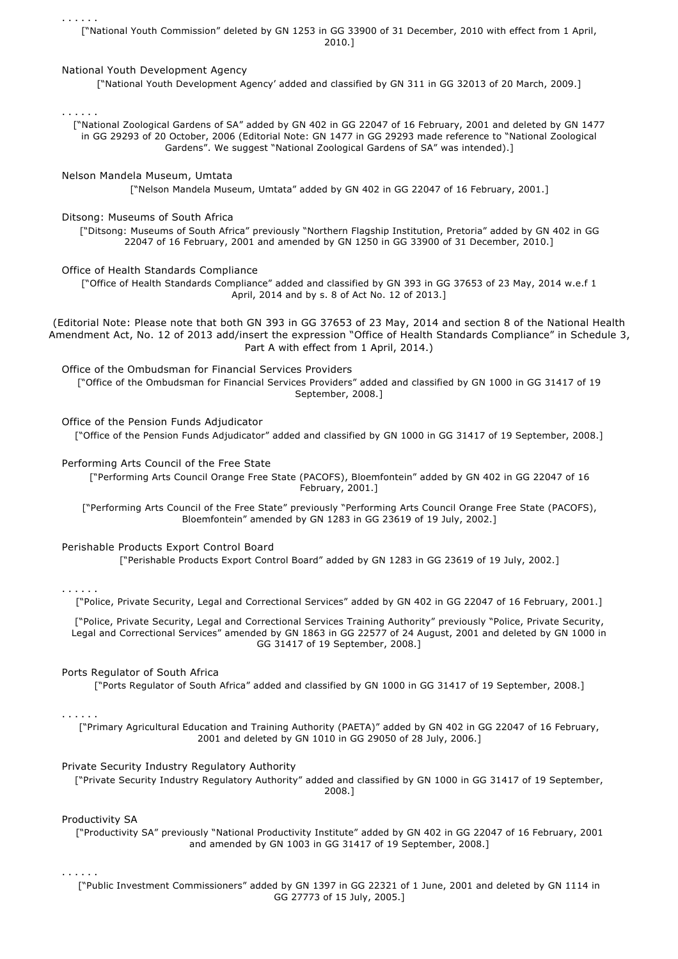. . . . . . ["National Youth Commission" deleted by GN 1253 in GG 33900 of 31 December, 2010 with effect from 1 April, 2010.]

## National Youth Development Agency

["National Youth Development Agency' added and classified by GN 311 in GG 32013 of 20 March, 2009.]

. . . . . .

["National Zoological Gardens of SA" added by GN 402 in GG 22047 of 16 February, 2001 and deleted by GN 1477 in GG 29293 of 20 October, 2006 (Editorial Note: GN 1477 in GG 29293 made reference to "National Zoological Gardens". We suggest "National Zoological Gardens of SA" was intended).]

Nelson Mandela Museum, Umtata ["Nelson Mandela Museum, Umtata" added by GN 402 in GG 22047 of 16 February, 2001.]

Ditsong: Museums of South Africa

["Ditsong: Museums of South Africa" previously "Northern Flagship Institution, Pretoria" added by GN 402 in GG 22047 of 16 February, 2001 and amended by GN 1250 in GG 33900 of 31 December, 2010.]

Office of Health Standards Compliance

["Office of Health Standards Compliance" added and classified by GN 393 in GG 37653 of 23 May, 2014 w.e.f 1 April, 2014 and by s. 8 of Act No. 12 of 2013.]

(Editorial Note: Please note that both GN 393 in GG 37653 of 23 May, 2014 and section 8 of the National Health Amendment Act, No. 12 of 2013 add/insert the expression "Office of Health Standards Compliance" in Schedule 3, Part A with effect from 1 April, 2014.)

Office of the Ombudsman for Financial Services Providers

["Office of the Ombudsman for Financial Services Providers" added and classified by GN 1000 in GG 31417 of 19 September, 2008.]

Office of the Pension Funds Adjudicator

["Office of the Pension Funds Adjudicator" added and classified by GN 1000 in GG 31417 of 19 September, 2008.]

## Performing Arts Council of the Free State

["Performing Arts Council Orange Free State (PACOFS), Bloemfontein" added by GN 402 in GG 22047 of 16 February, 2001.]

["Performing Arts Council of the Free State" previously "Performing Arts Council Orange Free State (PACOFS), Bloemfontein" amended by GN 1283 in GG 23619 of 19 July, 2002.]

## Perishable Products Export Control Board

["Perishable Products Export Control Board" added by GN 1283 in GG 23619 of 19 July, 2002.]

## . . . . . .

["Police, Private Security, Legal and Correctional Services" added by GN 402 in GG 22047 of 16 February, 2001.]

["Police, Private Security, Legal and Correctional Services Training Authority" previously "Police, Private Security, Legal and Correctional Services" amended by GN 1863 in GG 22577 of 24 August, 2001 and deleted by GN 1000 in GG 31417 of 19 September, 2008.]

## Ports Regulator of South Africa

["Ports Regulator of South Africa" added and classified by GN 1000 in GG 31417 of 19 September, 2008.]

## . . . . . .

["Primary Agricultural Education and Training Authority (PAETA)" added by GN 402 in GG 22047 of 16 February, 2001 and deleted by GN 1010 in GG 29050 of 28 July, 2006.]

# Private Security Industry Regulatory Authority

["Private Security Industry Regulatory Authority" added and classified by GN 1000 in GG 31417 of 19 September, 2008.]

# Productivity SA

["Productivity SA" previously "National Productivity Institute" added by GN 402 in GG 22047 of 16 February, 2001 and amended by GN 1003 in GG 31417 of 19 September, 2008.]

. . . . . .

["Public Investment Commissioners" added by GN 1397 in GG 22321 of 1 June, 2001 and deleted by GN 1114 in GG 27773 of 15 July, 2005.]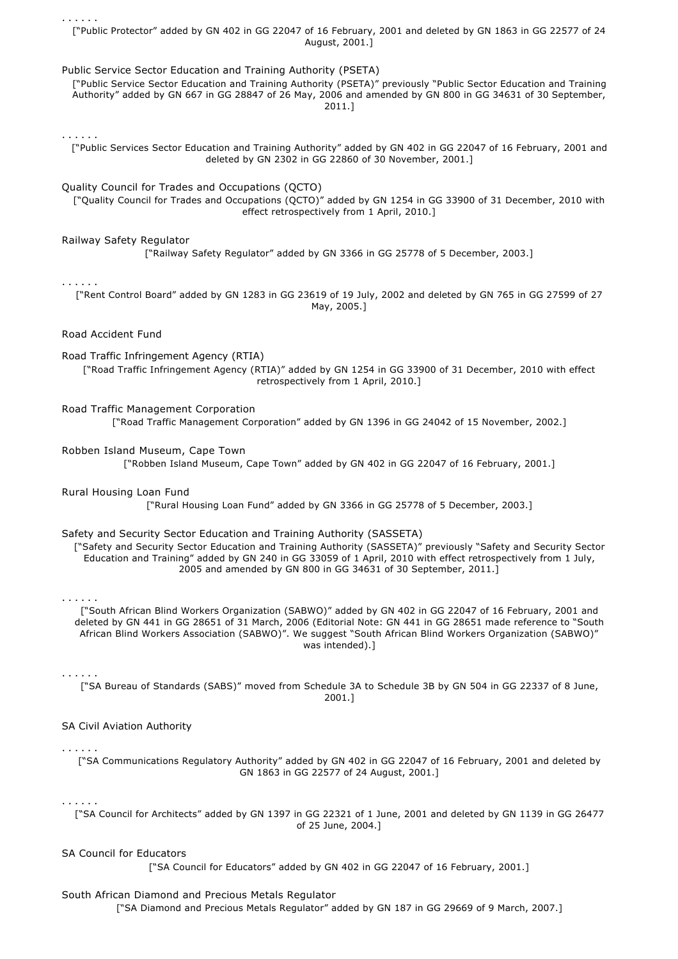. . . . . . ["Public Protector" added by GN 402 in GG 22047 of 16 February, 2001 and deleted by GN 1863 in GG 22577 of 24 August, 2001.]

Public Service Sector Education and Training Authority (PSETA)

["Public Service Sector Education and Training Authority (PSETA)" previously "Public Sector Education and Training Authority" added by GN 667 in GG 28847 of 26 May, 2006 and amended by GN 800 in GG 34631 of 30 September, 2011.]

. . . . . .

["Public Services Sector Education and Training Authority" added by GN 402 in GG 22047 of 16 February, 2001 and deleted by GN 2302 in GG 22860 of 30 November, 2001.]

## Quality Council for Trades and Occupations (QCTO)

["Quality Council for Trades and Occupations (QCTO)" added by GN 1254 in GG 33900 of 31 December, 2010 with effect retrospectively from 1 April, 2010.]

## Railway Safety Regulator

["Railway Safety Regulator" added by GN 3366 in GG 25778 of 5 December, 2003.]

## . . . . . .

["Rent Control Board" added by GN 1283 in GG 23619 of 19 July, 2002 and deleted by GN 765 in GG 27599 of 27 May, 2005.]

Road Accident Fund

## Road Traffic Infringement Agency (RTIA)

["Road Traffic Infringement Agency (RTIA)" added by GN 1254 in GG 33900 of 31 December, 2010 with effect retrospectively from 1 April, 2010.]

### Road Traffic Management Corporation

["Road Traffic Management Corporation" added by GN 1396 in GG 24042 of 15 November, 2002.]

#### Robben Island Museum, Cape Town

["Robben Island Museum, Cape Town" added by GN 402 in GG 22047 of 16 February, 2001.]

## Rural Housing Loan Fund

["Rural Housing Loan Fund" added by GN 3366 in GG 25778 of 5 December, 2003.]

## Safety and Security Sector Education and Training Authority (SASSETA)

["Safety and Security Sector Education and Training Authority (SASSETA)" previously "Safety and Security Sector Education and Training" added by GN 240 in GG 33059 of 1 April, 2010 with effect retrospectively from 1 July, 2005 and amended by GN 800 in GG 34631 of 30 September, 2011.]

#### . . . . . .

["South African Blind Workers Organization (SABWO)" added by GN 402 in GG 22047 of 16 February, 2001 and deleted by GN 441 in GG 28651 of 31 March, 2006 (Editorial Note: GN 441 in GG 28651 made reference to "South African Blind Workers Association (SABWO)". We suggest "South African Blind Workers Organization (SABWO)" was intended).]

#### . . . . . .

["SA Bureau of Standards (SABS)" moved from Schedule 3A to Schedule 3B by GN 504 in GG 22337 of 8 June, 2001.]

## SA Civil Aviation Authority

#### . . . . . .

["SA Communications Regulatory Authority" added by GN 402 in GG 22047 of 16 February, 2001 and deleted by GN 1863 in GG 22577 of 24 August, 2001.]

## . . . . . .

["SA Council for Architects" added by GN 1397 in GG 22321 of 1 June, 2001 and deleted by GN 1139 in GG 26477 of 25 June, 2004.]

## SA Council for Educators

["SA Council for Educators" added by GN 402 in GG 22047 of 16 February, 2001.]

## South African Diamond and Precious Metals Regulator

["SA Diamond and Precious Metals Regulator" added by GN 187 in GG 29669 of 9 March, 2007.]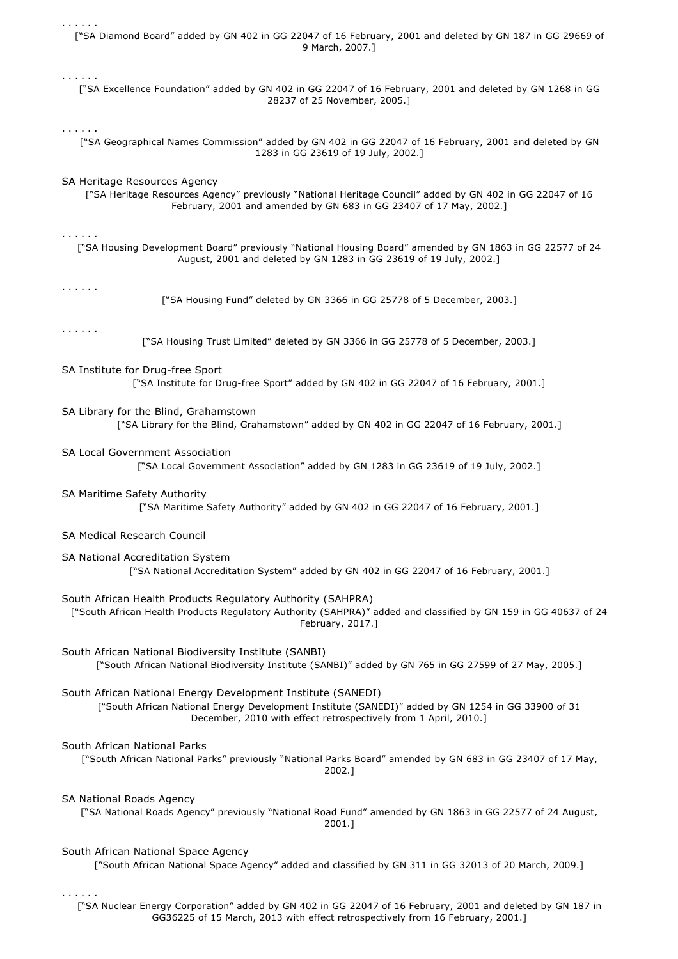| .                                                                                                                                                                                                                                     |
|---------------------------------------------------------------------------------------------------------------------------------------------------------------------------------------------------------------------------------------|
| ["SA Diamond Board" added by GN 402 in GG 22047 of 16 February, 2001 and deleted by GN 187 in GG 29669 of<br>9 March, 2007.]                                                                                                          |
| .<br>["SA Excellence Foundation" added by GN 402 in GG 22047 of 16 February, 2001 and deleted by GN 1268 in GG<br>28237 of 25 November, 2005.]                                                                                        |
| .<br>["SA Geographical Names Commission" added by GN 402 in GG 22047 of 16 February, 2001 and deleted by GN<br>1283 in GG 23619 of 19 July, 2002.]                                                                                    |
| SA Heritage Resources Agency<br>["SA Heritage Resources Agency" previously "National Heritage Council" added by GN 402 in GG 22047 of 16<br>February, 2001 and amended by GN 683 in GG 23407 of 17 May, 2002.]                        |
| ["SA Housing Development Board" previously "National Housing Board" amended by GN 1863 in GG 22577 of 24<br>August, 2001 and deleted by GN 1283 in GG 23619 of 19 July, 2002.]                                                        |
| .<br>["SA Housing Fund" deleted by GN 3366 in GG 25778 of 5 December, 2003.]                                                                                                                                                          |
| .<br>["SA Housing Trust Limited" deleted by GN 3366 in GG 25778 of 5 December, 2003.]                                                                                                                                                 |
| SA Institute for Drug-free Sport<br>["SA Institute for Drug-free Sport" added by GN 402 in GG 22047 of 16 February, 2001.]                                                                                                            |
| SA Library for the Blind, Grahamstown<br>["SA Library for the Blind, Grahamstown" added by GN 402 in GG 22047 of 16 February, 2001.]                                                                                                  |
| <b>SA Local Government Association</b><br>["SA Local Government Association" added by GN 1283 in GG 23619 of 19 July, 2002.]                                                                                                          |
| SA Maritime Safety Authority<br>["SA Maritime Safety Authority" added by GN 402 in GG 22047 of 16 February, 2001.]                                                                                                                    |
| SA Medical Research Council                                                                                                                                                                                                           |
| SA National Accreditation System<br>["SA National Accreditation System" added by GN 402 in GG 22047 of 16 February, 2001.]                                                                                                            |
| South African Health Products Regulatory Authority (SAHPRA)<br>["South African Health Products Regulatory Authority (SAHPRA)" added and classified by GN 159 in GG 40637 of 24<br>February, 2017.]                                    |
| South African National Biodiversity Institute (SANBI)<br>["South African National Biodiversity Institute (SANBI)" added by GN 765 in GG 27599 of 27 May, 2005.]                                                                       |
| South African National Energy Development Institute (SANEDI)<br>["South African National Energy Development Institute (SANEDI)" added by GN 1254 in GG 33900 of 31<br>December, 2010 with effect retrospectively from 1 April, 2010.] |
| South African National Parks<br>["South African National Parks" previously "National Parks Board" amended by GN 683 in GG 23407 of 17 May,<br>2002.]                                                                                  |
| SA National Roads Agency<br>["SA National Roads Agency" previously "National Road Fund" amended by GN 1863 in GG 22577 of 24 August,<br>2001.]                                                                                        |
| South African National Space Agency<br>["South African National Space Agency" added and classified by GN 311 in GG 32013 of 20 March, 2009.]                                                                                          |
| .                                                                                                                                                                                                                                     |

["SA Nuclear Energy Corporation" added by GN 402 in GG 22047 of 16 February, 2001 and deleted by GN 187 in GG36225 of 15 March, 2013 with effect retrospectively from 16 February, 2001.]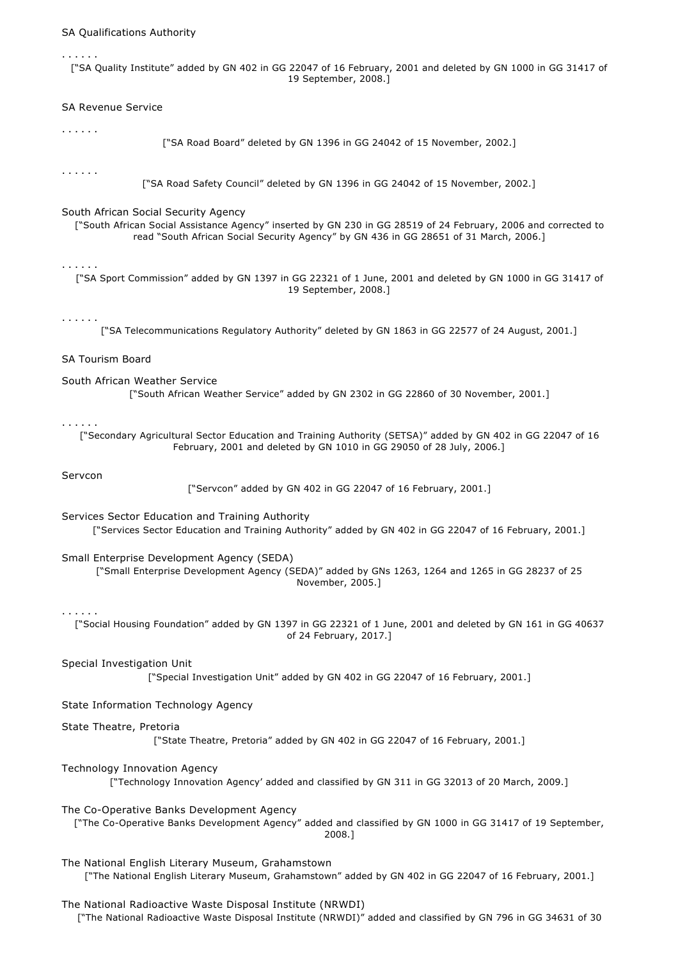## SA Qualifications Authority

["SA Quality Institute" added by GN 402 in GG 22047 of 16 February, 2001 and deleted by GN 1000 in GG 31417 of 19 September, 2008.]

## SA Revenue Service

#### . . . . . .

. . . . . .

["SA Road Board" deleted by GN 1396 in GG 24042 of 15 November, 2002.]

#### . . . . . .

["SA Road Safety Council" deleted by GN 1396 in GG 24042 of 15 November, 2002.]

#### South African Social Security Agency

["South African Social Assistance Agency" inserted by GN 230 in GG 28519 of 24 February, 2006 and corrected to read "South African Social Security Agency" by GN 436 in GG 28651 of 31 March, 2006.]

#### . . . . . .

["SA Sport Commission" added by GN 1397 in GG 22321 of 1 June, 2001 and deleted by GN 1000 in GG 31417 of 19 September, 2008.]

#### . . . . . .

["SA Telecommunications Regulatory Authority" deleted by GN 1863 in GG 22577 of 24 August, 2001.]

## SA Tourism Board

South African Weather Service ["South African Weather Service" added by GN 2302 in GG 22860 of 30 November, 2001.]

#### . . . . . .

["Secondary Agricultural Sector Education and Training Authority (SETSA)" added by GN 402 in GG 22047 of 16 February, 2001 and deleted by GN 1010 in GG 29050 of 28 July, 2006.]

## Servcon

["Servcon" added by GN 402 in GG 22047 of 16 February, 2001.]

Services Sector Education and Training Authority

["Services Sector Education and Training Authority" added by GN 402 in GG 22047 of 16 February, 2001.]

#### Small Enterprise Development Agency (SEDA)

["Small Enterprise Development Agency (SEDA)" added by GNs 1263, 1264 and 1265 in GG 28237 of 25 November, 2005.]

## . . . . . .

["Social Housing Foundation" added by GN 1397 in GG 22321 of 1 June, 2001 and deleted by GN 161 in GG 40637 of 24 February, 2017.]

## Special Investigation Unit

["Special Investigation Unit" added by GN 402 in GG 22047 of 16 February, 2001.]

## State Information Technology Agency

#### State Theatre, Pretoria

["State Theatre, Pretoria" added by GN 402 in GG 22047 of 16 February, 2001.]

#### Technology Innovation Agency

["Technology Innovation Agency' added and classified by GN 311 in GG 32013 of 20 March, 2009.]

## The Co-Operative Banks Development Agency

["The Co-Operative Banks Development Agency" added and classified by GN 1000 in GG 31417 of 19 September, 2008.]

The National English Literary Museum, Grahamstown ["The National English Literary Museum, Grahamstown" added by GN 402 in GG 22047 of 16 February, 2001.]

## The National Radioactive Waste Disposal Institute (NRWDI)

["The National Radioactive Waste Disposal Institute (NRWDI)" added and classified by GN 796 in GG 34631 of 30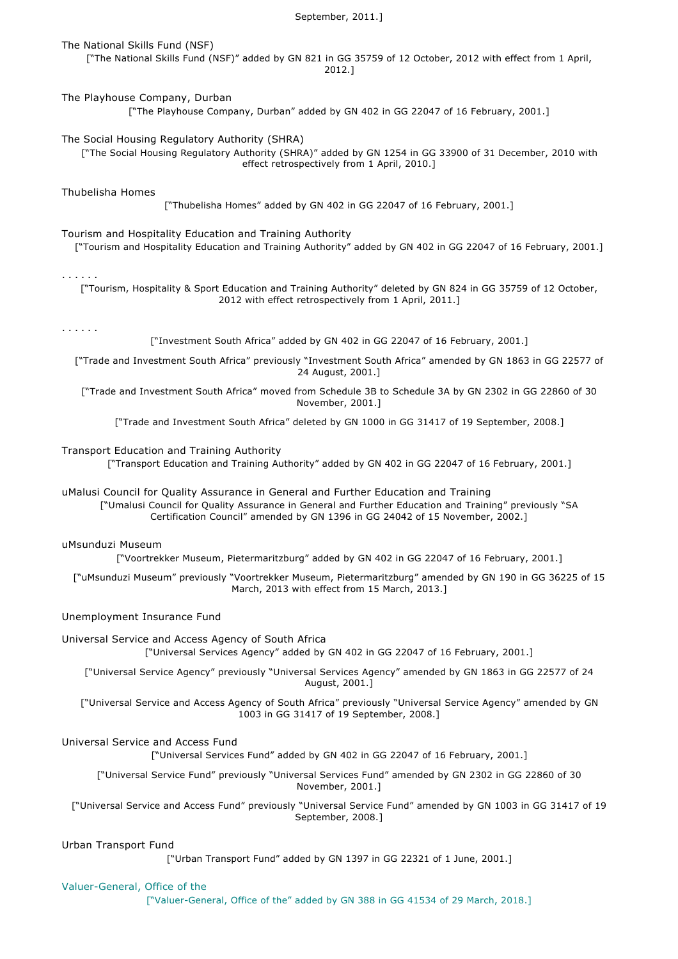## September, 2011.]

## The National Skills Fund (NSF)

["The National Skills Fund (NSF)" added by GN 821 in GG 35759 of 12 October, 2012 with effect from 1 April, 2012.]

### The Playhouse Company, Durban

["The Playhouse Company, Durban" added by GN 402 in GG 22047 of 16 February, 2001.]

#### The Social Housing Regulatory Authority (SHRA)

["The Social Housing Regulatory Authority (SHRA)" added by GN 1254 in GG 33900 of 31 December, 2010 with effect retrospectively from 1 April, 2010.]

## Thubelisha Homes

["Thubelisha Homes" added by GN 402 in GG 22047 of 16 February, 2001.]

### Tourism and Hospitality Education and Training Authority

["Tourism and Hospitality Education and Training Authority" added by GN 402 in GG 22047 of 16 February, 2001.]

#### . . . . . .

["Tourism, Hospitality & Sport Education and Training Authority" deleted by GN 824 in GG 35759 of 12 October, 2012 with effect retrospectively from 1 April, 2011.]

#### . . . . . .

["Investment South Africa" added by GN 402 in GG 22047 of 16 February, 2001.]

["Trade and Investment South Africa" previously "Investment South Africa" amended by GN 1863 in GG 22577 of 24 August, 2001.]

["Trade and Investment South Africa" moved from Schedule 3B to Schedule 3A by GN 2302 in GG 22860 of 30 November, 2001.]

["Trade and Investment South Africa" deleted by GN 1000 in GG 31417 of 19 September, 2008.]

#### Transport Education and Training Authority

["Transport Education and Training Authority" added by GN 402 in GG 22047 of 16 February, 2001.]

uMalusi Council for Quality Assurance in General and Further Education and Training ["Umalusi Council for Quality Assurance in General and Further Education and Training" previously "SA

Certification Council" amended by GN 1396 in GG 24042 of 15 November, 2002.]

# uMsunduzi Museum

["Voortrekker Museum, Pietermaritzburg" added by GN 402 in GG 22047 of 16 February, 2001.]

["uMsunduzi Museum" previously "Voortrekker Museum, Pietermaritzburg" amended by GN 190 in GG 36225 of 15 March, 2013 with effect from 15 March, 2013.]

## Unemployment Insurance Fund

# Universal Service and Access Agency of South Africa

["Universal Services Agency" added by GN 402 in GG 22047 of 16 February, 2001.]

["Universal Service Agency" previously "Universal Services Agency" amended by GN 1863 in GG 22577 of 24 August, 2001.]

["Universal Service and Access Agency of South Africa" previously "Universal Service Agency" amended by GN 1003 in GG 31417 of 19 September, 2008.]

# Universal Service and Access Fund

["Universal Services Fund" added by GN 402 in GG 22047 of 16 February, 2001.]

["Universal Service Fund" previously "Universal Services Fund" amended by GN 2302 in GG 22860 of 30 November, 2001.]

["Universal Service and Access Fund" previously "Universal Service Fund" amended by GN 1003 in GG 31417 of 19 September, 2008.]

#### Urban Transport Fund

["Urban Transport Fund" added by GN 1397 in GG 22321 of 1 June, 2001.]

#### Valuer-General, Office of the

["Valuer-General, Office of the" added by GN 388 in GG 41534 of 29 March, 2018.]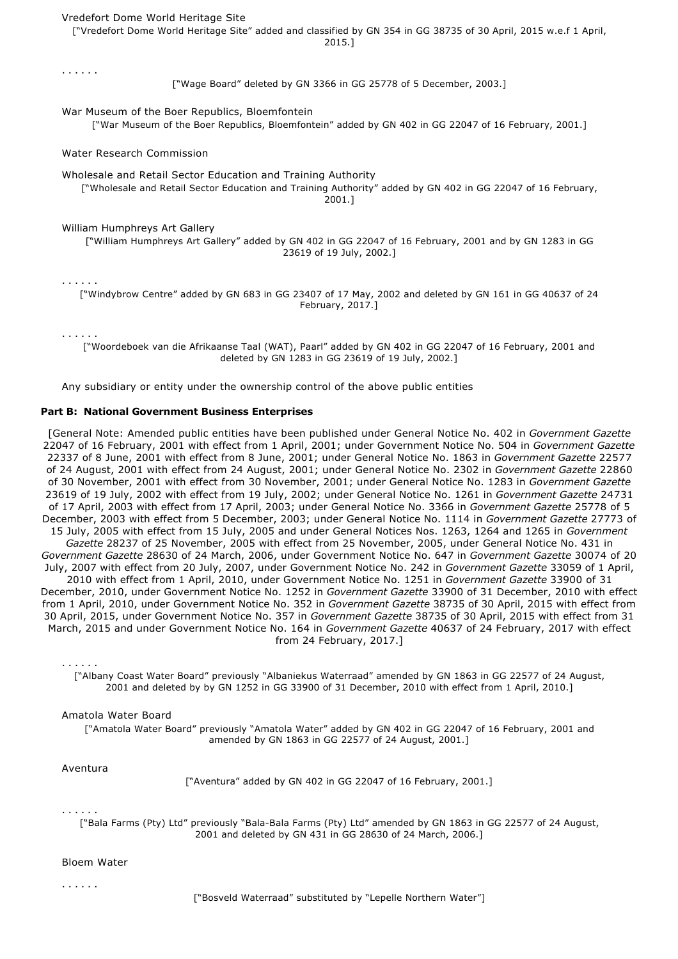## Vredefort Dome World Heritage Site

["Vredefort Dome World Heritage Site" added and classified by GN 354 in GG 38735 of 30 April, 2015 w.e.f 1 April, 2015.]

. . . . . . ["Wage Board" deleted by GN 3366 in GG 25778 of 5 December, 2003.] War Museum of the Boer Republics, Bloemfontein ["War Museum of the Boer Republics, Bloemfontein" added by GN 402 in GG 22047 of 16 February, 2001.] Water Research Commission Wholesale and Retail Sector Education and Training Authority ["Wholesale and Retail Sector Education and Training Authority" added by GN 402 in GG 22047 of 16 February, 2001.] William Humphreys Art Gallery ["William Humphreys Art Gallery" added by GN 402 in GG 22047 of 16 February, 2001 and by GN 1283 in GG 23619 of 19 July, 2002.] . . . . . .

["Windybrow Centre" added by GN 683 in GG 23407 of 17 May, 2002 and deleted by GN 161 in GG 40637 of 24 February, 2017.]

. . . . . .

["Woordeboek van die Afrikaanse Taal (WAT), Paarl" added by GN 402 in GG 22047 of 16 February, 2001 and deleted by GN 1283 in GG 23619 of 19 July, 2002.]

Any subsidiary or entity under the ownership control of the above public entities

## **Part B: National Government Business Enterprises**

[General Note: Amended public entities have been published under General Notice No. 402 in *Government Gazette* 22047 of 16 February, 2001 with effect from 1 April, 2001; under Government Notice No. 504 in *Government Gazette* 22337 of 8 June, 2001 with effect from 8 June, 2001; under General Notice No. 1863 in *Government Gazette* 22577 of 24 August, 2001 with effect from 24 August, 2001; under General Notice No. 2302 in *Government Gazette* 22860 of 30 November, 2001 with effect from 30 November, 2001; under General Notice No. 1283 in *Government Gazette* 23619 of 19 July, 2002 with effect from 19 July, 2002; under General Notice No. 1261 in *Government Gazette* 24731 of 17 April, 2003 with effect from 17 April, 2003; under General Notice No. 3366 in *Government Gazette* 25778 of 5 December, 2003 with effect from 5 December, 2003; under General Notice No. 1114 in *Government Gazette* 27773 of 15 July, 2005 with effect from 15 July, 2005 and under General Notices Nos. 1263, 1264 and 1265 in *Government Gazette* 28237 of 25 November, 2005 with effect from 25 November, 2005, under General Notice No. 431 in *Government Gazette* 28630 of 24 March, 2006, under Government Notice No. 647 in *Government Gazette* 30074 of 20 July, 2007 with effect from 20 July, 2007, under Government Notice No. 242 in *Government Gazette* 33059 of 1 April, 2010 with effect from 1 April, 2010, under Government Notice No. 1251 in *Government Gazette* 33900 of 31 December, 2010, under Government Notice No. 1252 in *Government Gazette* 33900 of 31 December, 2010 with effect from 1 April, 2010, under Government Notice No. 352 in *Government Gazette* 38735 of 30 April, 2015 with effect from 30 April, 2015, under Government Notice No. 357 in *Government Gazette* 38735 of 30 April, 2015 with effect from 31 March, 2015 and under Government Notice No. 164 in *Government Gazette* 40637 of 24 February, 2017 with effect from 24 February, 2017.]

. . . . . .

["Albany Coast Water Board" previously "Albaniekus Waterraad" amended by GN 1863 in GG 22577 of 24 August, 2001 and deleted by by GN 1252 in GG 33900 of 31 December, 2010 with effect from 1 April, 2010.]

## Amatola Water Board

["Amatola Water Board" previously "Amatola Water" added by GN 402 in GG 22047 of 16 February, 2001 and amended by GN 1863 in GG 22577 of 24 August, 2001.]

## Aventura

["Aventura" added by GN 402 in GG 22047 of 16 February, 2001.]

#### . . . . . .

["Bala Farms (Pty) Ltd" previously "Bala-Bala Farms (Pty) Ltd" amended by GN 1863 in GG 22577 of 24 August, 2001 and deleted by GN 431 in GG 28630 of 24 March, 2006.]

#### Bloem Water

. . . . . .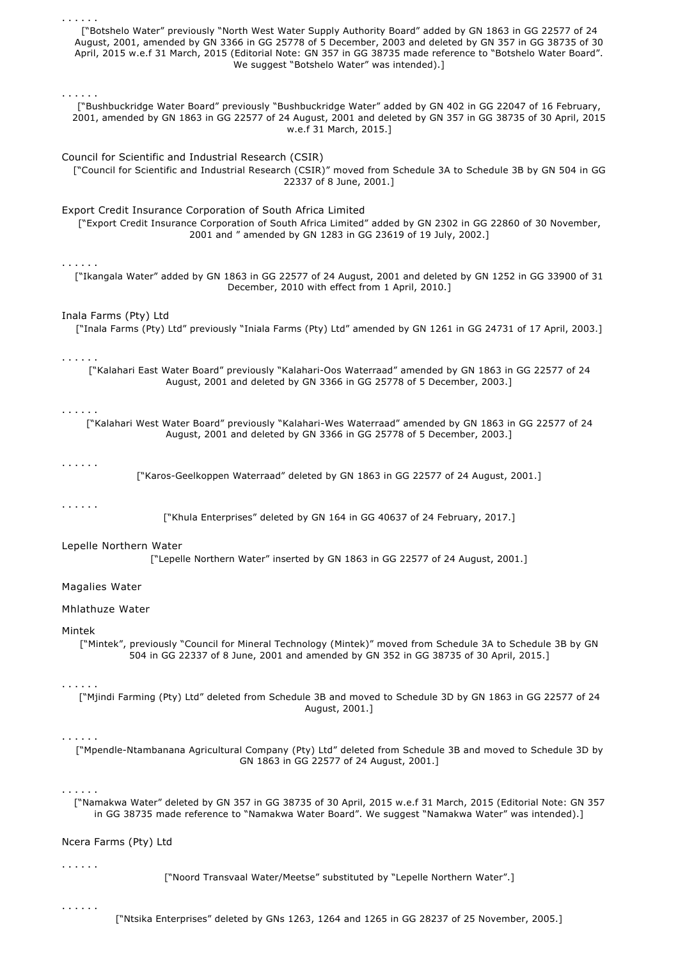| .<br>["Botshelo Water" previously "North West Water Supply Authority Board" added by GN 1863 in GG 22577 of 24<br>August, 2001, amended by GN 3366 in GG 25778 of 5 December, 2003 and deleted by GN 357 in GG 38735 of 30<br>April, 2015 w.e.f 31 March, 2015 (Editorial Note: GN 357 in GG 38735 made reference to "Botshelo Water Board".<br>We suggest "Botshelo Water" was intended).]<br>. |
|--------------------------------------------------------------------------------------------------------------------------------------------------------------------------------------------------------------------------------------------------------------------------------------------------------------------------------------------------------------------------------------------------|
| ["Bushbuckridge Water Board" previously "Bushbuckridge Water" added by GN 402 in GG 22047 of 16 February,<br>2001, amended by GN 1863 in GG 22577 of 24 August, 2001 and deleted by GN 357 in GG 38735 of 30 April, 2015<br>w.e.f 31 March, 2015.]                                                                                                                                               |
| Council for Scientific and Industrial Research (CSIR)<br>["Council for Scientific and Industrial Research (CSIR)" moved from Schedule 3A to Schedule 3B by GN 504 in GG<br>22337 of 8 June, 2001.]                                                                                                                                                                                               |
| Export Credit Insurance Corporation of South Africa Limited<br>["Export Credit Insurance Corporation of South Africa Limited" added by GN 2302 in GG 22860 of 30 November,<br>2001 and " amended by GN 1283 in GG 23619 of 19 July, 2002.]                                                                                                                                                       |
| .<br>["Ikangala Water" added by GN 1863 in GG 22577 of 24 August, 2001 and deleted by GN 1252 in GG 33900 of 31<br>December, 2010 with effect from 1 April, 2010.]                                                                                                                                                                                                                               |
| Inala Farms (Pty) Ltd<br>["Inala Farms (Pty) Ltd" previously "Iniala Farms (Pty) Ltd" amended by GN 1261 in GG 24731 of 17 April, 2003.]                                                                                                                                                                                                                                                         |
| .<br>["Kalahari East Water Board" previously "Kalahari-Oos Waterraad" amended by GN 1863 in GG 22577 of 24<br>August, 2001 and deleted by GN 3366 in GG 25778 of 5 December, 2003.]                                                                                                                                                                                                              |
| ["Kalahari West Water Board" previously "Kalahari-Wes Waterraad" amended by GN 1863 in GG 22577 of 24<br>August, 2001 and deleted by GN 3366 in GG 25778 of 5 December, 2003.]                                                                                                                                                                                                                   |
| $\alpha$ , and $\alpha$ , and $\alpha$<br>["Karos-Geelkoppen Waterraad" deleted by GN 1863 in GG 22577 of 24 August, 2001.]                                                                                                                                                                                                                                                                      |
| .<br>["Khula Enterprises" deleted by GN 164 in GG 40637 of 24 February, 2017.]                                                                                                                                                                                                                                                                                                                   |
| Lepelle Northern Water<br>["Lepelle Northern Water" inserted by GN 1863 in GG 22577 of 24 August, 2001.]                                                                                                                                                                                                                                                                                         |
| Magalies Water                                                                                                                                                                                                                                                                                                                                                                                   |
| Mhlathuze Water                                                                                                                                                                                                                                                                                                                                                                                  |
| Mintek<br>["Mintek", previously "Council for Mineral Technology (Mintek)" moved from Schedule 3A to Schedule 3B by GN<br>504 in GG 22337 of 8 June, 2001 and amended by GN 352 in GG 38735 of 30 April, 2015.]                                                                                                                                                                                   |
| .<br>["Mjindi Farming (Pty) Ltd" deleted from Schedule 3B and moved to Schedule 3D by GN 1863 in GG 22577 of 24<br>August, 2001.]                                                                                                                                                                                                                                                                |
| .<br>["Mpendle-Ntambanana Agricultural Company (Pty) Ltd" deleted from Schedule 3B and moved to Schedule 3D by<br>GN 1863 in GG 22577 of 24 August, 2001.]                                                                                                                                                                                                                                       |
| .<br>["Namakwa Water" deleted by GN 357 in GG 38735 of 30 April, 2015 w.e.f 31 March, 2015 (Editorial Note: GN 357<br>in GG 38735 made reference to "Namakwa Water Board". We suggest "Namakwa Water" was intended).]                                                                                                                                                                            |
| Ncera Farms (Pty) Ltd                                                                                                                                                                                                                                                                                                                                                                            |
| .<br>["Noord Transvaal Water/Meetse" substituted by "Lepelle Northern Water".]                                                                                                                                                                                                                                                                                                                   |
| .<br>["Ntsika Enterprises" deleted by GNs 1263, 1264 and 1265 in GG 28237 of 25 November, 2005.]                                                                                                                                                                                                                                                                                                 |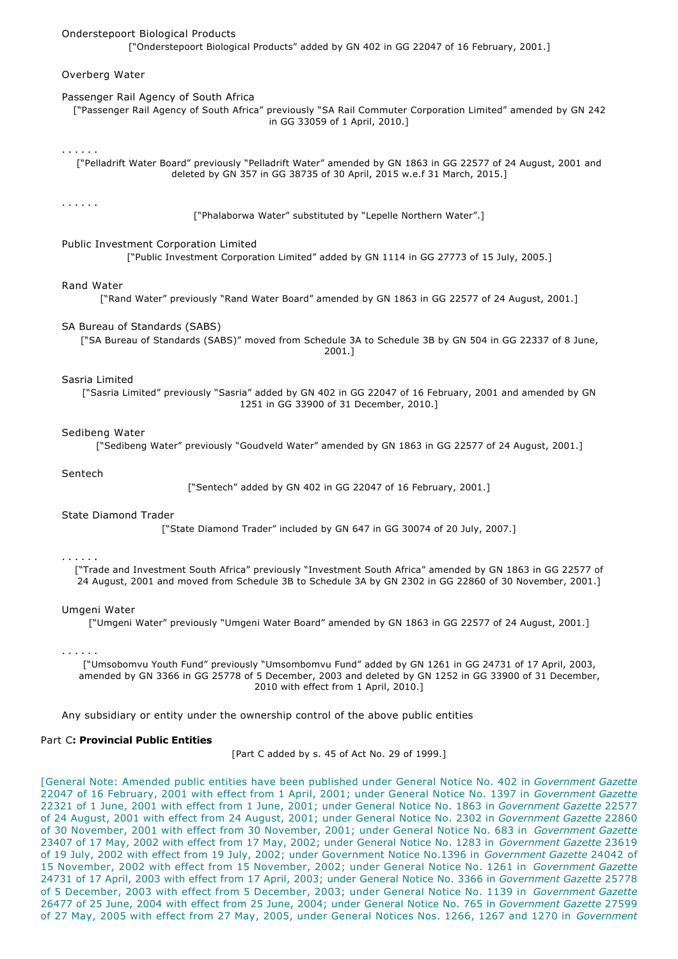## Onderstepoort Biological Products

["Onderstepoort Biological Products" added by GN 402 in GG 22047 of 16 February, 2001.]

### Overberg Water

## Passenger Rail Agency of South Africa

["Passenger Rail Agency of South Africa" previously "SA Rail Commuter Corporation Limited" amended by GN 242 in GG 33059 of 1 April, 2010.]

#### . . . . . .

["Pelladrift Water Board" previously "Pelladrift Water" amended by GN 1863 in GG 22577 of 24 August, 2001 and deleted by GN 357 in GG 38735 of 30 April, 2015 w.e.f 31 March, 2015.]

### . . . . . .

["Phalaborwa Water" substituted by "Lepelle Northern Water".]

## Public Investment Corporation Limited

["Public Investment Corporation Limited" added by GN 1114 in GG 27773 of 15 July, 2005.]

#### Rand Water

["Rand Water" previously "Rand Water Board" amended by GN 1863 in GG 22577 of 24 August, 2001.]

## SA Bureau of Standards (SABS)

["SA Bureau of Standards (SABS)" moved from Schedule 3A to Schedule 3B by GN 504 in GG 22337 of 8 June, 2001.]

### Sasria Limited

["Sasria Limited" previously "Sasria" added by GN 402 in GG 22047 of 16 February, 2001 and amended by GN 1251 in GG 33900 of 31 December, 2010.]

#### Sedibeng Water

["Sedibeng Water" previously "Goudveld Water" amended by GN 1863 in GG 22577 of 24 August, 2001.]

## Sentech

["Sentech" added by GN 402 in GG 22047 of 16 February, 2001.]

## State Diamond Trader

["State Diamond Trader" included by GN 647 in GG 30074 of 20 July, 2007.]

#### . . . . . .

["Trade and Investment South Africa" previously "Investment South Africa" amended by GN 1863 in GG 22577 of 24 August, 2001 and moved from Schedule 3B to Schedule 3A by GN 2302 in GG 22860 of 30 November, 2001.]

#### Umgeni Water

["Umgeni Water" previously "Umgeni Water Board" amended by GN 1863 in GG 22577 of 24 August, 2001.]

# . . . . . .

["Umsobomvu Youth Fund" previously "Umsombomvu Fund" added by GN 1261 in GG 24731 of 17 April, 2003, amended by GN 3366 in GG 25778 of 5 December, 2003 and deleted by GN 1252 in GG 33900 of 31 December, 2010 with effect from 1 April, 2010.]

Any subsidiary or entity under the ownership control of the above public entities

## Part C**: Provincial Public Entities**

[Part C added by s. 45 of Act No. 29 of 1999.]

[General Note: Amended public entities have been published under General Notice No. 402 in *Government Gazette* 22047 of 16 February, 2001 with effect from 1 April, 2001; under General Notice No. 1397 in *Government Gazette* 22321 of 1 June, 2001 with effect from 1 June, 2001; under General Notice No. 1863 in *Government Gazette* 22577 of 24 August, 2001 with effect from 24 August, 2001; under General Notice No. 2302 in *Government Gazette* 22860 of 30 November, 2001 with effect from 30 November, 2001; under General Notice No. 683 in *Government Gazette* 23407 of 17 May, 2002 with effect from 17 May, 2002; under General Notice No. 1283 in *Government Gazette* 23619 of 19 July, 2002 with effect from 19 July, 2002; under Government Notice No.1396 in *Government Gazette* 24042 of 15 November, 2002 with effect from 15 November, 2002; under General Notice No. 1261 in *Government Gazette* 24731 of 17 April, 2003 with effect from 17 April, 2003; under General Notice No. 3366 in *Government Gazette* 25778 of 5 December, 2003 with effect from 5 December, 2003; under General Notice No. 1139 in *Government Gazette* 26477 of 25 June, 2004 with effect from 25 June, 2004; under General Notice No. 765 in *Government Gazette* 27599 of 27 May, 2005 with effect from 27 May, 2005, under General Notices Nos. 1266, 1267 and 1270 in *Government*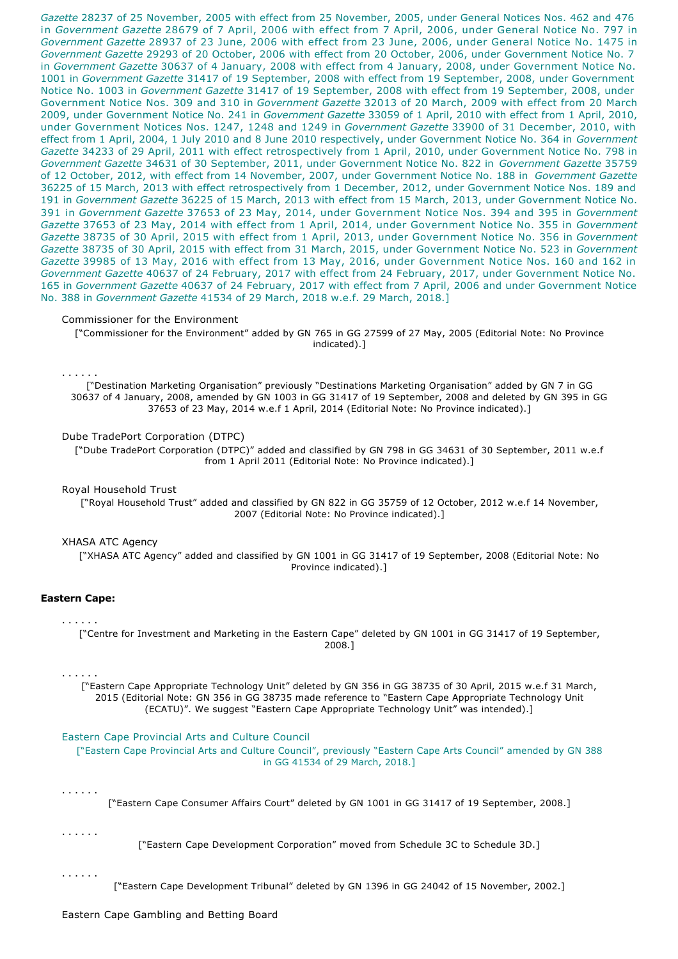*Gazette* 28237 of 25 November, 2005 with effect from 25 November, 2005, under General Notices Nos. 462 and 476 in *Government Gazette* 28679 of 7 April, 2006 with effect from 7 April, 2006, under General Notice No. 797 in *Government Gazette* 28937 of 23 June, 2006 with effect from 23 June, 2006, under General Notice No. 1475 in *Government Gazette* 29293 of 20 October, 2006 with effect from 20 October, 2006, under Government Notice No. 7 in *Government Gazette* 30637 of 4 January, 2008 with effect from 4 January, 2008, under Government Notice No. 1001 in *Government Gazette* 31417 of 19 September, 2008 with effect from 19 September, 2008, under Government Notice No. 1003 in *Government Gazette* 31417 of 19 September, 2008 with effect from 19 September, 2008, under Government Notice Nos. 309 and 310 in *Government Gazette* 32013 of 20 March, 2009 with effect from 20 March 2009, under Government Notice No. 241 in *Government Gazette* 33059 of 1 April, 2010 with effect from 1 April, 2010, under Government Notices Nos. 1247, 1248 and 1249 in *Government Gazette* 33900 of 31 December, 2010, with effect from 1 April, 2004, 1 July 2010 and 8 June 2010 respectively, under Government Notice No. 364 in *Government Gazette* 34233 of 29 April, 2011 with effect retrospectively from 1 April, 2010, under Government Notice No. 798 in *Government Gazette* 34631 of 30 September, 2011, under Government Notice No. 822 in *Government Gazette* 35759 of 12 October, 2012, with effect from 14 November, 2007, under Government Notice No. 188 in *Government Gazette* 36225 of 15 March, 2013 with effect retrospectively from 1 December, 2012, under Government Notice Nos. 189 and 191 in *Government Gazette* 36225 of 15 March, 2013 with effect from 15 March, 2013, under Government Notice No. 391 in *Government Gazette* 37653 of 23 May, 2014, under Government Notice Nos. 394 and 395 in *Government Gazette* 37653 of 23 May, 2014 with effect from 1 April, 2014, under Government Notice No. 355 in *Government Gazette* 38735 of 30 April, 2015 with effect from 1 April, 2013, under Government Notice No. 356 in *Government Gazette* 38735 of 30 April, 2015 with effect from 31 March, 2015, under Government Notice No. 523 in *Government Gazette* 39985 of 13 May, 2016 with effect from 13 May, 2016, under Government Notice Nos. 160 and 162 in *Government Gazette* 40637 of 24 February, 2017 with effect from 24 February, 2017, under Government Notice No. 165 in *Government Gazette* 40637 of 24 February, 2017 with effect from 7 April, 2006 and under Government Notice No. 388 in *Government Gazette* 41534 of 29 March, 2018 w.e.f. 29 March, 2018.]

### Commissioner for the Environment

["Commissioner for the Environment" added by GN 765 in GG 27599 of 27 May, 2005 (Editorial Note: No Province indicated).]

. . . . . .

["Destination Marketing Organisation" previously "Destinations Marketing Organisation" added by GN 7 in GG 30637 of 4 January, 2008, amended by GN 1003 in GG 31417 of 19 September, 2008 and deleted by GN 395 in GG 37653 of 23 May, 2014 w.e.f 1 April, 2014 (Editorial Note: No Province indicated).]

### Dube TradePort Corporation (DTPC)

["Dube TradePort Corporation (DTPC)" added and classified by GN 798 in GG 34631 of 30 September, 2011 w.e.f from 1 April 2011 (Editorial Note: No Province indicated).]

#### Royal Household Trust

["Royal Household Trust" added and classified by GN 822 in GG 35759 of 12 October, 2012 w.e.f 14 November, 2007 (Editorial Note: No Province indicated).]

### XHASA ATC Agency

["XHASA ATC Agency" added and classified by GN 1001 in GG 31417 of 19 September, 2008 (Editorial Note: No Province indicated).]

## **Eastern Cape:**

#### . . . . . .

["Centre for Investment and Marketing in the Eastern Cape" deleted by GN 1001 in GG 31417 of 19 September, 2008.]

#### . . . . . .

["Eastern Cape Appropriate Technology Unit" deleted by GN 356 in GG 38735 of 30 April, 2015 w.e.f 31 March, 2015 (Editorial Note: GN 356 in GG 38735 made reference to "Eastern Cape Appropriate Technology Unit (ECATU)". We suggest "Eastern Cape Appropriate Technology Unit" was intended).]

#### Eastern Cape Provincial Arts and Culture Council

["Eastern Cape Provincial Arts and Culture Council", previously "Eastern Cape Arts Council" amended by GN 388 in GG 41534 of 29 March, 2018.]

### . . . . . .

["Eastern Cape Consumer Affairs Court" deleted by GN 1001 in GG 31417 of 19 September, 2008.]

. . . . . .

["Eastern Cape Development Corporation" moved from Schedule 3C to Schedule 3D.]

. . . . . .

["Eastern Cape Development Tribunal" deleted by GN 1396 in GG 24042 of 15 November, 2002.]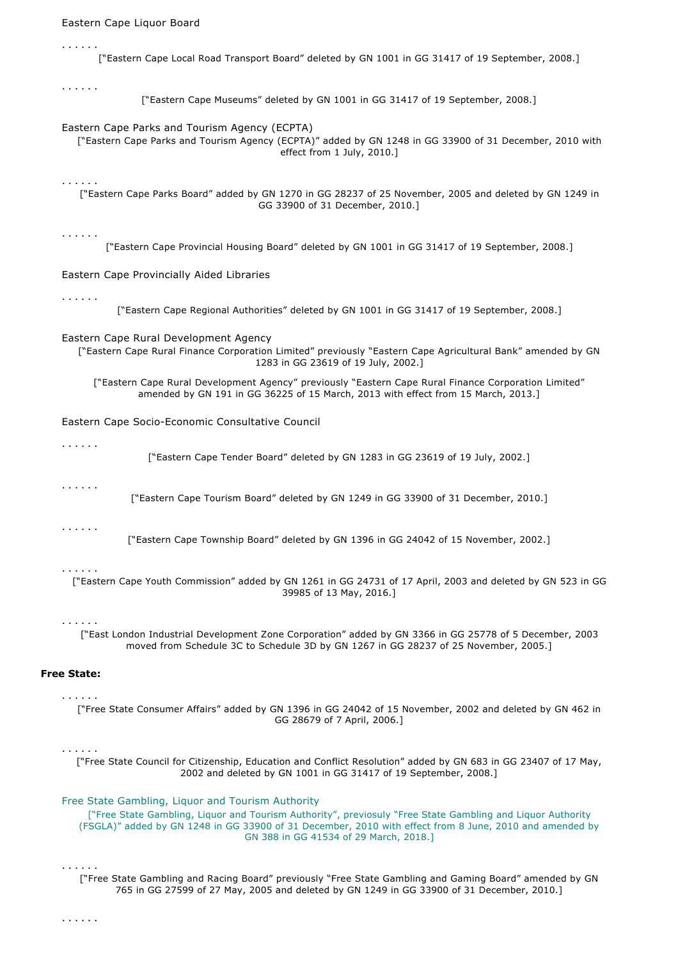| Eastern Cape Liquor Board |                                                                                                                                                                                                                                                                            |
|---------------------------|----------------------------------------------------------------------------------------------------------------------------------------------------------------------------------------------------------------------------------------------------------------------------|
| .                         | ["Eastern Cape Local Road Transport Board" deleted by GN 1001 in GG 31417 of 19 September, 2008.]                                                                                                                                                                          |
| .                         | ["Eastern Cape Museums" deleted by GN 1001 in GG 31417 of 19 September, 2008.]                                                                                                                                                                                             |
|                           | Eastern Cape Parks and Tourism Agency (ECPTA)<br>["Eastern Cape Parks and Tourism Agency (ECPTA)" added by GN 1248 in GG 33900 of 31 December, 2010 with<br>effect from 1 July, 2010.]                                                                                     |
| .                         | ["Eastern Cape Parks Board" added by GN 1270 in GG 28237 of 25 November, 2005 and deleted by GN 1249 in<br>GG 33900 of 31 December, 2010.]                                                                                                                                 |
| .                         | ["Eastern Cape Provincial Housing Board" deleted by GN 1001 in GG 31417 of 19 September, 2008.]                                                                                                                                                                            |
|                           | Eastern Cape Provincially Aided Libraries                                                                                                                                                                                                                                  |
| .                         | ["Eastern Cape Regional Authorities" deleted by GN 1001 in GG 31417 of 19 September, 2008.]                                                                                                                                                                                |
|                           | Eastern Cape Rural Development Agency<br>["Eastern Cape Rural Finance Corporation Limited" previously "Eastern Cape Agricultural Bank" amended by GN<br>1283 in GG 23619 of 19 July, 2002.]                                                                                |
|                           | ["Eastern Cape Rural Development Agency" previously "Eastern Cape Rural Finance Corporation Limited"<br>amended by GN 191 in GG 36225 of 15 March, 2013 with effect from 15 March, 2013.]                                                                                  |
|                           | Eastern Cape Socio-Economic Consultative Council                                                                                                                                                                                                                           |
| .                         | ["Eastern Cape Tender Board" deleted by GN 1283 in GG 23619 of 19 July, 2002.]                                                                                                                                                                                             |
| .                         | ["Eastern Cape Tourism Board" deleted by GN 1249 in GG 33900 of 31 December, 2010.]                                                                                                                                                                                        |
| .                         | ["Eastern Cape Township Board" deleted by GN 1396 in GG 24042 of 15 November, 2002.]                                                                                                                                                                                       |
| .                         | ["Eastern Cape Youth Commission" added by GN 1261 in GG 24731 of 17 April, 2003 and deleted by GN 523 in GG<br>39985 of 13 May, 2016.]                                                                                                                                     |
| .                         | ["East London Industrial Development Zone Corporation" added by GN 3366 in GG 25778 of 5 December, 2003<br>moved from Schedule 3C to Schedule 3D by GN 1267 in GG 28237 of 25 November, 2005.]                                                                             |
| <b>Free State:</b>        |                                                                                                                                                                                                                                                                            |
| .                         | ["Free State Consumer Affairs" added by GN 1396 in GG 24042 of 15 November, 2002 and deleted by GN 462 in<br>GG 28679 of 7 April, 2006.]                                                                                                                                   |
| .                         | ["Free State Council for Citizenship, Education and Conflict Resolution" added by GN 683 in GG 23407 of 17 May,<br>2002 and deleted by GN 1001 in GG 31417 of 19 September, 2008.]                                                                                         |
|                           | Free State Gambling, Liquor and Tourism Authority<br>["Free State Gambling, Liquor and Tourism Authority", previosuly "Free State Gambling and Liquor Authority<br>(FSGLA)" added by GN 1248 in GG 33900 of 31 December, 2010 with effect from 8 June, 2010 and amended by |

. . . . . . ["Free State Gambling and Racing Board" previously "Free State Gambling and Gaming Board" amended by GN 765 in GG 27599 of 27 May, 2005 and deleted by GN 1249 in GG 33900 of 31 December, 2010.]

GN 388 in GG 41534 of 29 March, 2018.]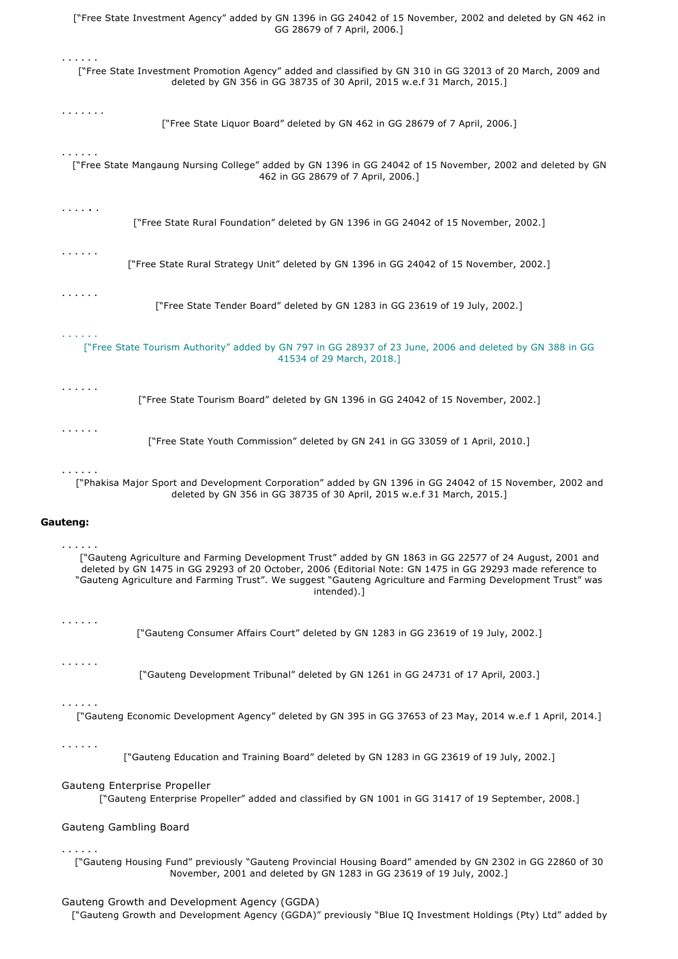| ["Free State Investment Agency" added by GN 1396 in GG 24042 of 15 November, 2002 and deleted by GN 462 in<br>GG 28679 of 7 April, 2006.]                                                                                                                                                                                                                |
|----------------------------------------------------------------------------------------------------------------------------------------------------------------------------------------------------------------------------------------------------------------------------------------------------------------------------------------------------------|
| .<br>["Free State Investment Promotion Agency" added and classified by GN 310 in GG 32013 of 20 March, 2009 and<br>deleted by GN 356 in GG 38735 of 30 April, 2015 w.e.f 31 March, 2015.]                                                                                                                                                                |
| .<br>["Free State Liquor Board" deleted by GN 462 in GG 28679 of 7 April, 2006.]                                                                                                                                                                                                                                                                         |
| .<br>["Free State Mangaung Nursing College" added by GN 1396 in GG 24042 of 15 November, 2002 and deleted by GN<br>462 in GG 28679 of 7 April, 2006.]                                                                                                                                                                                                    |
| .<br>["Free State Rural Foundation" deleted by GN 1396 in GG 24042 of 15 November, 2002.]                                                                                                                                                                                                                                                                |
| .<br>["Free State Rural Strategy Unit" deleted by GN 1396 in GG 24042 of 15 November, 2002.]                                                                                                                                                                                                                                                             |
| .<br>["Free State Tender Board" deleted by GN 1283 in GG 23619 of 19 July, 2002.]                                                                                                                                                                                                                                                                        |
| <b>CONTRACTOR</b><br>["Free State Tourism Authority" added by GN 797 in GG 28937 of 23 June, 2006 and deleted by GN 388 in GG<br>41534 of 29 March, 2018.]                                                                                                                                                                                               |
| .<br>["Free State Tourism Board" deleted by GN 1396 in GG 24042 of 15 November, 2002.]                                                                                                                                                                                                                                                                   |
| .<br>["Free State Youth Commission" deleted by GN 241 in GG 33059 of 1 April, 2010.]                                                                                                                                                                                                                                                                     |
| .<br>["Phakisa Major Sport and Development Corporation" added by GN 1396 in GG 24042 of 15 November, 2002 and<br>deleted by GN 356 in GG 38735 of 30 April, 2015 w.e.f 31 March, 2015.]                                                                                                                                                                  |
| Gauteng:                                                                                                                                                                                                                                                                                                                                                 |
| .<br>["Gauteng Agriculture and Farming Development Trust" added by GN 1863 in GG 22577 of 24 August, 2001 and<br>deleted by GN 1475 in GG 29293 of 20 October, 2006 (Editorial Note: GN 1475 in GG 29293 made reference to<br>"Gauteng Agriculture and Farming Trust". We suggest "Gauteng Agriculture and Farming Development Trust" was<br>intended).] |
| .<br>["Gauteng Consumer Affairs Court" deleted by GN 1283 in GG 23619 of 19 July, 2002.]                                                                                                                                                                                                                                                                 |
| .<br>["Gauteng Development Tribunal" deleted by GN 1261 in GG 24731 of 17 April, 2003.]                                                                                                                                                                                                                                                                  |
| .<br>["Gauteng Economic Development Agency" deleted by GN 395 in GG 37653 of 23 May, 2014 w.e.f 1 April, 2014.]                                                                                                                                                                                                                                          |
| .<br>["Gauteng Education and Training Board" deleted by GN 1283 in GG 23619 of 19 July, 2002.]                                                                                                                                                                                                                                                           |
|                                                                                                                                                                                                                                                                                                                                                          |
| Gauteng Enterprise Propeller<br>["Gauteng Enterprise Propeller" added and classified by GN 1001 in GG 31417 of 19 September, 2008.]                                                                                                                                                                                                                      |
| Gauteng Gambling Board                                                                                                                                                                                                                                                                                                                                   |
| .<br>["Gauteng Housing Fund" previously "Gauteng Provincial Housing Board" amended by GN 2302 in GG 22860 of 30<br>November, 2001 and deleted by GN 1283 in GG 23619 of 19 July, 2002.]                                                                                                                                                                  |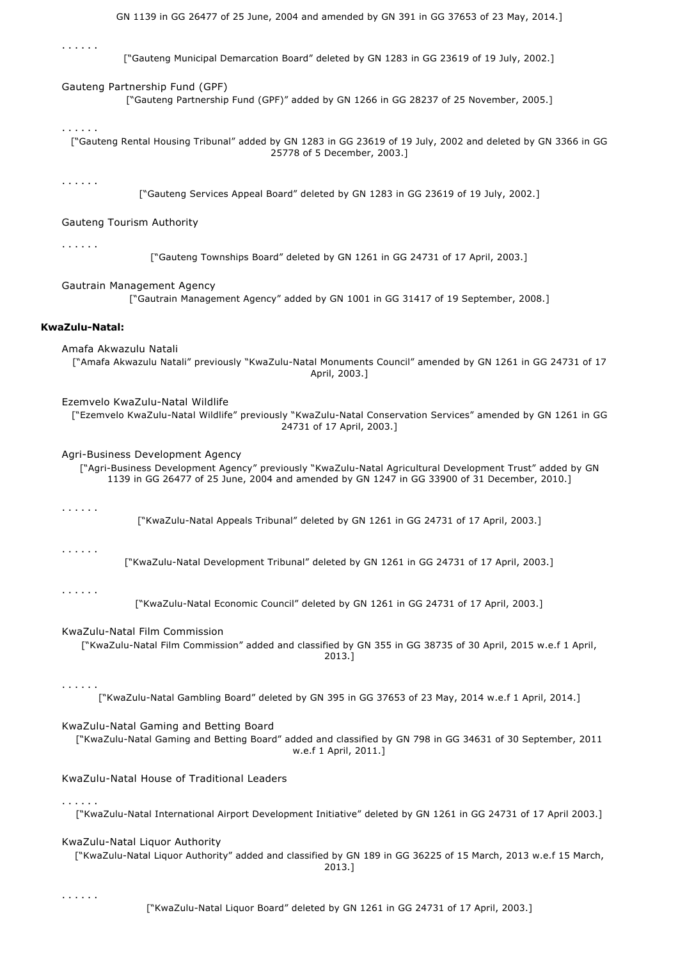| .<br>["Gauteng Municipal Demarcation Board" deleted by GN 1283 in GG 23619 of 19 July, 2002.]                                                                                                                                                |
|----------------------------------------------------------------------------------------------------------------------------------------------------------------------------------------------------------------------------------------------|
| Gauteng Partnership Fund (GPF)<br>["Gauteng Partnership Fund (GPF)" added by GN 1266 in GG 28237 of 25 November, 2005.]                                                                                                                      |
| .<br>["Gauteng Rental Housing Tribunal" added by GN 1283 in GG 23619 of 19 July, 2002 and deleted by GN 3366 in GG<br>25778 of 5 December, 2003.]                                                                                            |
| .<br>["Gauteng Services Appeal Board" deleted by GN 1283 in GG 23619 of 19 July, 2002.]                                                                                                                                                      |
| Gauteng Tourism Authority                                                                                                                                                                                                                    |
| .<br>["Gauteng Townships Board" deleted by GN 1261 in GG 24731 of 17 April, 2003.]                                                                                                                                                           |
| Gautrain Management Agency<br>["Gautrain Management Agency" added by GN 1001 in GG 31417 of 19 September, 2008.]                                                                                                                             |
| KwaZulu-Natal:                                                                                                                                                                                                                               |
| Amafa Akwazulu Natali<br>["Amafa Akwazulu Natali" previously "KwaZulu-Natal Monuments Council" amended by GN 1261 in GG 24731 of 17<br>April, 2003.]                                                                                         |
| Ezemvelo KwaZulu-Natal Wildlife<br>["Ezemvelo KwaZulu-Natal Wildlife" previously "KwaZulu-Natal Conservation Services" amended by GN 1261 in GG<br>24731 of 17 April, 2003.]                                                                 |
| Agri-Business Development Agency<br>["Agri-Business Development Agency" previously "KwaZulu-Natal Agricultural Development Trust" added by GN<br>1139 in GG 26477 of 25 June, 2004 and amended by GN 1247 in GG 33900 of 31 December, 2010.] |
| .<br>["KwaZulu-Natal Appeals Tribunal" deleted by GN 1261 in GG 24731 of 17 April, 2003.]                                                                                                                                                    |
| .<br>["KwaZulu-Natal Development Tribunal" deleted by GN 1261 in GG 24731 of 17 April, 2003.]                                                                                                                                                |
| .<br>["KwaZulu-Natal Economic Council" deleted by GN 1261 in GG 24731 of 17 April, 2003.]                                                                                                                                                    |
| KwaZulu-Natal Film Commission<br>["KwaZulu-Natal Film Commission" added and classified by GN 355 in GG 38735 of 30 April, 2015 w.e.f 1 April,<br>2013.]                                                                                      |
| .<br>["KwaZulu-Natal Gambling Board" deleted by GN 395 in GG 37653 of 23 May, 2014 w.e.f 1 April, 2014.]                                                                                                                                     |
| KwaZulu-Natal Gaming and Betting Board<br>["KwaZulu-Natal Gaming and Betting Board" added and classified by GN 798 in GG 34631 of 30 September, 2011<br>w.e.f 1 April, 2011.]                                                                |
| KwaZulu-Natal House of Traditional Leaders                                                                                                                                                                                                   |
| $\alpha$ , and $\alpha$ , and $\alpha$<br>["KwaZulu-Natal International Airport Development Initiative" deleted by GN 1261 in GG 24731 of 17 April 2003.]                                                                                    |
| KwaZulu-Natal Liquor Authority<br>["KwaZulu-Natal Liquor Authority" added and classified by GN 189 in GG 36225 of 15 March, 2013 w.e.f 15 March,<br>2013.]                                                                                   |
|                                                                                                                                                                                                                                              |

. . . . . .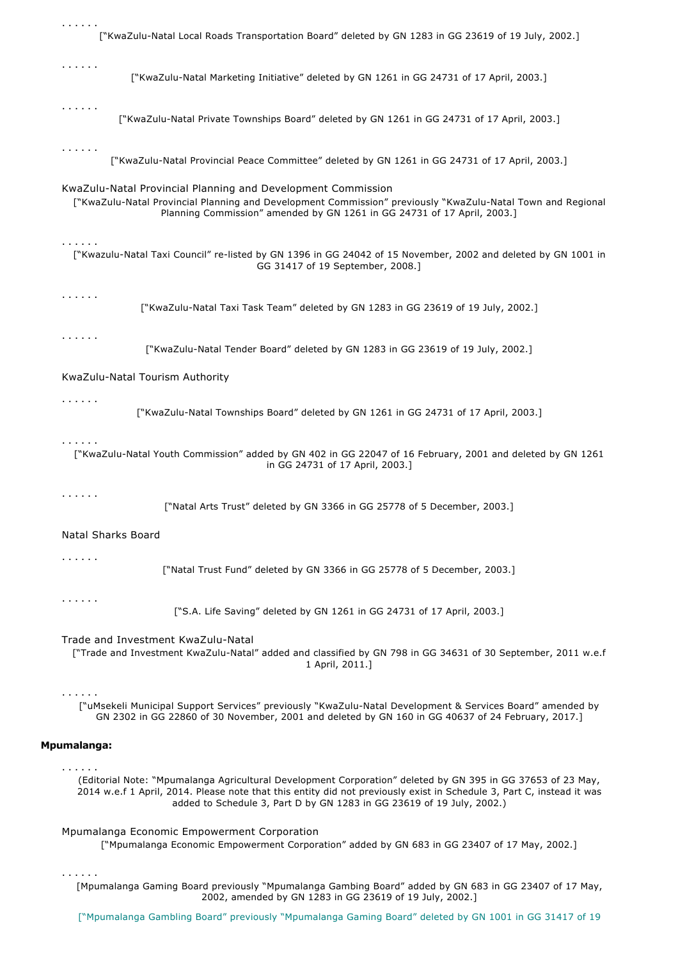| .<br>["KwaZulu-Natal Local Roads Transportation Board" deleted by GN 1283 in GG 23619 of 19 July, 2002.]                                                                                                                                                                                                           |
|--------------------------------------------------------------------------------------------------------------------------------------------------------------------------------------------------------------------------------------------------------------------------------------------------------------------|
|                                                                                                                                                                                                                                                                                                                    |
| .<br>["KwaZulu-Natal Marketing Initiative" deleted by GN 1261 in GG 24731 of 17 April, 2003.]                                                                                                                                                                                                                      |
| .<br>["KwaZulu-Natal Private Townships Board" deleted by GN 1261 in GG 24731 of 17 April, 2003.]                                                                                                                                                                                                                   |
| .<br>["KwaZulu-Natal Provincial Peace Committee" deleted by GN 1261 in GG 24731 of 17 April, 2003.]                                                                                                                                                                                                                |
| KwaZulu-Natal Provincial Planning and Development Commission<br>["KwaZulu-Natal Provincial Planning and Development Commission" previously "KwaZulu-Natal Town and Regional<br>Planning Commission" amended by GN 1261 in GG 24731 of 17 April, 2003.]                                                             |
| .<br>["Kwazulu-Natal Taxi Council" re-listed by GN 1396 in GG 24042 of 15 November, 2002 and deleted by GN 1001 in<br>GG 31417 of 19 September, 2008.]                                                                                                                                                             |
| .<br>["KwaZulu-Natal Taxi Task Team" deleted by GN 1283 in GG 23619 of 19 July, 2002.]                                                                                                                                                                                                                             |
| .<br>["KwaZulu-Natal Tender Board" deleted by GN 1283 in GG 23619 of 19 July, 2002.]                                                                                                                                                                                                                               |
| KwaZulu-Natal Tourism Authority                                                                                                                                                                                                                                                                                    |
| .<br>["KwaZulu-Natal Townships Board" deleted by GN 1261 in GG 24731 of 17 April, 2003.]                                                                                                                                                                                                                           |
| .<br>["KwaZulu-Natal Youth Commission" added by GN 402 in GG 22047 of 16 February, 2001 and deleted by GN 1261<br>in GG 24731 of 17 April, 2003.]                                                                                                                                                                  |
| .<br>["Natal Arts Trust" deleted by GN 3366 in GG 25778 of 5 December, 2003.]                                                                                                                                                                                                                                      |
| Natal Sharks Board                                                                                                                                                                                                                                                                                                 |
| .<br>["Natal Trust Fund" deleted by GN 3366 in GG 25778 of 5 December, 2003.]                                                                                                                                                                                                                                      |
| .<br>["S.A. Life Saving" deleted by GN 1261 in GG 24731 of 17 April, 2003.]                                                                                                                                                                                                                                        |
| Trade and Investment KwaZulu-Natal<br>["Trade and Investment KwaZulu-Natal" added and classified by GN 798 in GG 34631 of 30 September, 2011 w.e.f<br>1 April, 2011.]                                                                                                                                              |
| .<br>["uMsekeli Municipal Support Services" previously "KwaZulu-Natal Development & Services Board" amended by<br>GN 2302 in GG 22860 of 30 November, 2001 and deleted by GN 160 in GG 40637 of 24 February, 2017.]                                                                                                |
| <b>Mpumalanga:</b>                                                                                                                                                                                                                                                                                                 |
| .<br>(Editorial Note: "Mpumalanga Agricultural Development Corporation" deleted by GN 395 in GG 37653 of 23 May,<br>2014 w.e.f 1 April, 2014. Please note that this entity did not previously exist in Schedule 3, Part C, instead it was<br>added to Schedule 3, Part D by GN 1283 in GG 23619 of 19 July, 2002.) |
| Mpumalanga Economic Empowerment Corporation<br>["Mpumalanga Economic Empowerment Corporation" added by GN 683 in GG 23407 of 17 May, 2002.]                                                                                                                                                                        |
| .<br>[Mpumalanga Gaming Board previously "Mpumalanga Gambing Board" added by GN 683 in GG 23407 of 17 May,<br>2002, amended by GN 1283 in GG 23619 of 19 July, 2002.]                                                                                                                                              |
| ["Mpumalanga Gambling Board" previously "Mpumalanga Gaming Board" deleted by GN 1001 in GG 31417 of 19                                                                                                                                                                                                             |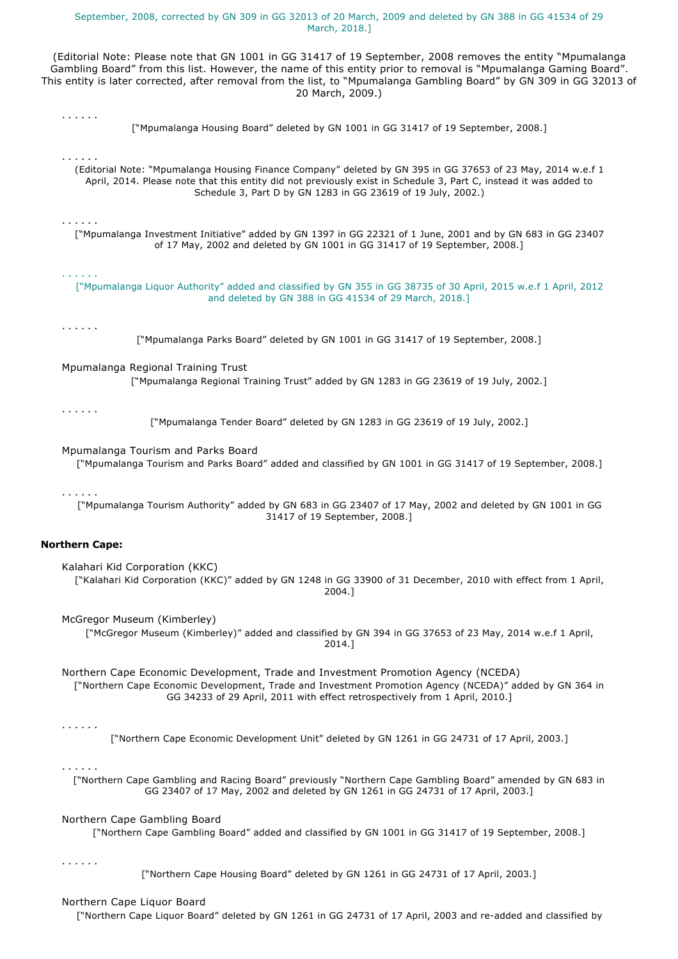## September, 2008, corrected by GN 309 in GG 32013 of 20 March, 2009 and deleted by GN 388 in GG 41534 of 29 March, 2018.]

(Editorial Note: Please note that GN 1001 in GG 31417 of 19 September, 2008 removes the entity "Mpumalanga Gambling Board" from this list. However, the name of this entity prior to removal is "Mpumalanga Gaming Board". This entity is later corrected, after removal from the list, to "Mpumalanga Gambling Board" by GN 309 in GG 32013 of 20 March, 2009.)

["Mpumalanga Housing Board" deleted by GN 1001 in GG 31417 of 19 September, 2008.]

(Editorial Note: "Mpumalanga Housing Finance Company" deleted by GN 395 in GG 37653 of 23 May, 2014 w.e.f 1 April, 2014. Please note that this entity did not previously exist in Schedule 3, Part C, instead it was added to Schedule 3, Part D by GN 1283 in GG 23619 of 19 July, 2002.)

["Mpumalanga Investment Initiative" added by GN 1397 in GG 22321 of 1 June, 2001 and by GN 683 in GG 23407 of 17 May, 2002 and deleted by GN 1001 in GG 31417 of 19 September, 2008.]

. . . . . . ["Mpumalanga Liquor Authority" added and classified by GN 355 in GG 38735 of 30 April, 2015 w.e.f 1 April, 2012 and deleted by GN 388 in GG 41534 of 29 March, 2018.]

. . . . . .

. . . . . .

. . . . . .

. . . . . .

["Mpumalanga Parks Board" deleted by GN 1001 in GG 31417 of 19 September, 2008.]

Mpumalanga Regional Training Trust ["Mpumalanga Regional Training Trust" added by GN 1283 in GG 23619 of 19 July, 2002.]

. . . . . .

["Mpumalanga Tender Board" deleted by GN 1283 in GG 23619 of 19 July, 2002.]

## Mpumalanga Tourism and Parks Board

["Mpumalanga Tourism and Parks Board" added and classified by GN 1001 in GG 31417 of 19 September, 2008.]

#### . . . . . .

["Mpumalanga Tourism Authority" added by GN 683 in GG 23407 of 17 May, 2002 and deleted by GN 1001 in GG 31417 of 19 September, 2008.]

# **Northern Cape:**

Kalahari Kid Corporation (KKC) ["Kalahari Kid Corporation (KKC)" added by GN 1248 in GG 33900 of 31 December, 2010 with effect from 1 April, 2004.]

McGregor Museum (Kimberley)

["McGregor Museum (Kimberley)" added and classified by GN 394 in GG 37653 of 23 May, 2014 w.e.f 1 April, 2014.]

Northern Cape Economic Development, Trade and Investment Promotion Agency (NCEDA) ["Northern Cape Economic Development, Trade and Investment Promotion Agency (NCEDA)" added by GN 364 in GG 34233 of 29 April, 2011 with effect retrospectively from 1 April, 2010.]

## . . . . . .

["Northern Cape Economic Development Unit" deleted by GN 1261 in GG 24731 of 17 April, 2003.]

. . . . . .

["Northern Cape Gambling and Racing Board" previously "Northern Cape Gambling Board" amended by GN 683 in GG 23407 of 17 May, 2002 and deleted by GN 1261 in GG 24731 of 17 April, 2003.]

## Northern Cape Gambling Board

["Northern Cape Gambling Board" added and classified by GN 1001 in GG 31417 of 19 September, 2008.]

. . . . . .

["Northern Cape Housing Board" deleted by GN 1261 in GG 24731 of 17 April, 2003.]

## Northern Cape Liquor Board

["Northern Cape Liquor Board" deleted by GN 1261 in GG 24731 of 17 April, 2003 and re-added and classified by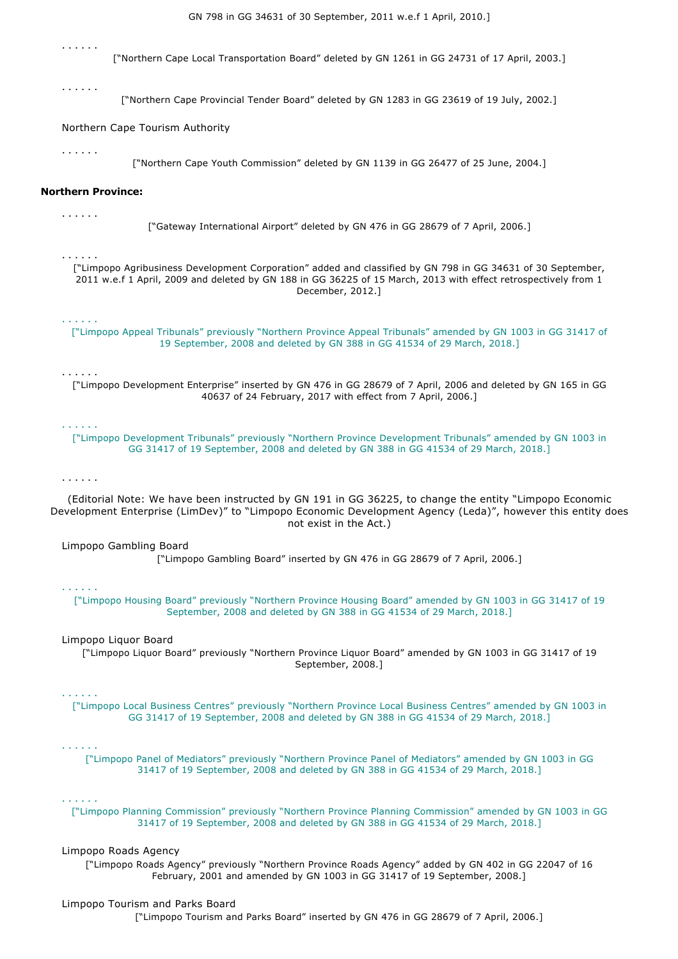. . . . . . ["Northern Cape Local Transportation Board" deleted by GN 1261 in GG 24731 of 17 April, 2003.] . . . . . . ["Northern Cape Provincial Tender Board" deleted by GN 1283 in GG 23619 of 19 July, 2002.] Northern Cape Tourism Authority . . . . . . ["Northern Cape Youth Commission" deleted by GN 1139 in GG 26477 of 25 June, 2004.] **Northern Province:** . . . . . . ["Gateway International Airport" deleted by GN 476 in GG 28679 of 7 April, 2006.] . . . . . . ["Limpopo Agribusiness Development Corporation" added and classified by GN 798 in GG 34631 of 30 September, 2011 w.e.f 1 April, 2009 and deleted by GN 188 in GG 36225 of 15 March, 2013 with effect retrospectively from 1 December, 2012.] . . . . . . ["Limpopo Appeal Tribunals" previously "Northern Province Appeal Tribunals" amended by GN 1003 in GG 31417 of 19 September, 2008 and deleted by GN 388 in GG 41534 of 29 March, 2018.] . . . . . . ["Limpopo Development Enterprise" inserted by GN 476 in GG 28679 of 7 April, 2006 and deleted by GN 165 in GG 40637 of 24 February, 2017 with effect from 7 April, 2006.] . . . . . . ["Limpopo Development Tribunals" previously "Northern Province Development Tribunals" amended by GN 1003 in GG 31417 of 19 September, 2008 and deleted by GN 388 in GG 41534 of 29 March, 2018.] . . . . . . (Editorial Note: We have been instructed by GN 191 in GG 36225, to change the entity "Limpopo Economic Development Enterprise (LimDev)" to "Limpopo Economic Development Agency (Leda)", however this entity does not exist in the Act.) Limpopo Gambling Board ["Limpopo Gambling Board" inserted by GN 476 in GG 28679 of 7 April, 2006.] . . . . . . ["Limpopo Housing Board" previously "Northern Province Housing Board" amended by GN 1003 in GG 31417 of 19 September, 2008 and deleted by GN 388 in GG 41534 of 29 March, 2018.] Limpopo Liquor Board ["Limpopo Liquor Board" previously "Northern Province Liquor Board" amended by GN 1003 in GG 31417 of 19 September, 2008.] . . . . . . ["Limpopo Local Business Centres" previously "Northern Province Local Business Centres" amended by GN 1003 in GG 31417 of 19 September, 2008 and deleted by GN 388 in GG 41534 of 29 March, 2018.] . . . . . . ["Limpopo Panel of Mediators" previously "Northern Province Panel of Mediators" amended by GN 1003 in GG 31417 of 19 September, 2008 and deleted by GN 388 in GG 41534 of 29 March, 2018.] . . . . . . ["Limpopo Planning Commission" previously "Northern Province Planning Commission" amended by GN 1003 in GG 31417 of 19 September, 2008 and deleted by GN 388 in GG 41534 of 29 March, 2018.] Limpopo Roads Agency ["Limpopo Roads Agency" previously "Northern Province Roads Agency" added by GN 402 in GG 22047 of 16 February, 2001 and amended by GN 1003 in GG 31417 of 19 September, 2008.]

GN 798 in GG 34631 of 30 September, 2011 w.e.f 1 April, 2010.]

Limpopo Tourism and Parks Board ["Limpopo Tourism and Parks Board" inserted by GN 476 in GG 28679 of 7 April, 2006.]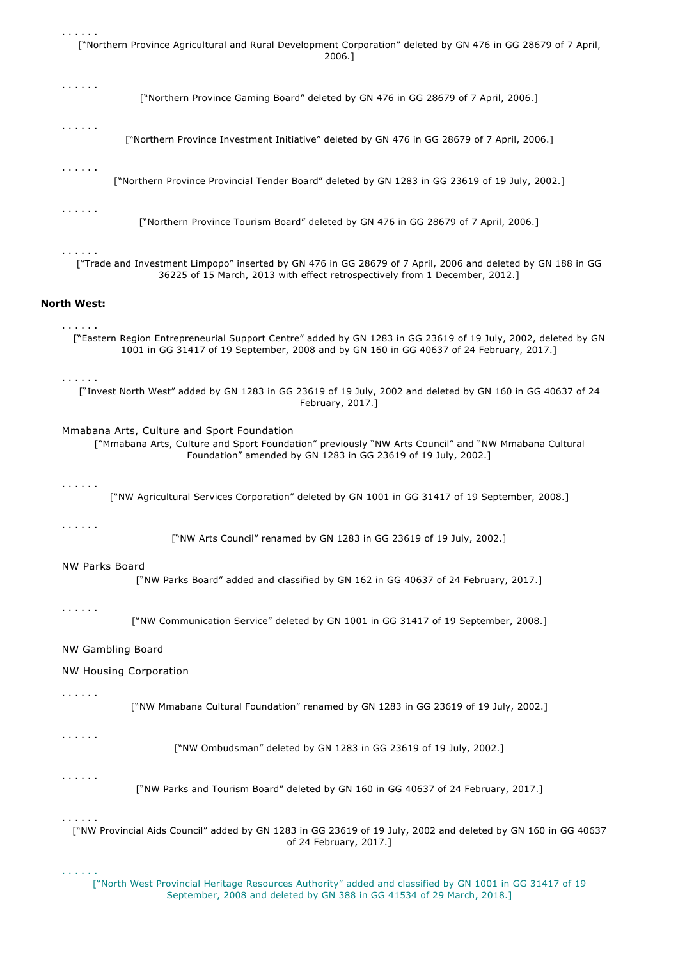. . . . . . ["Northern Province Agricultural and Rural Development Corporation" deleted by GN 476 in GG 28679 of 7 April, 2006.]

. . . . . . ["Northern Province Gaming Board" deleted by GN 476 in GG 28679 of 7 April, 2006.] . . . . . . ["Northern Province Investment Initiative" deleted by GN 476 in GG 28679 of 7 April, 2006.] . . . . . . ["Northern Province Provincial Tender Board" deleted by GN 1283 in GG 23619 of 19 July, 2002.] . . . . . . ["Northern Province Tourism Board" deleted by GN 476 in GG 28679 of 7 April, 2006.] . . . . . . ["Trade and Investment Limpopo" inserted by GN 476 in GG 28679 of 7 April, 2006 and deleted by GN 188 in GG 36225 of 15 March, 2013 with effect retrospectively from 1 December, 2012.] **North West:** . . . . . . ["Eastern Region Entrepreneurial Support Centre" added by GN 1283 in GG 23619 of 19 July, 2002, deleted by GN 1001 in GG 31417 of 19 September, 2008 and by GN 160 in GG 40637 of 24 February, 2017.] . . . . . . ["Invest North West" added by GN 1283 in GG 23619 of 19 July, 2002 and deleted by GN 160 in GG 40637 of 24 February, 2017.] Mmabana Arts, Culture and Sport Foundation ["Mmabana Arts, Culture and Sport Foundation" previously "NW Arts Council" and "NW Mmabana Cultural Foundation" amended by GN 1283 in GG 23619 of 19 July, 2002.] . . . . . . ["NW Agricultural Services Corporation" deleted by GN 1001 in GG 31417 of 19 September, 2008.] . . . . . . ["NW Arts Council" renamed by GN 1283 in GG 23619 of 19 July, 2002.] NW Parks Board ["NW Parks Board" added and classified by GN 162 in GG 40637 of 24 February, 2017.] . . . . . . ["NW Communication Service" deleted by GN 1001 in GG 31417 of 19 September, 2008.] NW Gambling Board NW Housing Corporation

. . . . . .

["NW Mmabana Cultural Foundation" renamed by GN 1283 in GG 23619 of 19 July, 2002.]

. . . . . .

["NW Ombudsman" deleted by GN 1283 in GG 23619 of 19 July, 2002.]

. . . . . .

["NW Parks and Tourism Board" deleted by GN 160 in GG 40637 of 24 February, 2017.]

## . . . . . .

. . . . . .

["NW Provincial Aids Council" added by GN 1283 in GG 23619 of 19 July, 2002 and deleted by GN 160 in GG 40637 of 24 February, 2017.]

["North West Provincial Heritage Resources Authority" added and classified by GN 1001 in GG 31417 of 19 September, 2008 and deleted by GN 388 in GG 41534 of 29 March, 2018.]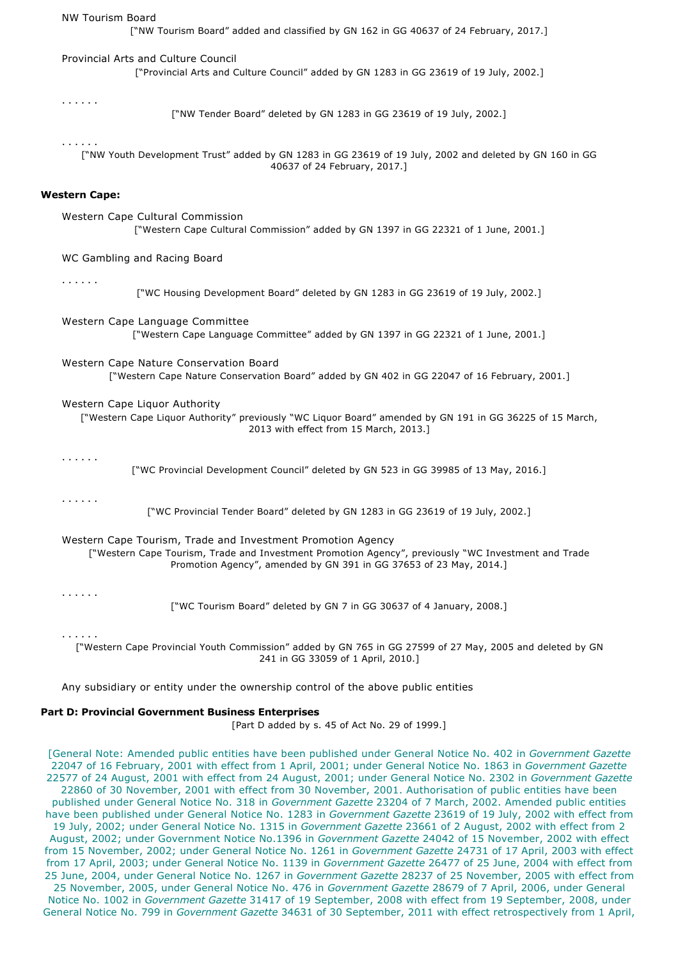NW Tourism Board ["NW Tourism Board" added and classified by GN 162 in GG 40637 of 24 February, 2017.] Provincial Arts and Culture Council ["Provincial Arts and Culture Council" added by GN 1283 in GG 23619 of 19 July, 2002.] . . . . . . ["NW Tender Board" deleted by GN 1283 in GG 23619 of 19 July, 2002.] . . . . . . ["NW Youth Development Trust" added by GN 1283 in GG 23619 of 19 July, 2002 and deleted by GN 160 in GG 40637 of 24 February, 2017.] **Western Cape:** Western Cape Cultural Commission ["Western Cape Cultural Commission" added by GN 1397 in GG 22321 of 1 June, 2001.] WC Gambling and Racing Board . . . . . . ["WC Housing Development Board" deleted by GN 1283 in GG 23619 of 19 July, 2002.] Western Cape Language Committee ["Western Cape Language Committee" added by GN 1397 in GG 22321 of 1 June, 2001.] Western Cape Nature Conservation Board ["Western Cape Nature Conservation Board" added by GN 402 in GG 22047 of 16 February, 2001.] Western Cape Liquor Authority ["Western Cape Liquor Authority" previously "WC Liquor Board" amended by GN 191 in GG 36225 of 15 March, 2013 with effect from 15 March, 2013.] . . . . . . ["WC Provincial Development Council" deleted by GN 523 in GG 39985 of 13 May, 2016.] . . . . . . ["WC Provincial Tender Board" deleted by GN 1283 in GG 23619 of 19 July, 2002.] Western Cape Tourism, Trade and Investment Promotion Agency ["Western Cape Tourism, Trade and Investment Promotion Agency", previously "WC Investment and Trade Promotion Agency", amended by GN 391 in GG 37653 of 23 May, 2014.] . . . . . . ["WC Tourism Board" deleted by GN 7 in GG 30637 of 4 January, 2008.] . . . . . . ["Western Cape Provincial Youth Commission" added by GN 765 in GG 27599 of 27 May, 2005 and deleted by GN 241 in GG 33059 of 1 April, 2010.]

Any subsidiary or entity under the ownership control of the above public entities

## **Part D: Provincial Government Business Enterprises**

[Part D added by s. 45 of Act No. 29 of 1999.]

[General Note: Amended public entities have been published under General Notice No. 402 in *Government Gazette* 22047 of 16 February, 2001 with effect from 1 April, 2001; under General Notice No. 1863 in *Government Gazette* 22577 of 24 August, 2001 with effect from 24 August, 2001; under General Notice No. 2302 in *Government Gazette* 22860 of 30 November, 2001 with effect from 30 November, 2001. Authorisation of public entities have been published under General Notice No. 318 in *Government Gazette* 23204 of 7 March, 2002. Amended public entities have been published under General Notice No. 1283 in *Government Gazette* 23619 of 19 July, 2002 with effect from 19 July, 2002; under General Notice No. 1315 in *Government Gazette* 23661 of 2 August, 2002 with effect from 2 August, 2002; under Government Notice No.1396 in *Government Gazette* 24042 of 15 November, 2002 with effect from 15 November, 2002; under General Notice No. 1261 in *Government Gazette* 24731 of 17 April, 2003 with effect from 17 April, 2003; under General Notice No. 1139 in *Government Gazette* 26477 of 25 June, 2004 with effect from 25 June, 2004, under General Notice No. 1267 in *Government Gazette* 28237 of 25 November, 2005 with effect from 25 November, 2005, under General Notice No. 476 in *Government Gazette* 28679 of 7 April, 2006, under General Notice No. 1002 in *Government Gazette* 31417 of 19 September, 2008 with effect from 19 September, 2008, under General Notice No. 799 in *Government Gazette* 34631 of 30 September, 2011 with effect retrospectively from 1 April,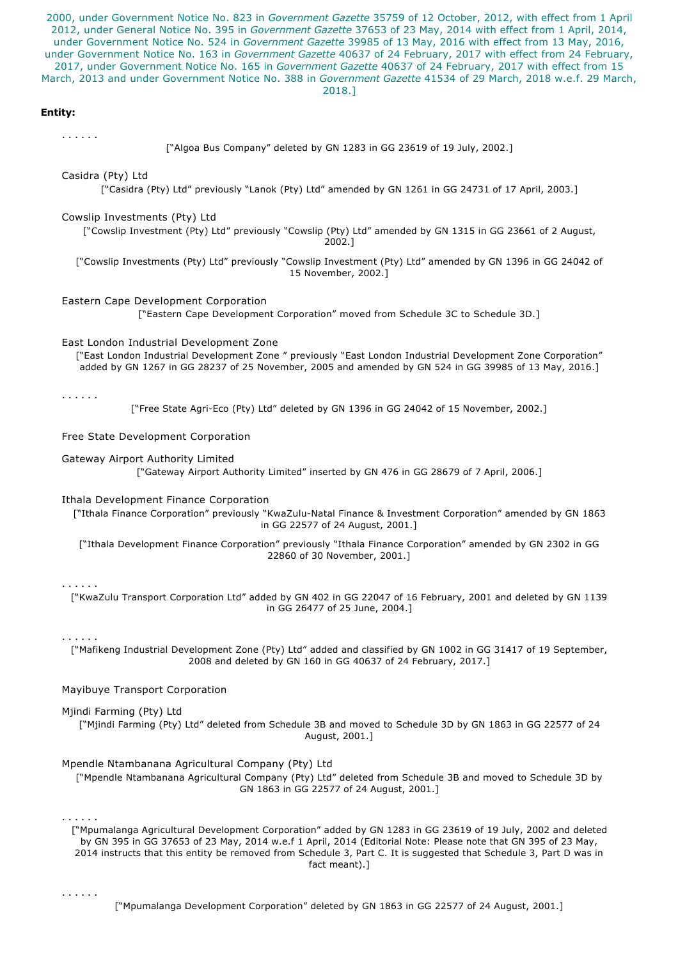2000, under Government Notice No. 823 in *Government Gazette* 35759 of 12 October, 2012, with effect from 1 April 2012, under General Notice No. 395 in *Government Gazette* 37653 of 23 May, 2014 with effect from 1 April, 2014, under Government Notice No. 524 in *Government Gazette* 39985 of 13 May, 2016 with effect from 13 May, 2016, under Government Notice No. 163 in *Government Gazette* 40637 of 24 February, 2017 with effect from 24 February, 2017, under Government Notice No. 165 in *Government Gazette* 40637 of 24 February, 2017 with effect from 15 March, 2013 and under Government Notice No. 388 in *Government Gazette* 41534 of 29 March, 2018 w.e.f. 29 March,

2018.]

## **Entity:**

. . . . . .

["Algoa Bus Company" deleted by GN 1283 in GG 23619 of 19 July, 2002.]

Casidra (Pty) Ltd

["Casidra (Pty) Ltd" previously "Lanok (Pty) Ltd" amended by GN 1261 in GG 24731 of 17 April, 2003.]

#### Cowslip Investments (Pty) Ltd

["Cowslip Investment (Pty) Ltd" previously "Cowslip (Pty) Ltd" amended by GN 1315 in GG 23661 of 2 August, 2002.]

["Cowslip Investments (Pty) Ltd" previously "Cowslip Investment (Pty) Ltd" amended by GN 1396 in GG 24042 of 15 November, 2002.]

#### Eastern Cape Development Corporation

["Eastern Cape Development Corporation" moved from Schedule 3C to Schedule 3D.]

# East London Industrial Development Zone

["East London Industrial Development Zone " previously "East London Industrial Development Zone Corporation" added by GN 1267 in GG 28237 of 25 November, 2005 and amended by GN 524 in GG 39985 of 13 May, 2016.]

. . . . . .

["Free State Agri-Eco (Pty) Ltd" deleted by GN 1396 in GG 24042 of 15 November, 2002.]

Free State Development Corporation

## Gateway Airport Authority Limited

["Gateway Airport Authority Limited" inserted by GN 476 in GG 28679 of 7 April, 2006.]

#### Ithala Development Finance Corporation

["Ithala Finance Corporation" previously "KwaZulu-Natal Finance & Investment Corporation" amended by GN 1863 in GG 22577 of 24 August, 2001.]

["Ithala Development Finance Corporation" previously "Ithala Finance Corporation" amended by GN 2302 in GG 22860 of 30 November, 2001.]

#### . . . . . .

["KwaZulu Transport Corporation Ltd" added by GN 402 in GG 22047 of 16 February, 2001 and deleted by GN 1139 in GG 26477 of 25 June, 2004.]

## . . . . . .

["Mafikeng Industrial Development Zone (Pty) Ltd" added and classified by GN 1002 in GG 31417 of 19 September, 2008 and deleted by GN 160 in GG 40637 of 24 February, 2017.]

## Mayibuye Transport Corporation

Mjindi Farming (Pty) Ltd

["Mjindi Farming (Pty) Ltd" deleted from Schedule 3B and moved to Schedule 3D by GN 1863 in GG 22577 of 24 August, 2001.]

Mpendle Ntambanana Agricultural Company (Pty) Ltd

["Mpendle Ntambanana Agricultural Company (Pty) Ltd" deleted from Schedule 3B and moved to Schedule 3D by GN 1863 in GG 22577 of 24 August, 2001.]

#### . . . . . .

["Mpumalanga Agricultural Development Corporation" added by GN 1283 in GG 23619 of 19 July, 2002 and deleted by GN 395 in GG 37653 of 23 May, 2014 w.e.f 1 April, 2014 (Editorial Note: Please note that GN 395 of 23 May, 2014 instructs that this entity be removed from Schedule 3, Part C. It is suggested that Schedule 3, Part D was in fact meant).]

. . . . . .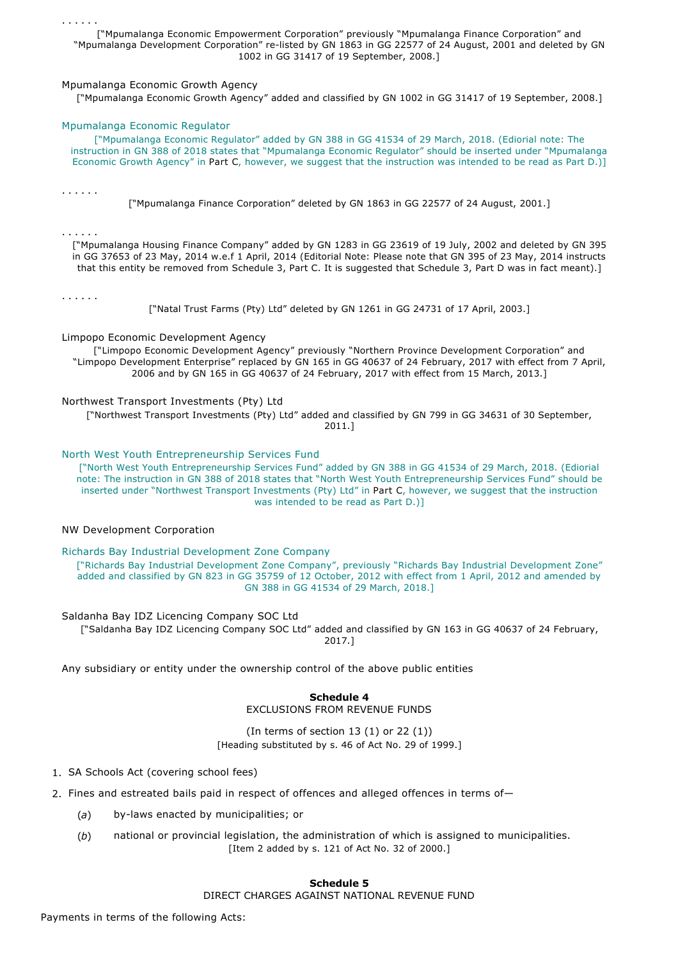. . . . . .

["Mpumalanga Economic Empowerment Corporation" previously "Mpumalanga Finance Corporation" and "Mpumalanga Development Corporation" re-listed by GN 1863 in GG 22577 of 24 August, 2001 and deleted by GN 1002 in GG 31417 of 19 September, 2008.]

## Mpumalanga Economic Growth Agency

["Mpumalanga Economic Growth Agency" added and classified by GN 1002 in GG 31417 of 19 September, 2008.]

## Mpumalanga Economic Regulator

["Mpumalanga Economic Regulator" added by GN 388 in GG 41534 of 29 March, 2018. (Ediorial note: The instruction in GN 388 of 2018 states that "Mpumalanga Economic Regulator" should be inserted under "Mpumalanga Economic Growth Agency" in Part C, however, we suggest that the instruction was intended to be read as Part D.)]

. . . . . .

["Mpumalanga Finance Corporation" deleted by GN 1863 in GG 22577 of 24 August, 2001.]

. . . . . .

["Mpumalanga Housing Finance Company" added by GN 1283 in GG 23619 of 19 July, 2002 and deleted by GN 395 in GG 37653 of 23 May, 2014 w.e.f 1 April, 2014 (Editorial Note: Please note that GN 395 of 23 May, 2014 instructs that this entity be removed from Schedule 3, Part C. It is suggested that Schedule 3, Part D was in fact meant).]

. . . . . .

["Natal Trust Farms (Pty) Ltd" deleted by GN 1261 in GG 24731 of 17 April, 2003.]

Limpopo Economic Development Agency

["Limpopo Economic Development Agency" previously "Northern Province Development Corporation" and "Limpopo Development Enterprise" replaced by GN 165 in GG 40637 of 24 February, 2017 with effect from 7 April, 2006 and by GN 165 in GG 40637 of 24 February, 2017 with effect from 15 March, 2013.]

Northwest Transport Investments (Pty) Ltd

["Northwest Transport Investments (Pty) Ltd" added and classified by GN 799 in GG 34631 of 30 September, 2011.]

North West Youth Entrepreneurship Services Fund

["North West Youth Entrepreneurship Services Fund" added by GN 388 in GG 41534 of 29 March, 2018. (Ediorial note: The instruction in GN 388 of 2018 states that "North West Youth Entrepreneurship Services Fund" should be inserted under "Northwest Transport Investments (Pty) Ltd" in Part C, however, we suggest that the instruction was intended to be read as Part D.)]

## NW Development Corporation

Richards Bay Industrial Development Zone Company

["Richards Bay Industrial Development Zone Company", previously "Richards Bay Industrial Development Zone" added and classified by GN 823 in GG 35759 of 12 October, 2012 with effect from 1 April, 2012 and amended by GN 388 in GG 41534 of 29 March, 2018.]

Saldanha Bay IDZ Licencing Company SOC Ltd

["Saldanha Bay IDZ Licencing Company SOC Ltd" added and classified by GN 163 in GG 40637 of 24 February, 2017.]

Any subsidiary or entity under the ownership control of the above public entities

**Schedule 4** EXCLUSIONS FROM REVENUE FUNDS

(In terms of section  $13(1)$  or  $22(1)$ ) [Heading substituted by s. 46 of Act No. 29 of 1999.]

- 1. SA Schools Act (covering school fees)
- 2. Fines and estreated bails paid in respect of offences and alleged offences in terms of—
	- (a) by-laws enacted by municipalities; or
	- (*b*) national or provincial legislation, the administration of which is assigned to municipalities. [Item 2 added by s. 121 of Act No. 32 of 2000.]

# **Schedule 5**

DIRECT CHARGES AGAINST NATIONAL REVENUE FUND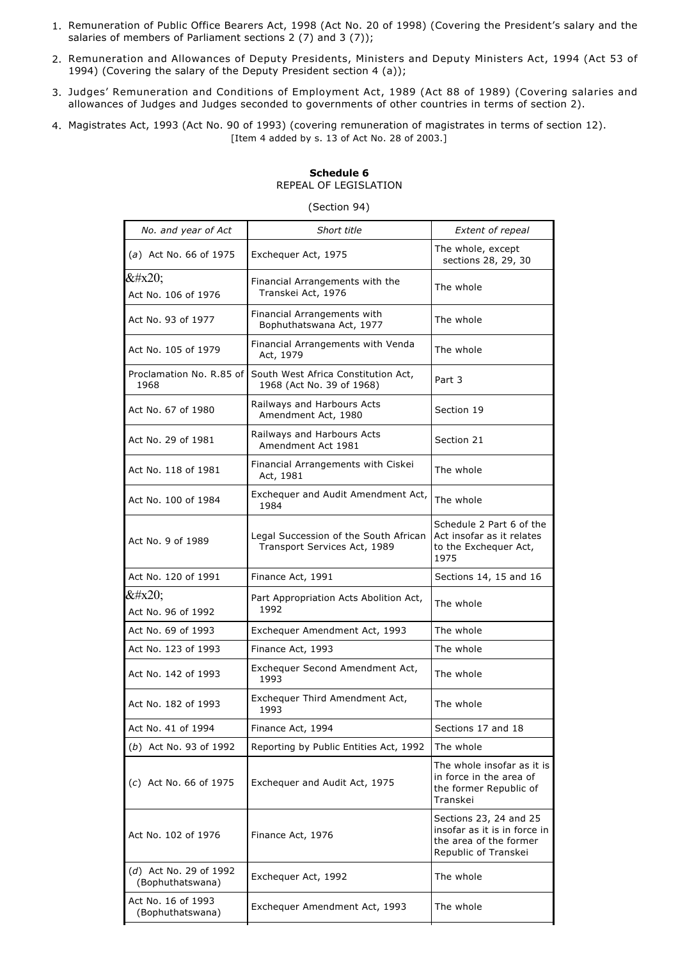- 1. Remuneration of Public Office Bearers Act, 1998 (Act No. 20 of 1998) (Covering the President's salary and the salaries of members of Parliament sections 2 (7) and 3 (7));
- 2. Remuneration and Allowances of Deputy Presidents, Ministers and Deputy Ministers Act, 1994 (Act 53 of 1994) (Covering the salary of the Deputy President section 4 (a));
- 3. Judges' Remuneration and Conditions of Employment Act, 1989 (Act 88 of 1989) (Covering salaries and allowances of Judges and Judges seconded to governments of other countries in terms of section 2).
- 4. Magistrates Act, 1993 (Act No. 90 of 1993) (covering remuneration of magistrates in terms of section 12). [Item 4 added by s. 13 of Act No. 28 of 2003.]

# **Schedule 6** REPEAL OF LEGISLATION

## (Section 94)

| No. and year of Act                        | Short title                                                           | <b>Extent of repeal</b>                                                                                  |
|--------------------------------------------|-----------------------------------------------------------------------|----------------------------------------------------------------------------------------------------------|
| (a) Act No. 66 of 1975                     | Exchequer Act, 1975                                                   | The whole, except<br>sections 28, 29, 30                                                                 |
| $&\#x20;$<br>Act No. 106 of 1976           | Financial Arrangements with the<br>Transkei Act, 1976                 | The whole                                                                                                |
| Act No. 93 of 1977                         | Financial Arrangements with<br>Bophuthatswana Act, 1977               | The whole                                                                                                |
| Act No. 105 of 1979                        | Financial Arrangements with Venda<br>Act, 1979                        | The whole                                                                                                |
| Proclamation No. R.85 of<br>1968           | South West Africa Constitution Act,<br>1968 (Act No. 39 of 1968)      | Part 3                                                                                                   |
| Act No. 67 of 1980                         | Railways and Harbours Acts<br>Amendment Act, 1980                     | Section 19                                                                                               |
| Act No. 29 of 1981                         | Railways and Harbours Acts<br>Amendment Act 1981                      | Section 21                                                                                               |
| Act No. 118 of 1981                        | Financial Arrangements with Ciskei<br>Act, 1981                       | The whole                                                                                                |
| Act No. 100 of 1984                        | Exchequer and Audit Amendment Act,<br>1984                            | The whole                                                                                                |
| Act No. 9 of 1989                          | Legal Succession of the South African<br>Transport Services Act, 1989 | Schedule 2 Part 6 of the<br>Act insofar as it relates<br>to the Exchequer Act,<br>1975                   |
| Act No. 120 of 1991                        | Finance Act, 1991                                                     | Sections 14, 15 and 16                                                                                   |
| <br>Act No. 96 of 1992                     | Part Appropriation Acts Abolition Act,<br>1992                        | The whole                                                                                                |
| Act No. 69 of 1993                         | Exchequer Amendment Act, 1993                                         | The whole                                                                                                |
| Act No. 123 of 1993                        | Finance Act, 1993                                                     | The whole                                                                                                |
| Act No. 142 of 1993                        | Exchequer Second Amendment Act,<br>1993                               | The whole                                                                                                |
| Act No. 182 of 1993                        | Exchequer Third Amendment Act,<br>1993                                | The whole                                                                                                |
| Act No. 41 of 1994                         | Finance Act, 1994                                                     | Sections 17 and 18                                                                                       |
| (b) Act No. 93 of 1992                     | Reporting by Public Entities Act, 1992                                | The whole                                                                                                |
| (c) Act No. 66 of 1975                     | Exchequer and Audit Act, 1975                                         | The whole insofar as it is<br>in force in the area of<br>the former Republic of<br>Transkei              |
| Act No. 102 of 1976                        | Finance Act, 1976                                                     | Sections 23, 24 and 25<br>insofar as it is in force in<br>the area of the former<br>Republic of Transkei |
| (d) Act No. 29 of 1992<br>(Bophuthatswana) | Exchequer Act, 1992                                                   | The whole                                                                                                |
| Act No. 16 of 1993<br>(Bophuthatswana)     | Exchequer Amendment Act, 1993                                         | The whole                                                                                                |